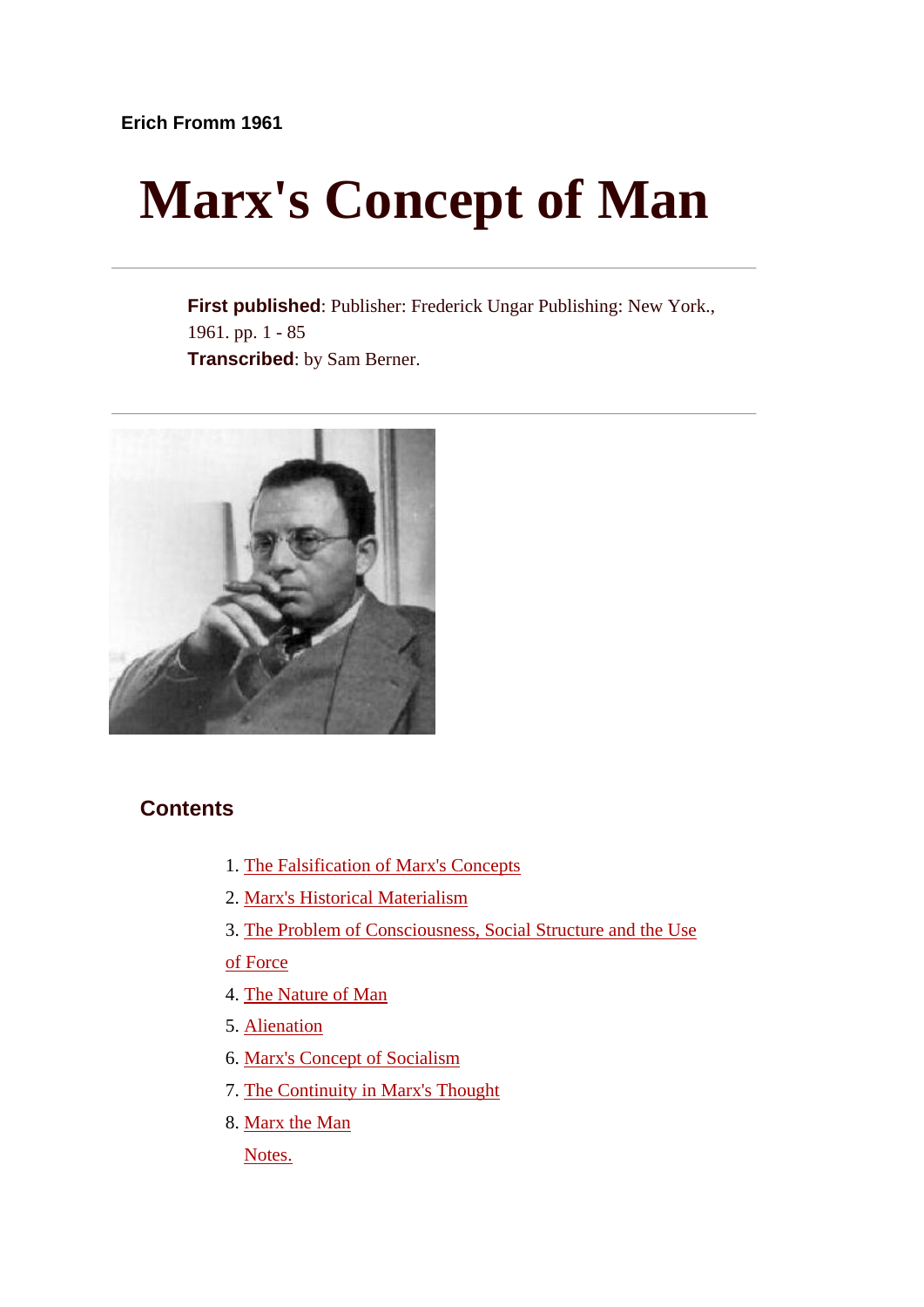# **Marx's Concept of Man**

**First published**: Publisher: Frederick Ungar Publishing: New York., 1961. pp. 1 - 85 **Transcribed**: by Sam Berner.



## **Contents**

- 1. The Falsification of Marx's Concepts
- 2. Marx's Historical Materialism
- 3. The Problem of Consciousness, Social Structure and the Use

of Force

- 4. The Nature of Man
- 5. Alienation
- 6. Marx's Concept of Socialism
- 7. The Continuity in Marx's Thought
- 8. Marx the Man

Notes.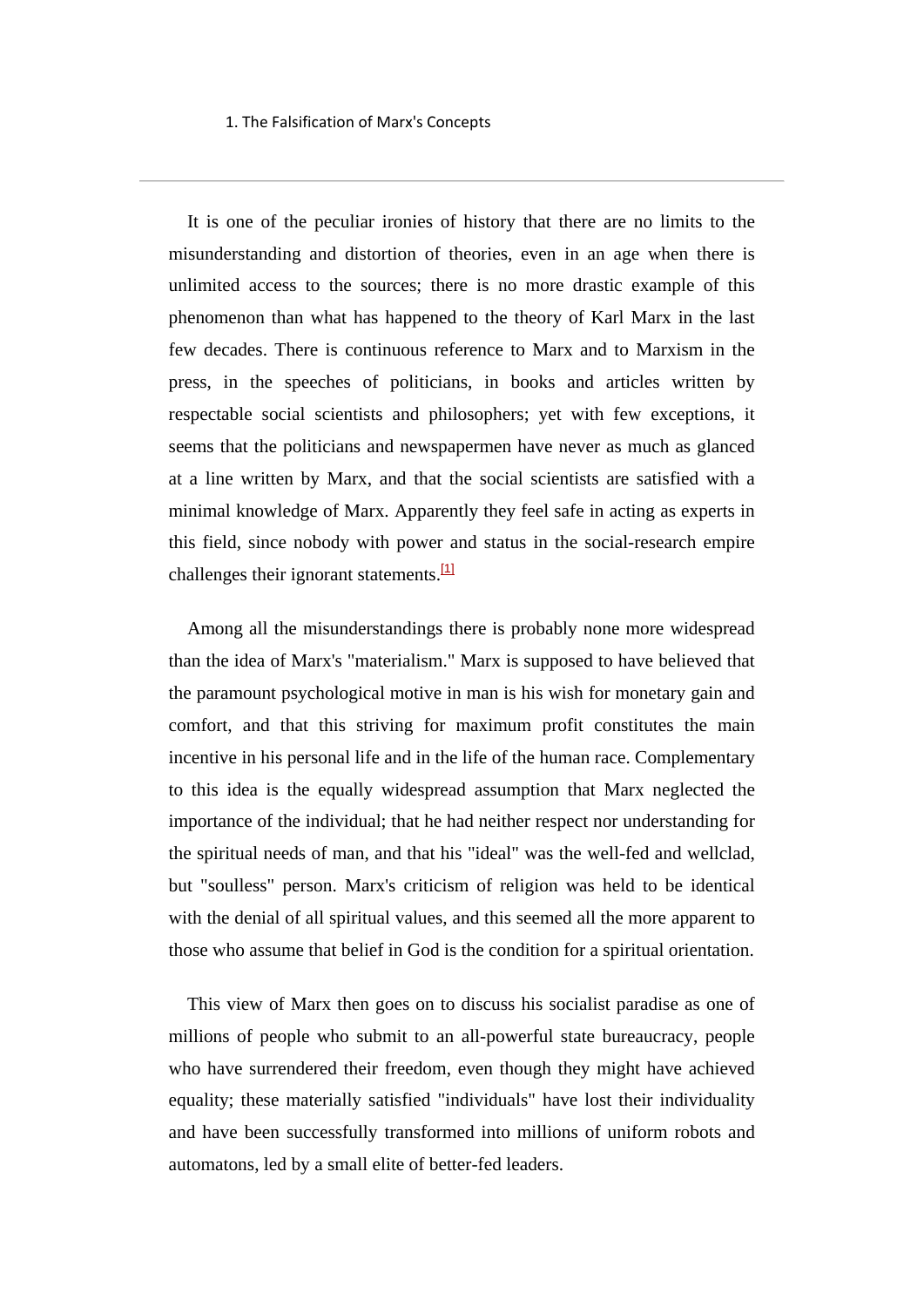#### 1. The Falsification of Marx's Concepts

It is one of the peculiar ironies of history that there are no limits to the misunderstanding and distortion of theories, even in an age when there is unlimited access to the sources; there is no more drastic example of this phenomenon than what has happened to the theory of Karl Marx in the last few decades. There is continuous reference to Marx and to Marxism in the press, in the speeches of politicians, in books and articles written by respectable social scientists and philosophers; yet with few exceptions, it seems that the politicians and newspapermen have never as much as glanced at a line written by Marx, and that the social scientists are satisfied with a minimal knowledge of Marx. Apparently they feel safe in acting as experts in this field, since nobody with power and status in the social-research empire challenges their ignorant statements. $\frac{11}{2}$ 

Among all the misunderstandings there is probably none more widespread than the idea of Marx's "materialism." Marx is supposed to have believed that the paramount psychological motive in man is his wish for monetary gain and comfort, and that this striving for maximum profit constitutes the main incentive in his personal life and in the life of the human race. Complementary to this idea is the equally widespread assumption that Marx neglected the importance of the individual; that he had neither respect nor understanding for the spiritual needs of man, and that his "ideal" was the well-fed and wellclad, but "soulless" person. Marx's criticism of religion was held to be identical with the denial of all spiritual values, and this seemed all the more apparent to those who assume that belief in God is the condition for a spiritual orientation.

This view of Marx then goes on to discuss his socialist paradise as one of millions of people who submit to an all-powerful state bureaucracy, people who have surrendered their freedom, even though they might have achieved equality; these materially satisfied "individuals" have lost their individuality and have been successfully transformed into millions of uniform robots and automatons, led by a small elite of better-fed leaders.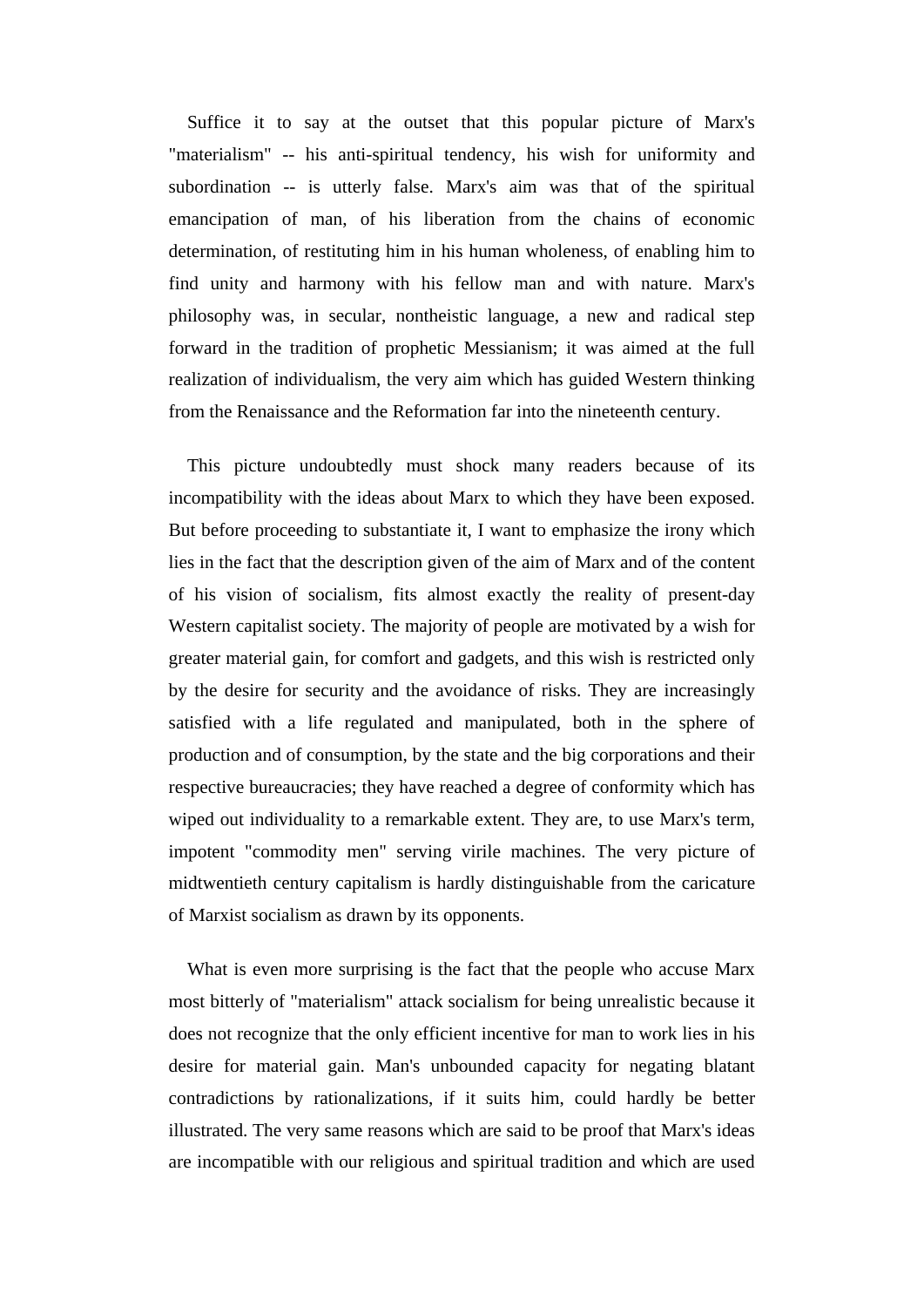Suffice it to say at the outset that this popular picture of Marx's "materialism" -- his anti-spiritual tendency, his wish for uniformity and subordination -- is utterly false. Marx's aim was that of the spiritual emancipation of man, of his liberation from the chains of economic determination, of restituting him in his human wholeness, of enabling him to find unity and harmony with his fellow man and with nature. Marx's philosophy was, in secular, nontheistic language, a new and radical step forward in the tradition of prophetic Messianism; it was aimed at the full realization of individualism, the very aim which has guided Western thinking from the Renaissance and the Reformation far into the nineteenth century.

This picture undoubtedly must shock many readers because of its incompatibility with the ideas about Marx to which they have been exposed. But before proceeding to substantiate it, I want to emphasize the irony which lies in the fact that the description given of the aim of Marx and of the content of his vision of socialism, fits almost exactly the reality of present-day Western capitalist society. The majority of people are motivated by a wish for greater material gain, for comfort and gadgets, and this wish is restricted only by the desire for security and the avoidance of risks. They are increasingly satisfied with a life regulated and manipulated, both in the sphere of production and of consumption, by the state and the big corporations and their respective bureaucracies; they have reached a degree of conformity which has wiped out individuality to a remarkable extent. They are, to use Marx's term, impotent "commodity men" serving virile machines. The very picture of midtwentieth century capitalism is hardly distinguishable from the caricature of Marxist socialism as drawn by its opponents.

What is even more surprising is the fact that the people who accuse Marx most bitterly of "materialism" attack socialism for being unrealistic because it does not recognize that the only efficient incentive for man to work lies in his desire for material gain. Man's unbounded capacity for negating blatant contradictions by rationalizations, if it suits him, could hardly be better illustrated. The very same reasons which are said to be proof that Marx's ideas are incompatible with our religious and spiritual tradition and which are used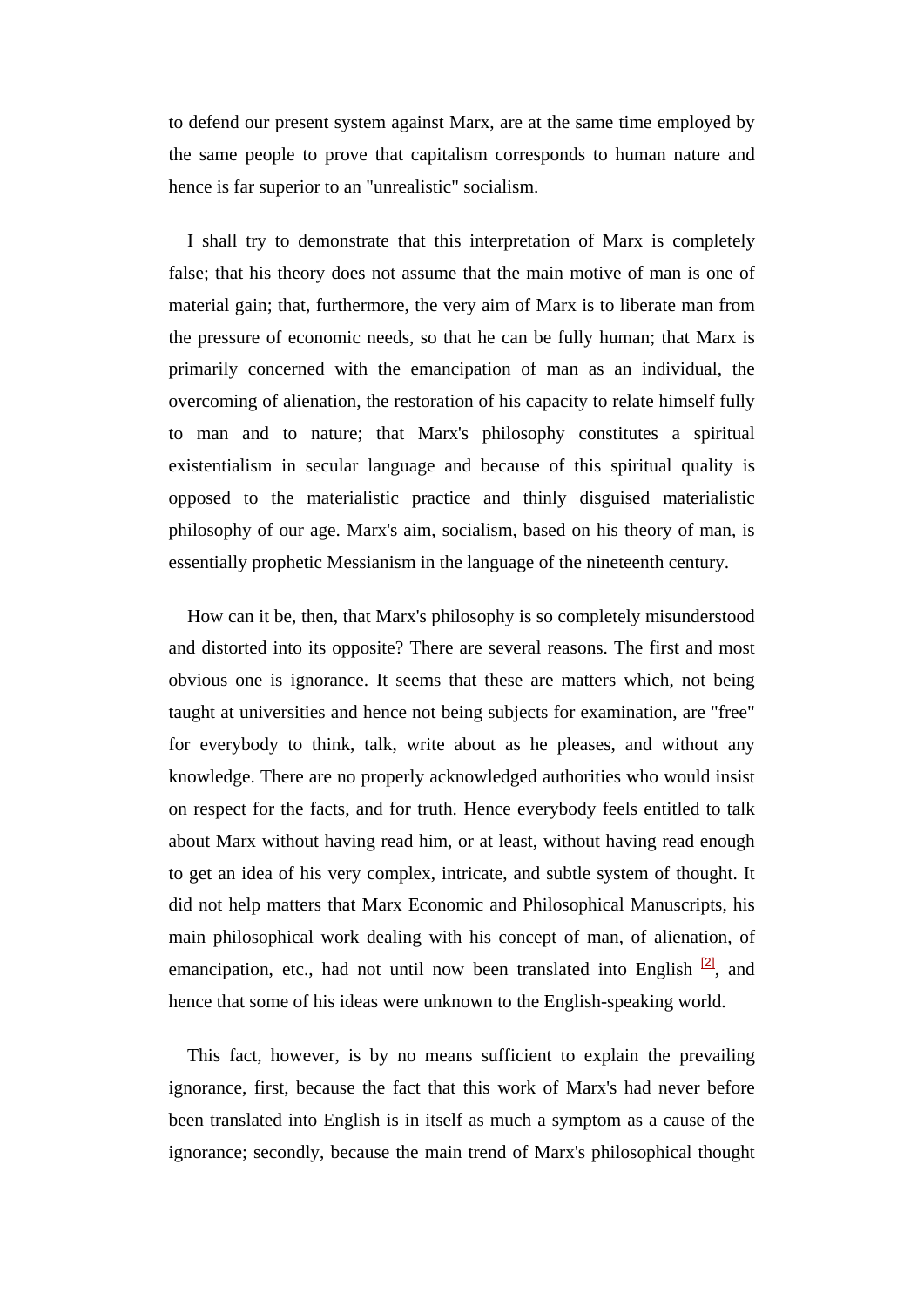to defend our present system against Marx, are at the same time employed by the same people to prove that capitalism corresponds to human nature and hence is far superior to an "unrealistic" socialism.

I shall try to demonstrate that this interpretation of Marx is completely false; that his theory does not assume that the main motive of man is one of material gain; that, furthermore, the very aim of Marx is to liberate man from the pressure of economic needs, so that he can be fully human; that Marx is primarily concerned with the emancipation of man as an individual, the overcoming of alienation, the restoration of his capacity to relate himself fully to man and to nature; that Marx's philosophy constitutes a spiritual existentialism in secular language and because of this spiritual quality is opposed to the materialistic practice and thinly disguised materialistic philosophy of our age. Marx's aim, socialism, based on his theory of man, is essentially prophetic Messianism in the language of the nineteenth century.

How can it be, then, that Marx's philosophy is so completely misunderstood and distorted into its opposite? There are several reasons. The first and most obvious one is ignorance. It seems that these are matters which, not being taught at universities and hence not being subjects for examination, are "free" for everybody to think, talk, write about as he pleases, and without any knowledge. There are no properly acknowledged authorities who would insist on respect for the facts, and for truth. Hence everybody feels entitled to talk about Marx without having read him, or at least, without having read enough to get an idea of his very complex, intricate, and subtle system of thought. It did not help matters that Marx Economic and Philosophical Manuscripts, his main philosophical work dealing with his concept of man, of alienation, of emancipation, etc., had not until now been translated into English  $\frac{2}{3}$ , and hence that some of his ideas were unknown to the English-speaking world.

This fact, however, is by no means sufficient to explain the prevailing ignorance, first, because the fact that this work of Marx's had never before been translated into English is in itself as much a symptom as a cause of the ignorance; secondly, because the main trend of Marx's philosophical thought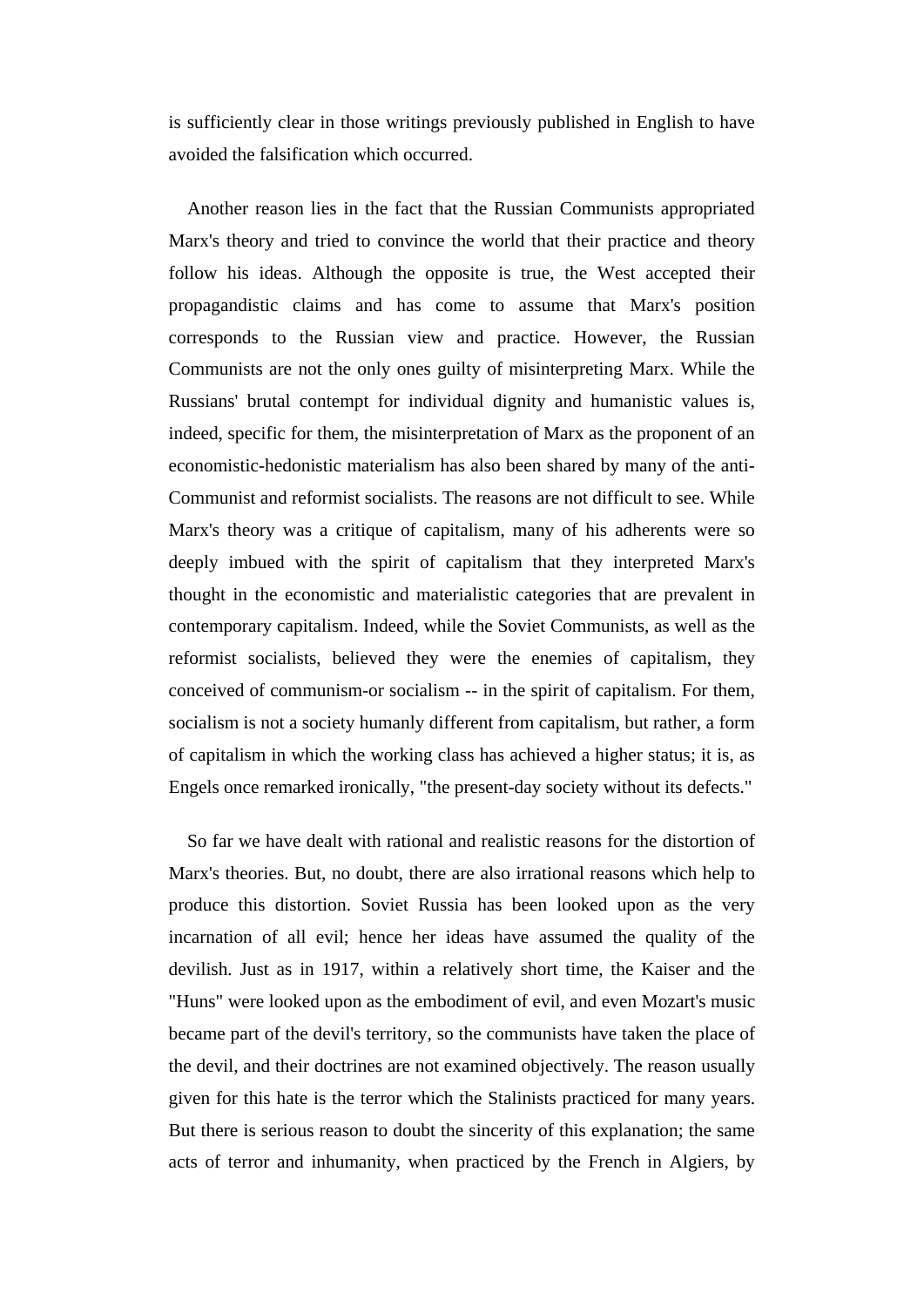is sufficiently clear in those writings previously published in English to have avoided the falsification which occurred.

Another reason lies in the fact that the Russian Communists appropriated Marx's theory and tried to convince the world that their practice and theory follow his ideas. Although the opposite is true, the West accepted their propagandistic claims and has come to assume that Marx's position corresponds to the Russian view and practice. However, the Russian Communists are not the only ones guilty of misinterpreting Marx. While the Russians' brutal contempt for individual dignity and humanistic values is, indeed, specific for them, the misinterpretation of Marx as the proponent of an economistic-hedonistic materialism has also been shared by many of the anti-Communist and reformist socialists. The reasons are not difficult to see. While Marx's theory was a critique of capitalism, many of his adherents were so deeply imbued with the spirit of capitalism that they interpreted Marx's thought in the economistic and materialistic categories that are prevalent in contemporary capitalism. Indeed, while the Soviet Communists, as well as the reformist socialists, believed they were the enemies of capitalism, they conceived of communism-or socialism -- in the spirit of capitalism. For them, socialism is not a society humanly different from capitalism, but rather, a form of capitalism in which the working class has achieved a higher status; it is, as Engels once remarked ironically, "the present-day society without its defects."

So far we have dealt with rational and realistic reasons for the distortion of Marx's theories. But, no doubt, there are also irrational reasons which help to produce this distortion. Soviet Russia has been looked upon as the very incarnation of all evil; hence her ideas have assumed the quality of the devilish. Just as in 1917, within a relatively short time, the Kaiser and the "Huns" were looked upon as the embodiment of evil, and even Mozart's music became part of the devil's territory, so the communists have taken the place of the devil, and their doctrines are not examined objectively. The reason usually given for this hate is the terror which the Stalinists practiced for many years. But there is serious reason to doubt the sincerity of this explanation; the same acts of terror and inhumanity, when practiced by the French in Algiers, by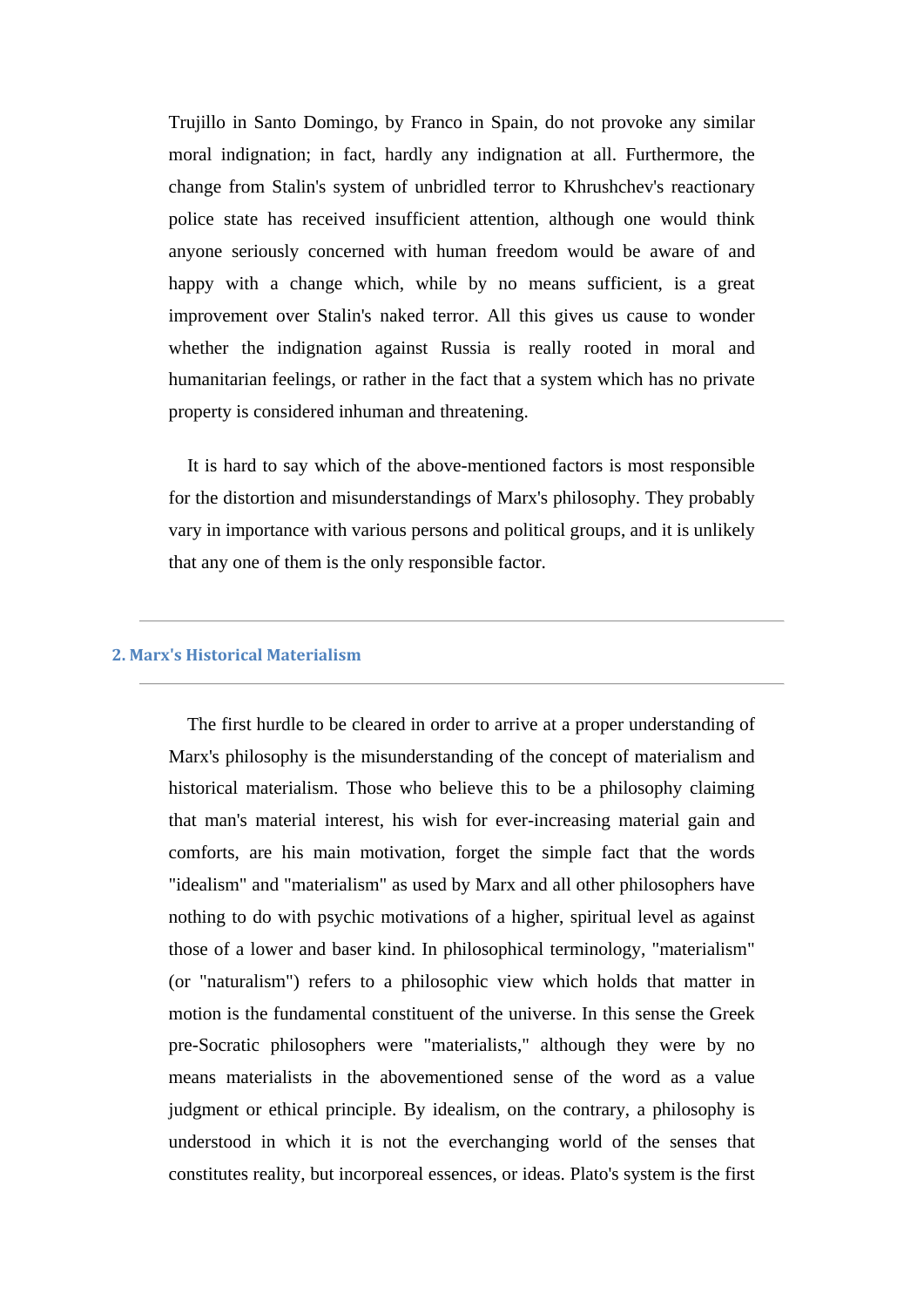Trujillo in Santo Domingo, by Franco in Spain, do not provoke any similar moral indignation; in fact, hardly any indignation at all. Furthermore, the change from Stalin's system of unbridled terror to Khrushchev's reactionary police state has received insufficient attention, although one would think anyone seriously concerned with human freedom would be aware of and happy with a change which, while by no means sufficient, is a great improvement over Stalin's naked terror. All this gives us cause to wonder whether the indignation against Russia is really rooted in moral and humanitarian feelings, or rather in the fact that a system which has no private property is considered inhuman and threatening.

It is hard to say which of the above-mentioned factors is most responsible for the distortion and misunderstandings of Marx's philosophy. They probably vary in importance with various persons and political groups, and it is unlikely that any one of them is the only responsible factor.

## **2. Marx's Historical Materialism**

The first hurdle to be cleared in order to arrive at a proper understanding of Marx's philosophy is the misunderstanding of the concept of materialism and historical materialism. Those who believe this to be a philosophy claiming that man's material interest, his wish for ever-increasing material gain and comforts, are his main motivation, forget the simple fact that the words "idealism" and "materialism" as used by Marx and all other philosophers have nothing to do with psychic motivations of a higher, spiritual level as against those of a lower and baser kind. In philosophical terminology, "materialism" (or "naturalism") refers to a philosophic view which holds that matter in motion is the fundamental constituent of the universe. In this sense the Greek pre-Socratic philosophers were "materialists," although they were by no means materialists in the abovementioned sense of the word as a value judgment or ethical principle. By idealism, on the contrary, a philosophy is understood in which it is not the everchanging world of the senses that constitutes reality, but incorporeal essences, or ideas. Plato's system is the first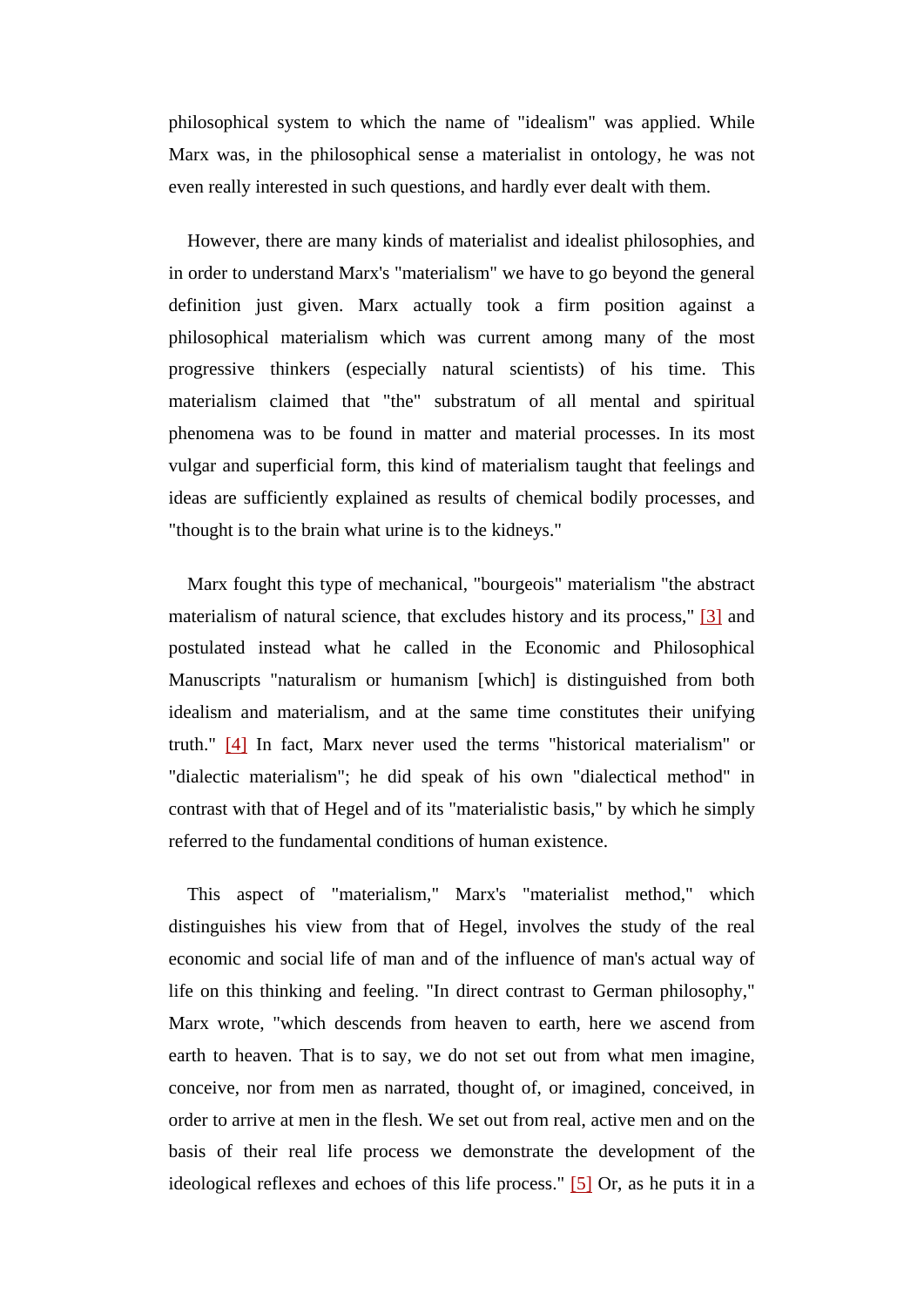philosophical system to which the name of "idealism" was applied. While Marx was, in the philosophical sense a materialist in ontology, he was not even really interested in such questions, and hardly ever dealt with them.

However, there are many kinds of materialist and idealist philosophies, and in order to understand Marx's "materialism" we have to go beyond the general definition just given. Marx actually took a firm position against a philosophical materialism which was current among many of the most progressive thinkers (especially natural scientists) of his time. This materialism claimed that "the" substratum of all mental and spiritual phenomena was to be found in matter and material processes. In its most vulgar and superficial form, this kind of materialism taught that feelings and ideas are sufficiently explained as results of chemical bodily processes, and "thought is to the brain what urine is to the kidneys."

Marx fought this type of mechanical, "bourgeois" materialism "the abstract materialism of natural science, that excludes history and its process," [3] and postulated instead what he called in the Economic and Philosophical Manuscripts "naturalism or humanism [which] is distinguished from both idealism and materialism, and at the same time constitutes their unifying truth." [4] In fact, Marx never used the terms "historical materialism" or "dialectic materialism"; he did speak of his own "dialectical method" in contrast with that of Hegel and of its "materialistic basis," by which he simply referred to the fundamental conditions of human existence.

This aspect of "materialism," Marx's "materialist method," which distinguishes his view from that of Hegel, involves the study of the real economic and social life of man and of the influence of man's actual way of life on this thinking and feeling. "In direct contrast to German philosophy," Marx wrote, "which descends from heaven to earth, here we ascend from earth to heaven. That is to say, we do not set out from what men imagine, conceive, nor from men as narrated, thought of, or imagined, conceived, in order to arrive at men in the flesh. We set out from real, active men and on the basis of their real life process we demonstrate the development of the ideological reflexes and echoes of this life process." [5] Or, as he puts it in a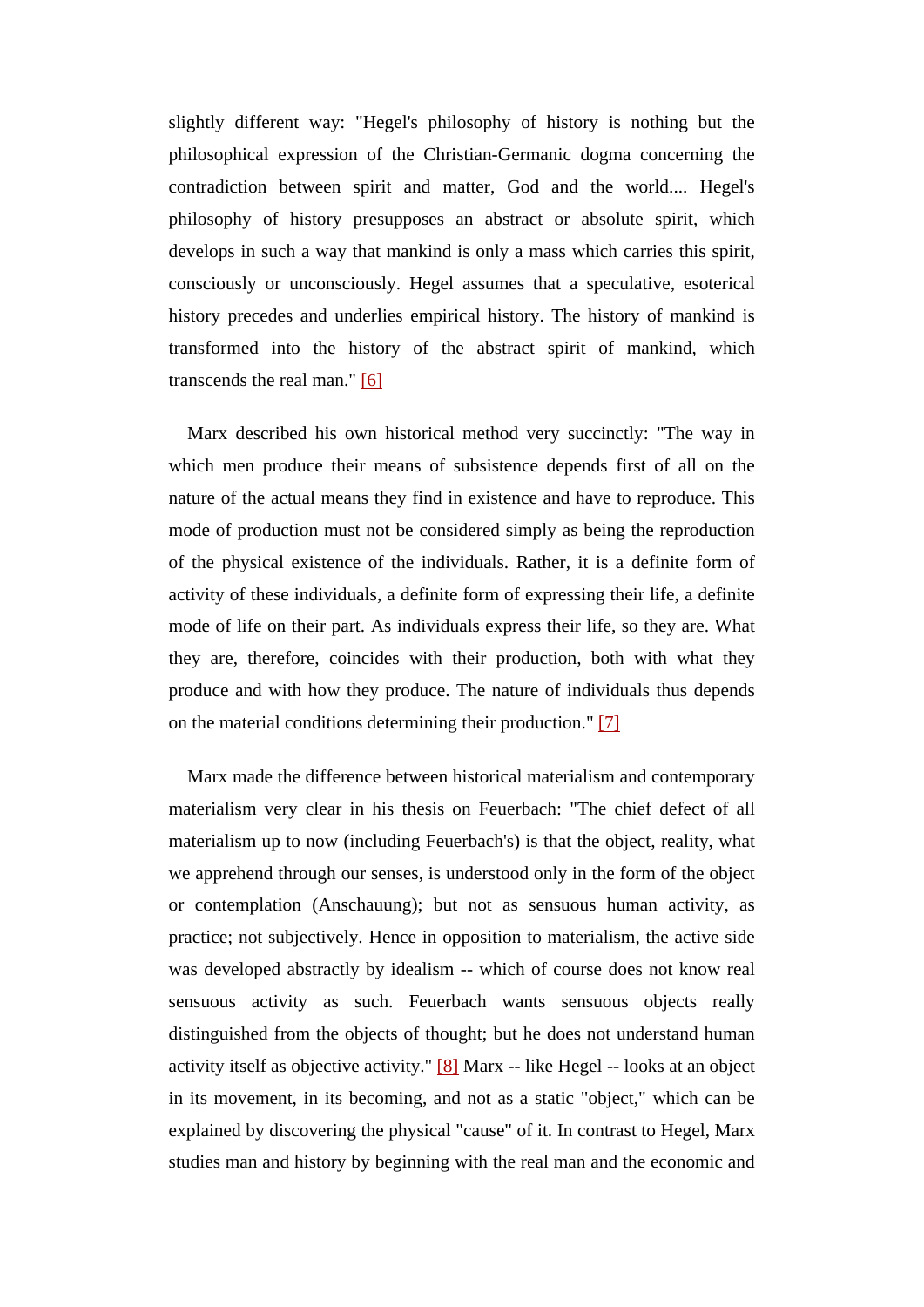slightly different way: "Hegel's philosophy of history is nothing but the philosophical expression of the Christian-Germanic dogma concerning the contradiction between spirit and matter, God and the world.... Hegel's philosophy of history presupposes an abstract or absolute spirit, which develops in such a way that mankind is only a mass which carries this spirit, consciously or unconsciously. Hegel assumes that a speculative, esoterical history precedes and underlies empirical history. The history of mankind is transformed into the history of the abstract spirit of mankind, which transcends the real man." [6]

Marx described his own historical method very succinctly: "The way in which men produce their means of subsistence depends first of all on the nature of the actual means they find in existence and have to reproduce. This mode of production must not be considered simply as being the reproduction of the physical existence of the individuals. Rather, it is a definite form of activity of these individuals, a definite form of expressing their life, a definite mode of life on their part. As individuals express their life, so they are. What they are, therefore, coincides with their production, both with what they produce and with how they produce. The nature of individuals thus depends on the material conditions determining their production." [7]

Marx made the difference between historical materialism and contemporary materialism very clear in his thesis on Feuerbach: "The chief defect of all materialism up to now (including Feuerbach's) is that the object, reality, what we apprehend through our senses, is understood only in the form of the object or contemplation (Anschauung); but not as sensuous human activity, as practice; not subjectively. Hence in opposition to materialism, the active side was developed abstractly by idealism -- which of course does not know real sensuous activity as such. Feuerbach wants sensuous objects really distinguished from the objects of thought; but he does not understand human activity itself as objective activity." [8] Marx -- like Hegel -- looks at an object in its movement, in its becoming, and not as a static "object," which can be explained by discovering the physical "cause" of it. In contrast to Hegel, Marx studies man and history by beginning with the real man and the economic and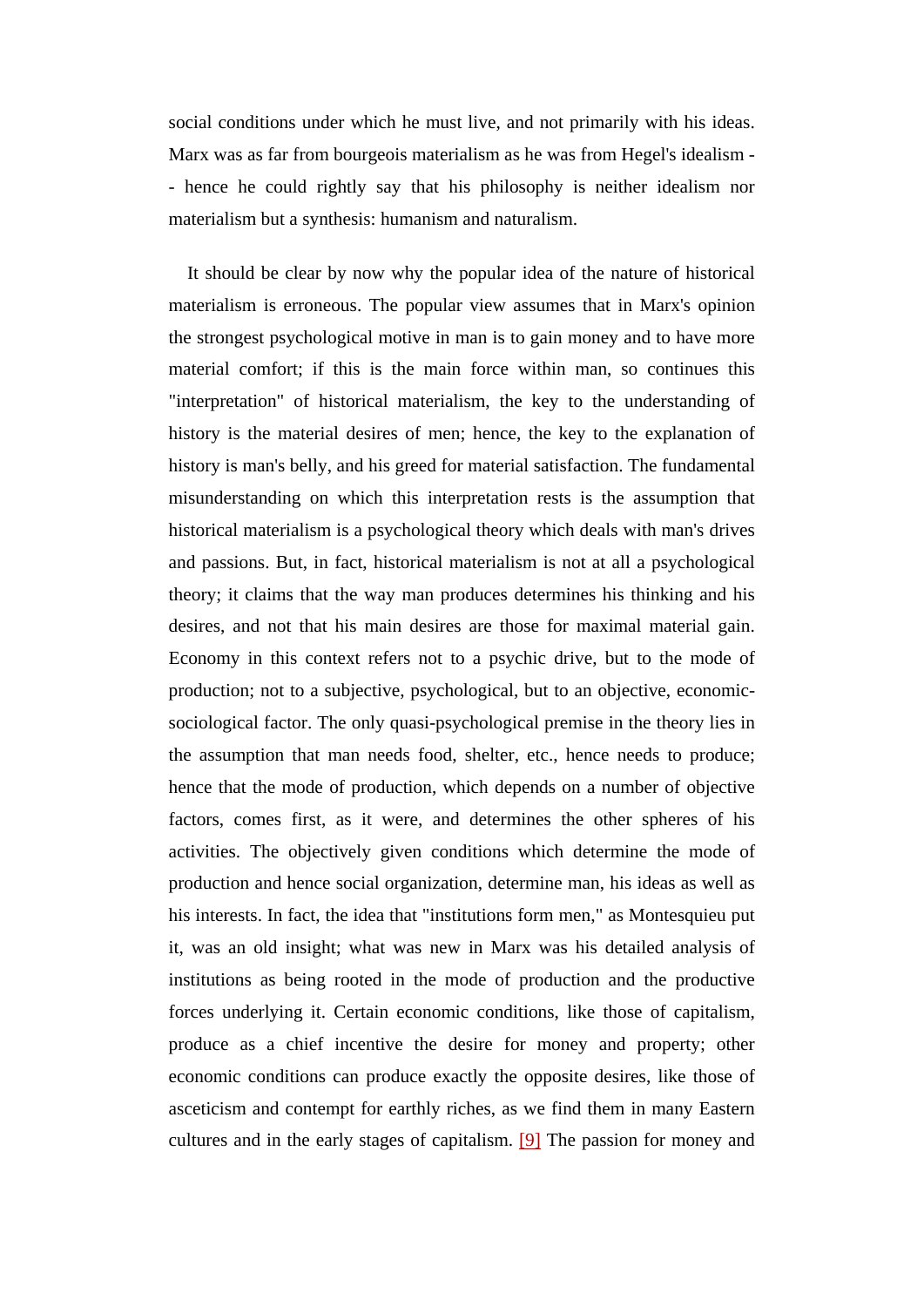social conditions under which he must live, and not primarily with his ideas. Marx was as far from bourgeois materialism as he was from Hegel's idealism - - hence he could rightly say that his philosophy is neither idealism nor materialism but a synthesis: humanism and naturalism.

It should be clear by now why the popular idea of the nature of historical materialism is erroneous. The popular view assumes that in Marx's opinion the strongest psychological motive in man is to gain money and to have more material comfort; if this is the main force within man, so continues this "interpretation" of historical materialism, the key to the understanding of history is the material desires of men; hence, the key to the explanation of history is man's belly, and his greed for material satisfaction. The fundamental misunderstanding on which this interpretation rests is the assumption that historical materialism is a psychological theory which deals with man's drives and passions. But, in fact, historical materialism is not at all a psychological theory; it claims that the way man produces determines his thinking and his desires, and not that his main desires are those for maximal material gain. Economy in this context refers not to a psychic drive, but to the mode of production; not to a subjective, psychological, but to an objective, economicsociological factor. The only quasi-psychological premise in the theory lies in the assumption that man needs food, shelter, etc., hence needs to produce; hence that the mode of production, which depends on a number of objective factors, comes first, as it were, and determines the other spheres of his activities. The objectively given conditions which determine the mode of production and hence social organization, determine man, his ideas as well as his interests. In fact, the idea that "institutions form men," as Montesquieu put it, was an old insight; what was new in Marx was his detailed analysis of institutions as being rooted in the mode of production and the productive forces underlying it. Certain economic conditions, like those of capitalism, produce as a chief incentive the desire for money and property; other economic conditions can produce exactly the opposite desires, like those of asceticism and contempt for earthly riches, as we find them in many Eastern cultures and in the early stages of capitalism. [9] The passion for money and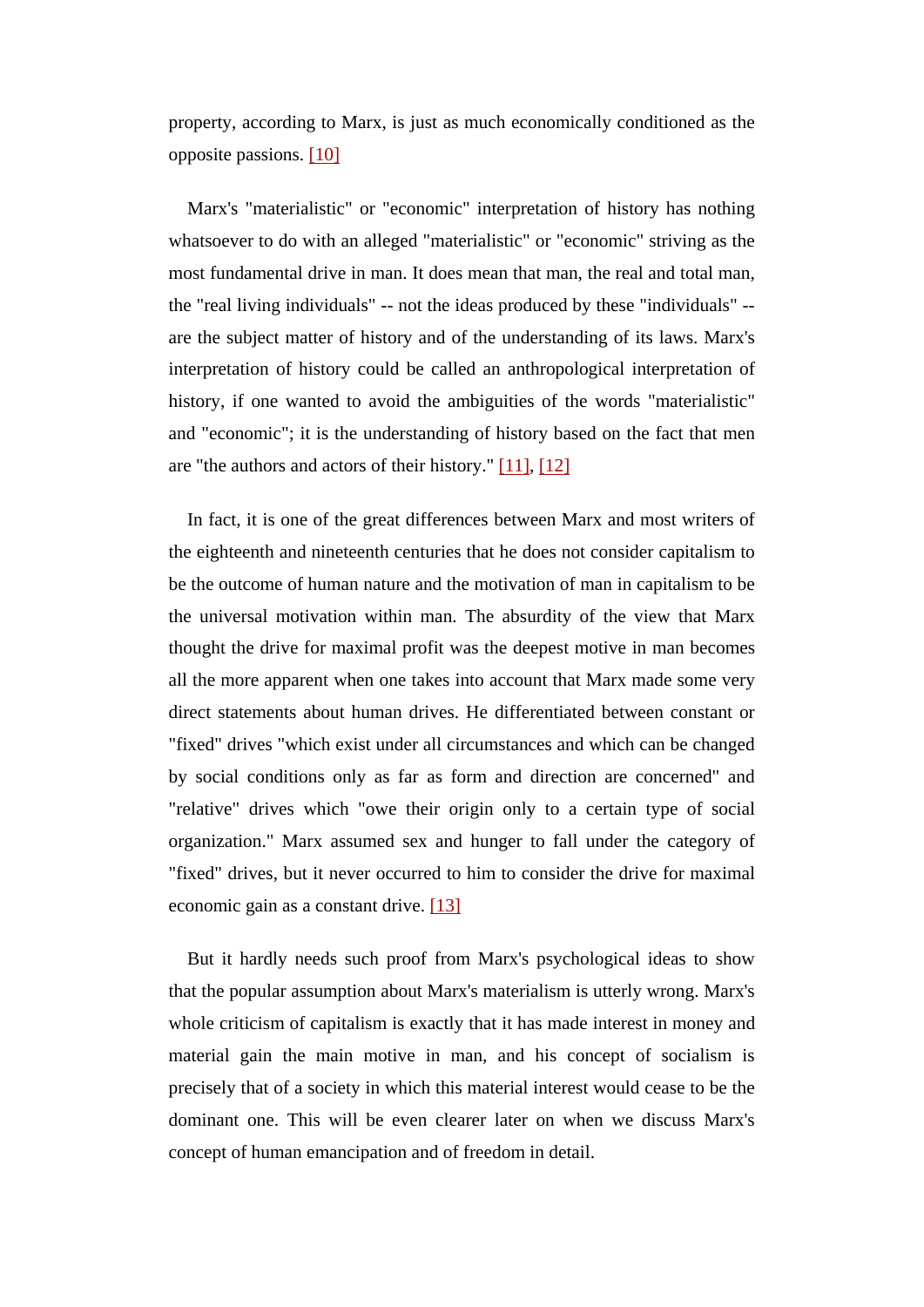property, according to Marx, is just as much economically conditioned as the opposite passions. [10]

Marx's "materialistic" or "economic" interpretation of history has nothing whatsoever to do with an alleged "materialistic" or "economic" striving as the most fundamental drive in man. It does mean that man, the real and total man, the "real living individuals" -- not the ideas produced by these "individuals" - are the subject matter of history and of the understanding of its laws. Marx's interpretation of history could be called an anthropological interpretation of history, if one wanted to avoid the ambiguities of the words "materialistic" and "economic"; it is the understanding of history based on the fact that men are "the authors and actors of their history." [11], [12]

In fact, it is one of the great differences between Marx and most writers of the eighteenth and nineteenth centuries that he does not consider capitalism to be the outcome of human nature and the motivation of man in capitalism to be the universal motivation within man. The absurdity of the view that Marx thought the drive for maximal profit was the deepest motive in man becomes all the more apparent when one takes into account that Marx made some very direct statements about human drives. He differentiated between constant or "fixed" drives "which exist under all circumstances and which can be changed by social conditions only as far as form and direction are concerned" and "relative" drives which "owe their origin only to a certain type of social organization." Marx assumed sex and hunger to fall under the category of "fixed" drives, but it never occurred to him to consider the drive for maximal economic gain as a constant drive. [13]

But it hardly needs such proof from Marx's psychological ideas to show that the popular assumption about Marx's materialism is utterly wrong. Marx's whole criticism of capitalism is exactly that it has made interest in money and material gain the main motive in man, and his concept of socialism is precisely that of a society in which this material interest would cease to be the dominant one. This will be even clearer later on when we discuss Marx's concept of human emancipation and of freedom in detail.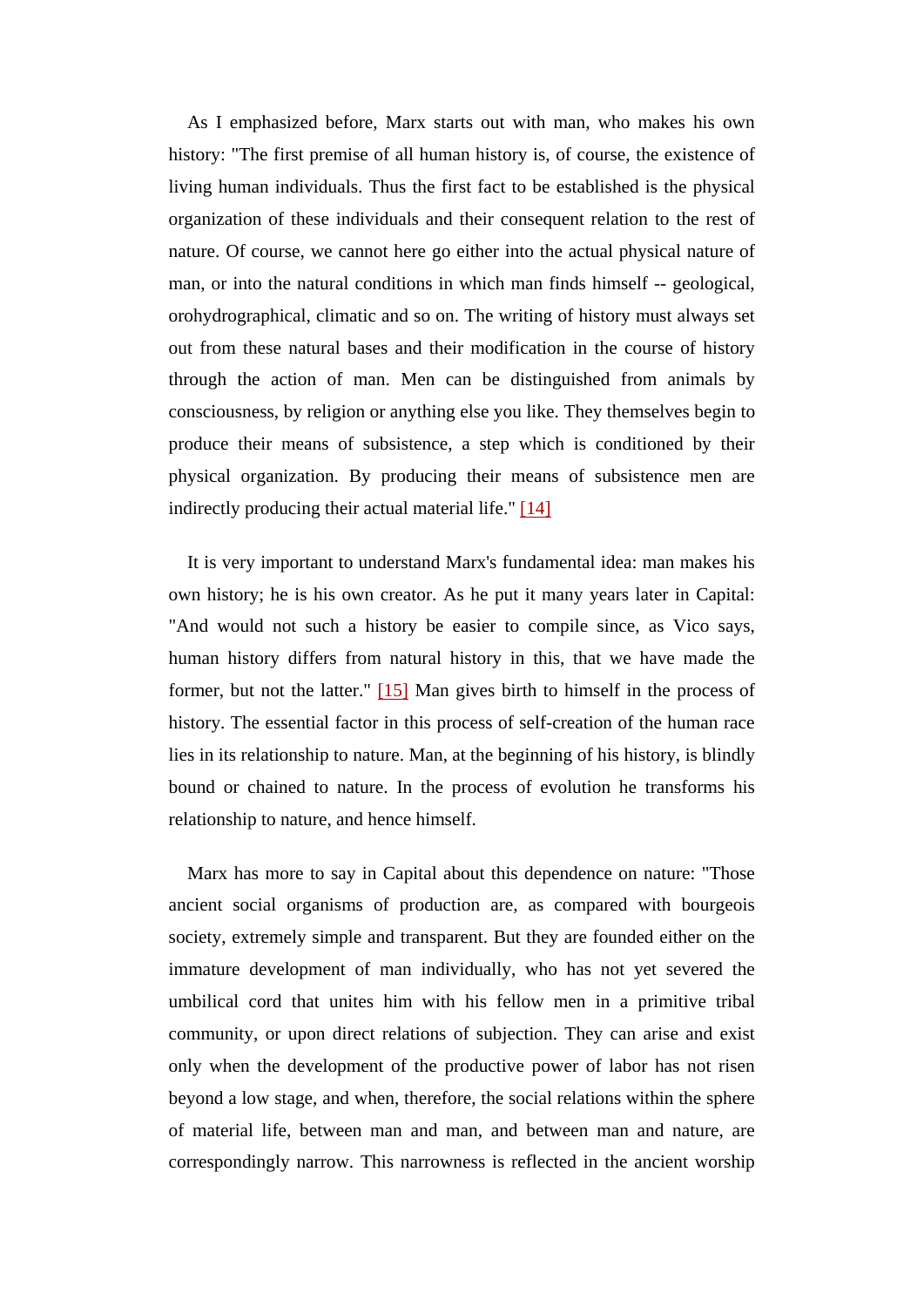As I emphasized before, Marx starts out with man, who makes his own history: "The first premise of all human history is, of course, the existence of living human individuals. Thus the first fact to be established is the physical organization of these individuals and their consequent relation to the rest of nature. Of course, we cannot here go either into the actual physical nature of man, or into the natural conditions in which man finds himself -- geological, orohydrographical, climatic and so on. The writing of history must always set out from these natural bases and their modification in the course of history through the action of man. Men can be distinguished from animals by consciousness, by religion or anything else you like. They themselves begin to produce their means of subsistence, a step which is conditioned by their physical organization. By producing their means of subsistence men are indirectly producing their actual material life." [14]

It is very important to understand Marx's fundamental idea: man makes his own history; he is his own creator. As he put it many years later in Capital: "And would not such a history be easier to compile since, as Vico says, human history differs from natural history in this, that we have made the former, but not the latter." [15] Man gives birth to himself in the process of history. The essential factor in this process of self-creation of the human race lies in its relationship to nature. Man, at the beginning of his history, is blindly bound or chained to nature. In the process of evolution he transforms his relationship to nature, and hence himself.

Marx has more to say in Capital about this dependence on nature: "Those ancient social organisms of production are, as compared with bourgeois society, extremely simple and transparent. But they are founded either on the immature development of man individually, who has not yet severed the umbilical cord that unites him with his fellow men in a primitive tribal community, or upon direct relations of subjection. They can arise and exist only when the development of the productive power of labor has not risen beyond a low stage, and when, therefore, the social relations within the sphere of material life, between man and man, and between man and nature, are correspondingly narrow. This narrowness is reflected in the ancient worship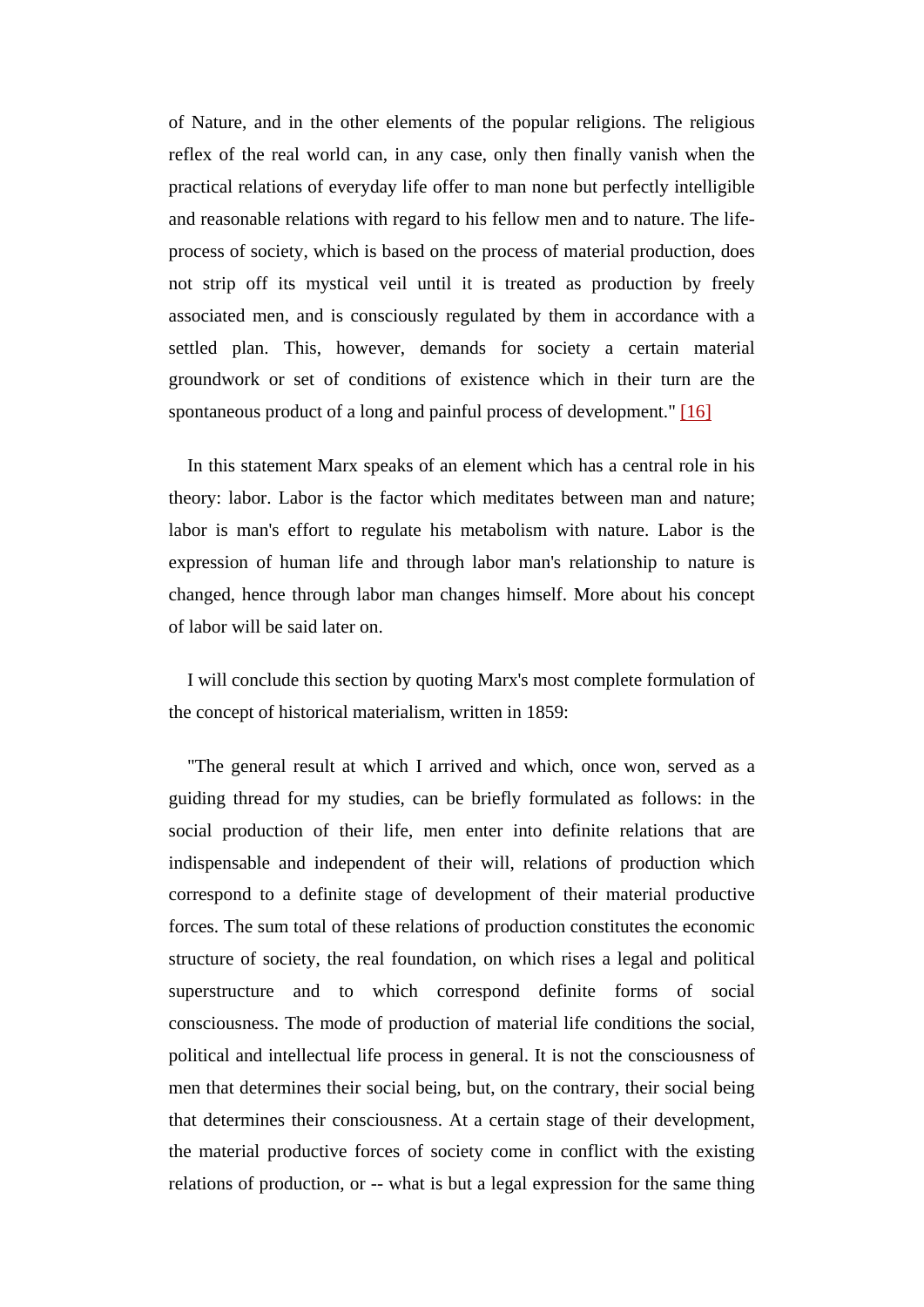of Nature, and in the other elements of the popular religions. The religious reflex of the real world can, in any case, only then finally vanish when the practical relations of everyday life offer to man none but perfectly intelligible and reasonable relations with regard to his fellow men and to nature. The lifeprocess of society, which is based on the process of material production, does not strip off its mystical veil until it is treated as production by freely associated men, and is consciously regulated by them in accordance with a settled plan. This, however, demands for society a certain material groundwork or set of conditions of existence which in their turn are the spontaneous product of a long and painful process of development." [16]

In this statement Marx speaks of an element which has a central role in his theory: labor. Labor is the factor which meditates between man and nature; labor is man's effort to regulate his metabolism with nature. Labor is the expression of human life and through labor man's relationship to nature is changed, hence through labor man changes himself. More about his concept of labor will be said later on.

I will conclude this section by quoting Marx's most complete formulation of the concept of historical materialism, written in 1859:

"The general result at which I arrived and which, once won, served as a guiding thread for my studies, can be briefly formulated as follows: in the social production of their life, men enter into definite relations that are indispensable and independent of their will, relations of production which correspond to a definite stage of development of their material productive forces. The sum total of these relations of production constitutes the economic structure of society, the real foundation, on which rises a legal and political superstructure and to which correspond definite forms of social consciousness. The mode of production of material life conditions the social, political and intellectual life process in general. It is not the consciousness of men that determines their social being, but, on the contrary, their social being that determines their consciousness. At a certain stage of their development, the material productive forces of society come in conflict with the existing relations of production, or -- what is but a legal expression for the same thing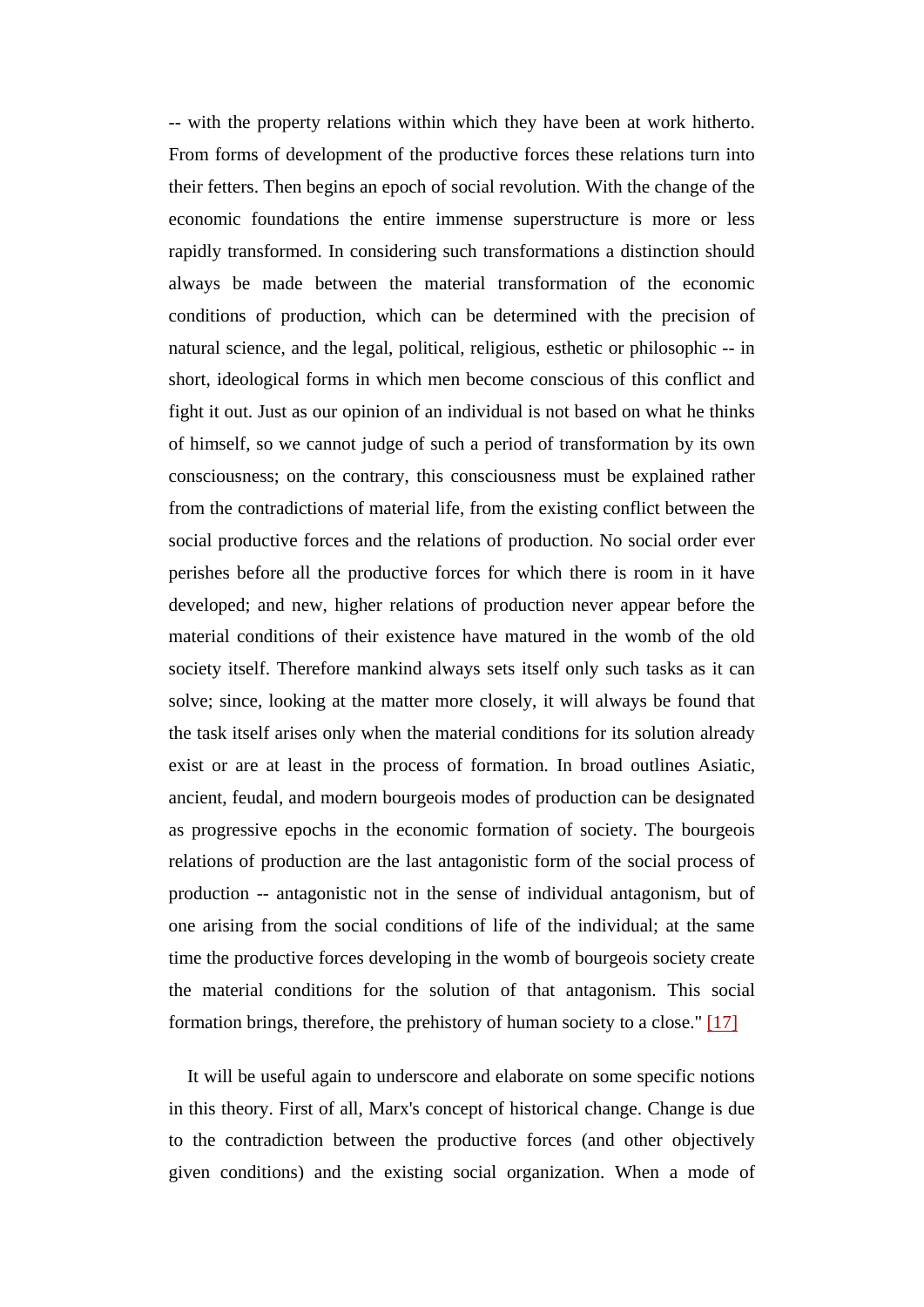-- with the property relations within which they have been at work hitherto. From forms of development of the productive forces these relations turn into their fetters. Then begins an epoch of social revolution. With the change of the economic foundations the entire immense superstructure is more or less rapidly transformed. In considering such transformations a distinction should always be made between the material transformation of the economic conditions of production, which can be determined with the precision of natural science, and the legal, political, religious, esthetic or philosophic -- in short, ideological forms in which men become conscious of this conflict and fight it out. Just as our opinion of an individual is not based on what he thinks of himself, so we cannot judge of such a period of transformation by its own consciousness; on the contrary, this consciousness must be explained rather from the contradictions of material life, from the existing conflict between the social productive forces and the relations of production. No social order ever perishes before all the productive forces for which there is room in it have developed; and new, higher relations of production never appear before the material conditions of their existence have matured in the womb of the old society itself. Therefore mankind always sets itself only such tasks as it can solve; since, looking at the matter more closely, it will always be found that the task itself arises only when the material conditions for its solution already exist or are at least in the process of formation. In broad outlines Asiatic, ancient, feudal, and modern bourgeois modes of production can be designated as progressive epochs in the economic formation of society. The bourgeois relations of production are the last antagonistic form of the social process of production -- antagonistic not in the sense of individual antagonism, but of one arising from the social conditions of life of the individual; at the same time the productive forces developing in the womb of bourgeois society create the material conditions for the solution of that antagonism. This social formation brings, therefore, the prehistory of human society to a close." [17]

It will be useful again to underscore and elaborate on some specific notions in this theory. First of all, Marx's concept of historical change. Change is due to the contradiction between the productive forces (and other objectively given conditions) and the existing social organization. When a mode of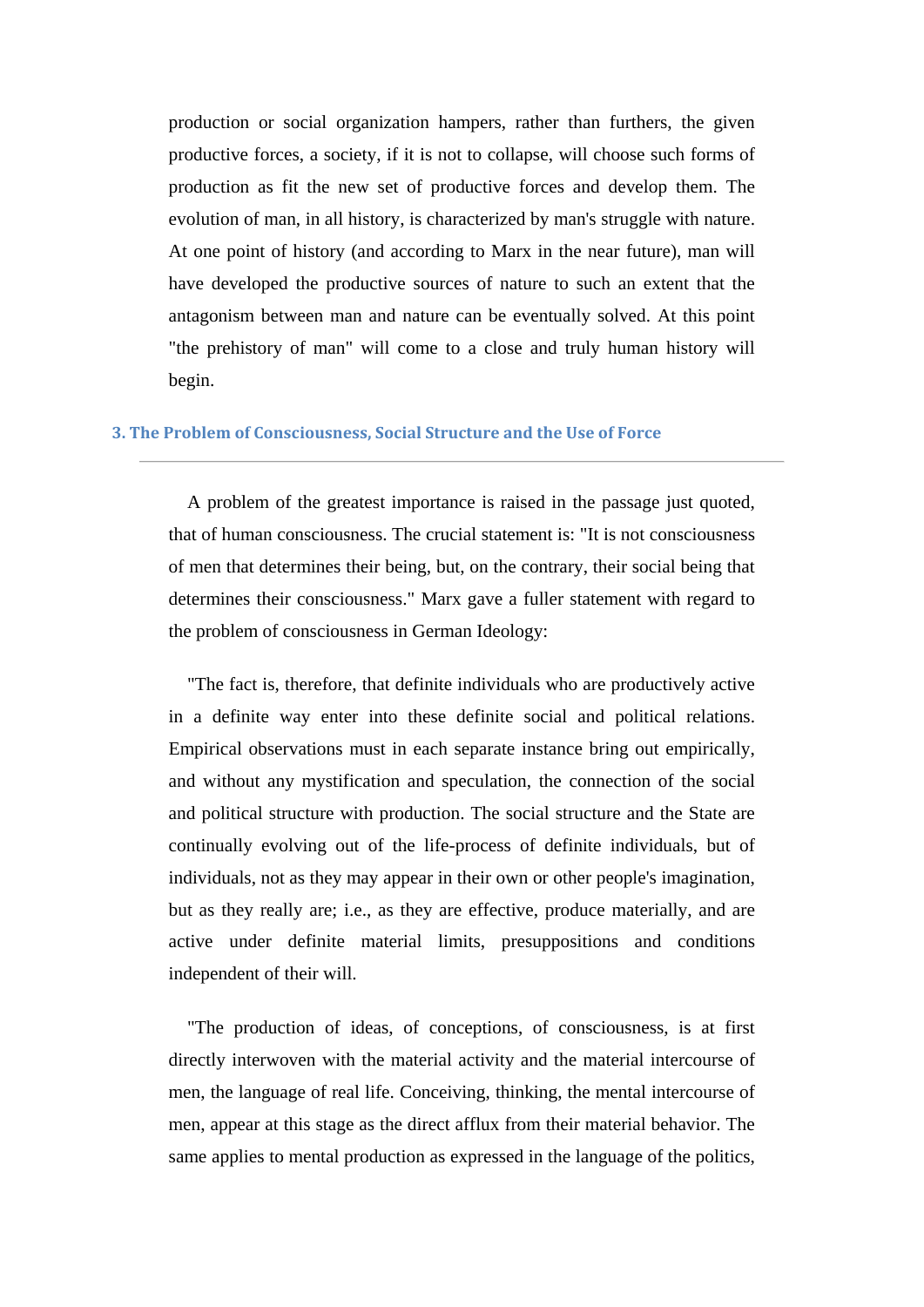production or social organization hampers, rather than furthers, the given productive forces, a society, if it is not to collapse, will choose such forms of production as fit the new set of productive forces and develop them. The evolution of man, in all history, is characterized by man's struggle with nature. At one point of history (and according to Marx in the near future), man will have developed the productive sources of nature to such an extent that the antagonism between man and nature can be eventually solved. At this point "the prehistory of man" will come to a close and truly human history will begin.

## **3. The Problem of Consciousness, Social Structure and the Use of Force**

A problem of the greatest importance is raised in the passage just quoted, that of human consciousness. The crucial statement is: "It is not consciousness of men that determines their being, but, on the contrary, their social being that determines their consciousness." Marx gave a fuller statement with regard to the problem of consciousness in German Ideology:

"The fact is, therefore, that definite individuals who are productively active in a definite way enter into these definite social and political relations. Empirical observations must in each separate instance bring out empirically, and without any mystification and speculation, the connection of the social and political structure with production. The social structure and the State are continually evolving out of the life-process of definite individuals, but of individuals, not as they may appear in their own or other people's imagination, but as they really are; i.e., as they are effective, produce materially, and are active under definite material limits, presuppositions and conditions independent of their will.

"The production of ideas, of conceptions, of consciousness, is at first directly interwoven with the material activity and the material intercourse of men, the language of real life. Conceiving, thinking, the mental intercourse of men, appear at this stage as the direct afflux from their material behavior. The same applies to mental production as expressed in the language of the politics,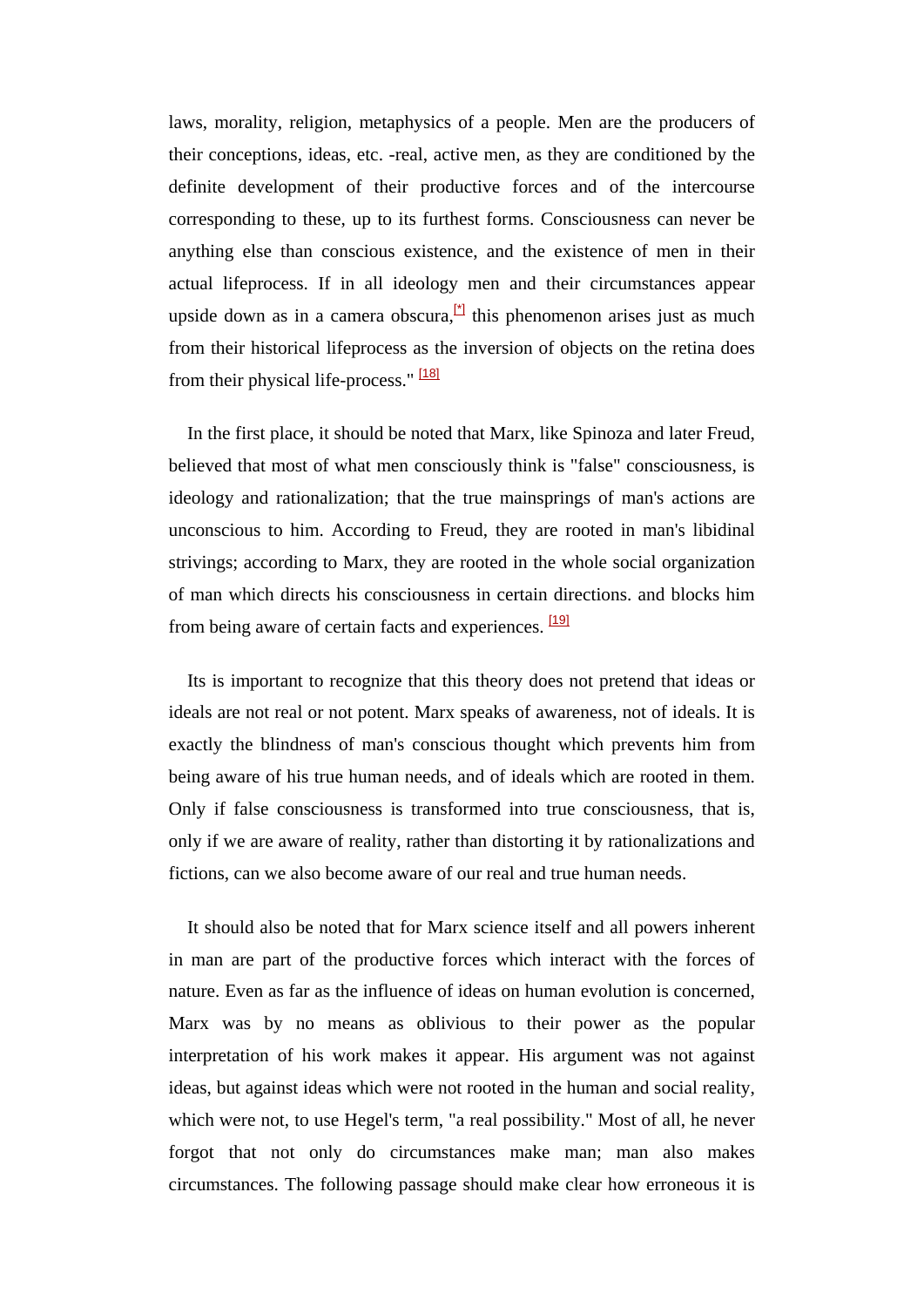laws, morality, religion, metaphysics of a people. Men are the producers of their conceptions, ideas, etc. -real, active men, as they are conditioned by the definite development of their productive forces and of the intercourse corresponding to these, up to its furthest forms. Consciousness can never be anything else than conscious existence, and the existence of men in their actual lifeprocess. If in all ideology men and their circumstances appear upside down as in a camera obscura,  $\mathbb{I}$  this phenomenon arises just as much from their historical lifeprocess as the inversion of objects on the retina does from their physical life-process." [18]

In the first place, it should be noted that Marx, like Spinoza and later Freud, believed that most of what men consciously think is "false" consciousness, is ideology and rationalization; that the true mainsprings of man's actions are unconscious to him. According to Freud, they are rooted in man's libidinal strivings; according to Marx, they are rooted in the whole social organization of man which directs his consciousness in certain directions. and blocks him from being aware of certain facts and experiences. <a>[19]</a>

Its is important to recognize that this theory does not pretend that ideas or ideals are not real or not potent. Marx speaks of awareness, not of ideals. It is exactly the blindness of man's conscious thought which prevents him from being aware of his true human needs, and of ideals which are rooted in them. Only if false consciousness is transformed into true consciousness, that is, only if we are aware of reality, rather than distorting it by rationalizations and fictions, can we also become aware of our real and true human needs.

It should also be noted that for Marx science itself and all powers inherent in man are part of the productive forces which interact with the forces of nature. Even as far as the influence of ideas on human evolution is concerned, Marx was by no means as oblivious to their power as the popular interpretation of his work makes it appear. His argument was not against ideas, but against ideas which were not rooted in the human and social reality, which were not, to use Hegel's term, "a real possibility." Most of all, he never forgot that not only do circumstances make man; man also makes circumstances. The following passage should make clear how erroneous it is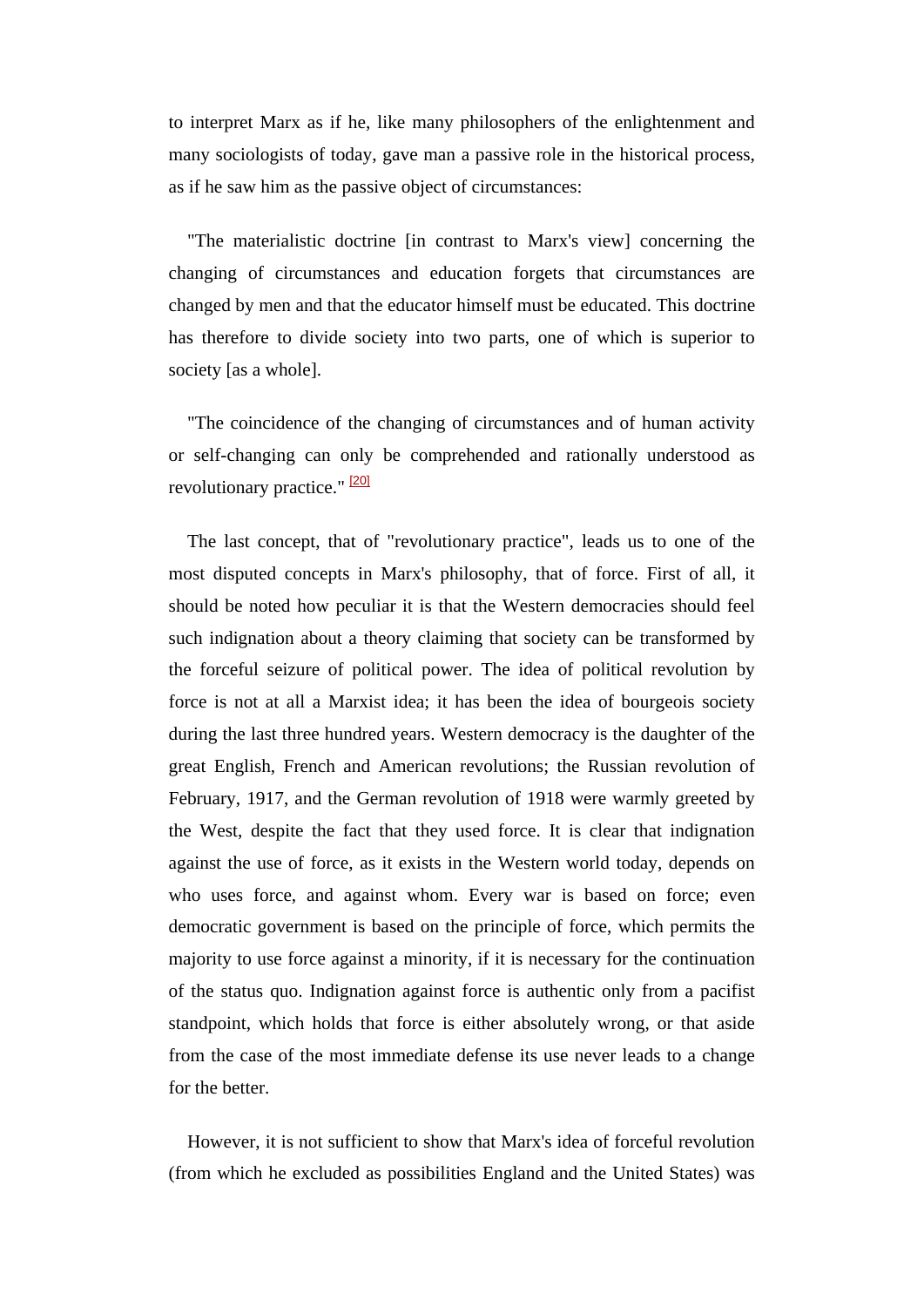to interpret Marx as if he, like many philosophers of the enlightenment and many sociologists of today, gave man a passive role in the historical process, as if he saw him as the passive object of circumstances:

"The materialistic doctrine [in contrast to Marx's view] concerning the changing of circumstances and education forgets that circumstances are changed by men and that the educator himself must be educated. This doctrine has therefore to divide society into two parts, one of which is superior to society [as a whole].

"The coincidence of the changing of circumstances and of human activity or self-changing can only be comprehended and rationally understood as revolutionary practice." <sup>[20]</sup>

The last concept, that of "revolutionary practice", leads us to one of the most disputed concepts in Marx's philosophy, that of force. First of all, it should be noted how peculiar it is that the Western democracies should feel such indignation about a theory claiming that society can be transformed by the forceful seizure of political power. The idea of political revolution by force is not at all a Marxist idea; it has been the idea of bourgeois society during the last three hundred years. Western democracy is the daughter of the great English, French and American revolutions; the Russian revolution of February, 1917, and the German revolution of 1918 were warmly greeted by the West, despite the fact that they used force. It is clear that indignation against the use of force, as it exists in the Western world today, depends on who uses force, and against whom. Every war is based on force; even democratic government is based on the principle of force, which permits the majority to use force against a minority, if it is necessary for the continuation of the status quo. Indignation against force is authentic only from a pacifist standpoint, which holds that force is either absolutely wrong, or that aside from the case of the most immediate defense its use never leads to a change for the better.

However, it is not sufficient to show that Marx's idea of forceful revolution (from which he excluded as possibilities England and the United States) was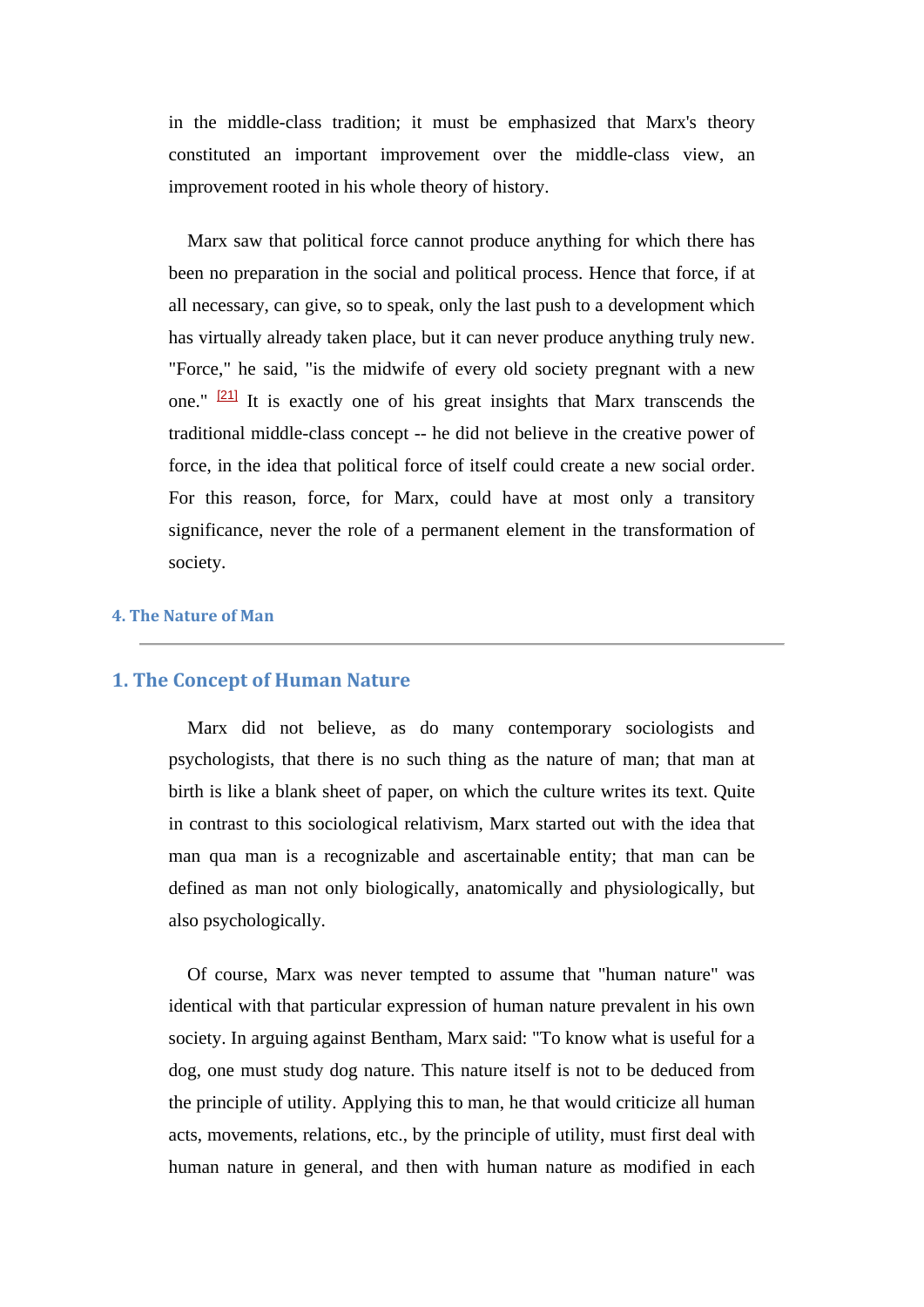in the middle-class tradition; it must be emphasized that Marx's theory constituted an important improvement over the middle-class view, an improvement rooted in his whole theory of history.

Marx saw that political force cannot produce anything for which there has been no preparation in the social and political process. Hence that force, if at all necessary, can give, so to speak, only the last push to a development which has virtually already taken place, but it can never produce anything truly new. "Force," he said, "is the midwife of every old society pregnant with a new one."  $\frac{[21]}{[21]}$  It is exactly one of his great insights that Marx transcends the traditional middle-class concept -- he did not believe in the creative power of force, in the idea that political force of itself could create a new social order. For this reason, force, for Marx, could have at most only a transitory significance, never the role of a permanent element in the transformation of society.

#### **4. The Nature of Man**

## **1. The Concept of Human Nature**

Marx did not believe, as do many contemporary sociologists and psychologists, that there is no such thing as the nature of man; that man at birth is like a blank sheet of paper, on which the culture writes its text. Quite in contrast to this sociological relativism, Marx started out with the idea that man qua man is a recognizable and ascertainable entity; that man can be defined as man not only biologically, anatomically and physiologically, but also psychologically.

Of course, Marx was never tempted to assume that "human nature" was identical with that particular expression of human nature prevalent in his own society. In arguing against Bentham, Marx said: "To know what is useful for a dog, one must study dog nature. This nature itself is not to be deduced from the principle of utility. Applying this to man, he that would criticize all human acts, movements, relations, etc., by the principle of utility, must first deal with human nature in general, and then with human nature as modified in each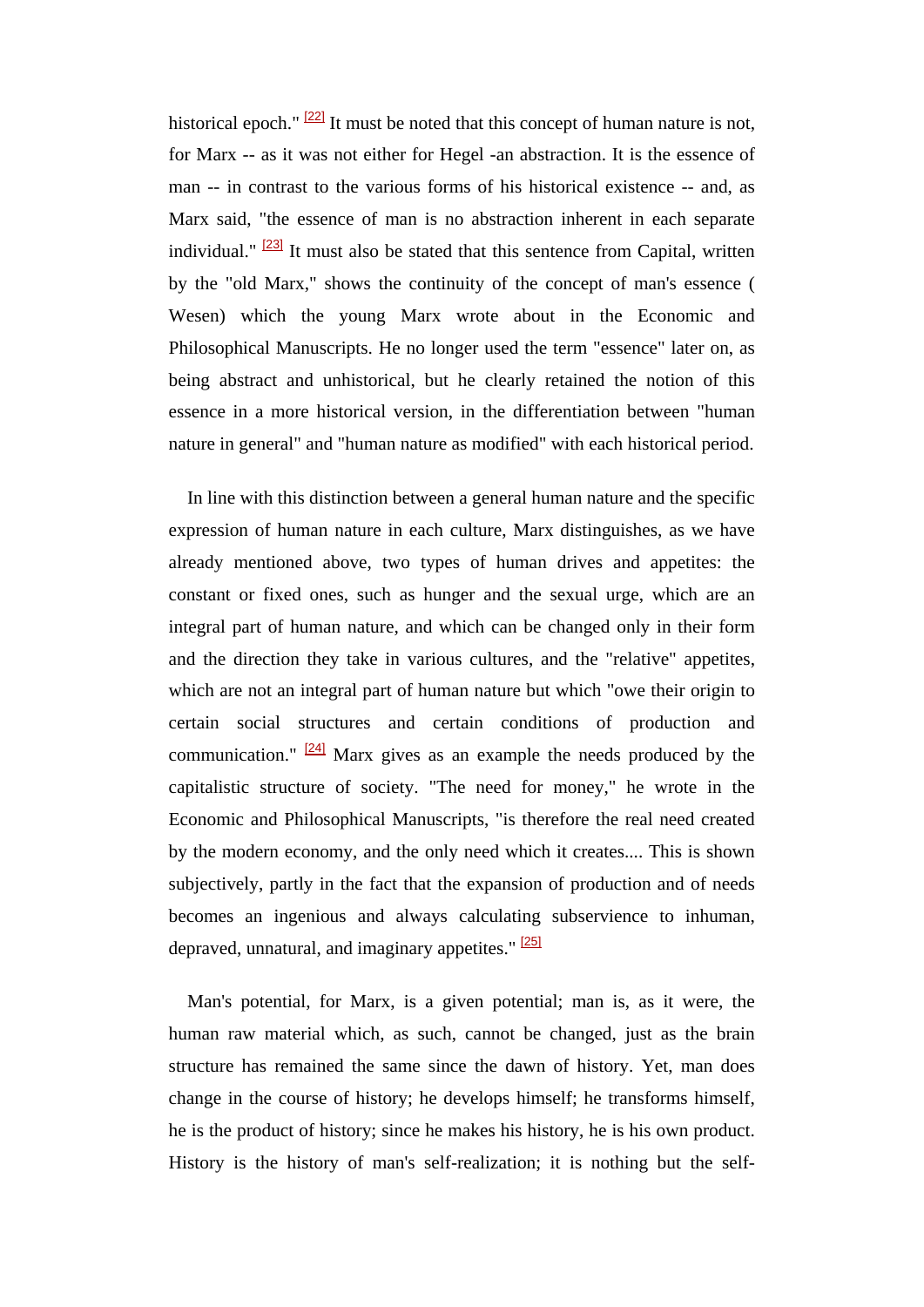historical epoch."  $\frac{[22]}{]}$  It must be noted that this concept of human nature is not, for Marx -- as it was not either for Hegel -an abstraction. It is the essence of man -- in contrast to the various forms of his historical existence -- and, as Marx said, "the essence of man is no abstraction inherent in each separate individual."  $\frac{[23]}{]}$  It must also be stated that this sentence from Capital, written by the "old Marx," shows the continuity of the concept of man's essence ( Wesen) which the young Marx wrote about in the Economic and Philosophical Manuscripts. He no longer used the term "essence" later on, as being abstract and unhistorical, but he clearly retained the notion of this essence in a more historical version, in the differentiation between "human nature in general" and "human nature as modified" with each historical period.

In line with this distinction between a general human nature and the specific expression of human nature in each culture, Marx distinguishes, as we have already mentioned above, two types of human drives and appetites: the constant or fixed ones, such as hunger and the sexual urge, which are an integral part of human nature, and which can be changed only in their form and the direction they take in various cultures, and the "relative" appetites, which are not an integral part of human nature but which "owe their origin to certain social structures and certain conditions of production and communication."  $[24]$  Marx gives as an example the needs produced by the capitalistic structure of society. "The need for money," he wrote in the Economic and Philosophical Manuscripts, "is therefore the real need created by the modern economy, and the only need which it creates.... This is shown subjectively, partly in the fact that the expansion of production and of needs becomes an ingenious and always calculating subservience to inhuman, depraved, unnatural, and imaginary appetites." <sup>[25]</sup>

Man's potential, for Marx, is a given potential; man is, as it were, the human raw material which, as such, cannot be changed, just as the brain structure has remained the same since the dawn of history. Yet, man does change in the course of history; he develops himself; he transforms himself, he is the product of history; since he makes his history, he is his own product. History is the history of man's self-realization; it is nothing but the self-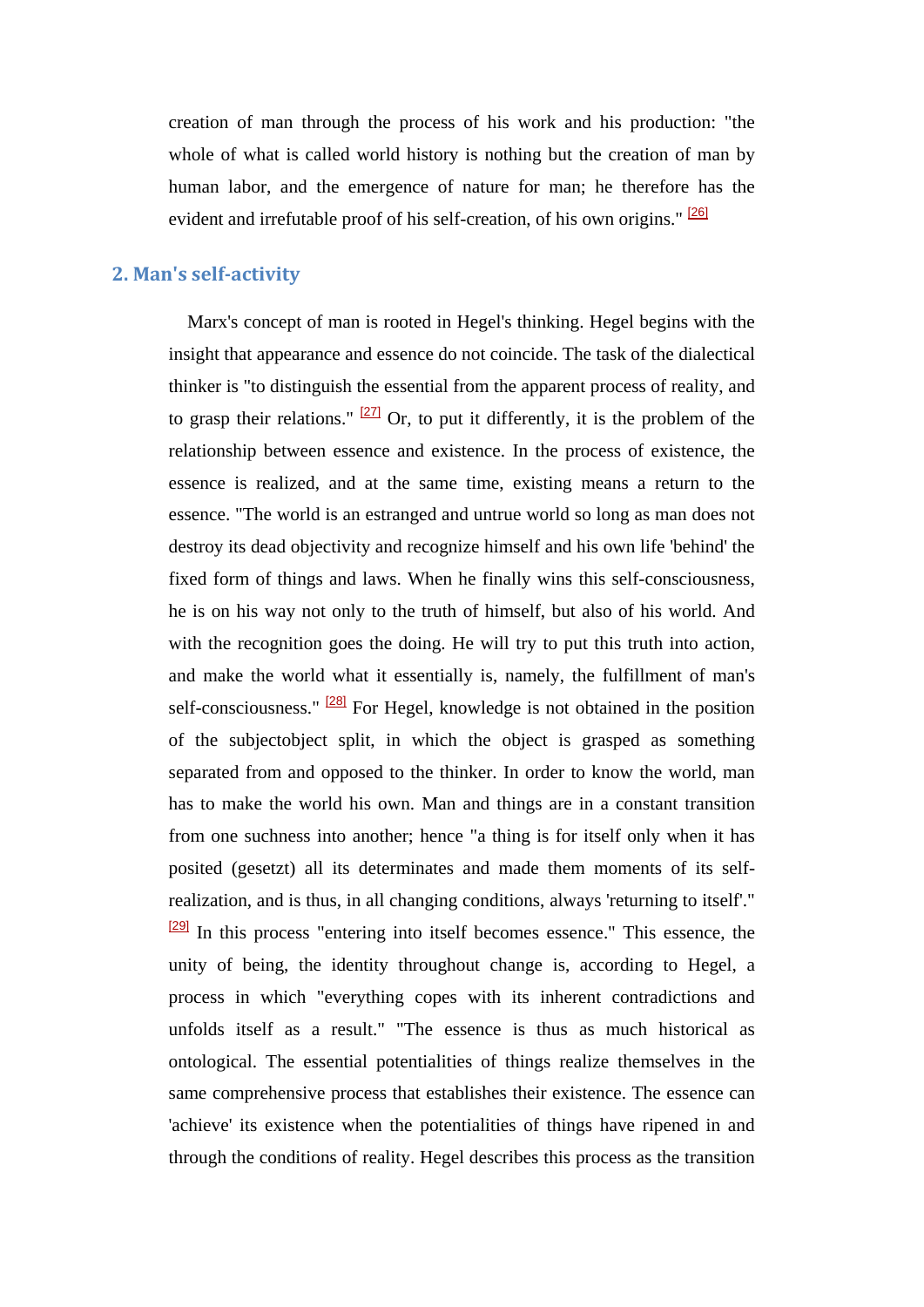creation of man through the process of his work and his production: "the whole of what is called world history is nothing but the creation of man by human labor, and the emergence of nature for man; he therefore has the evident and irrefutable proof of his self-creation, of his own origins." [26]

### **2. Man's self‐activity**

Marx's concept of man is rooted in Hegel's thinking. Hegel begins with the insight that appearance and essence do not coincide. The task of the dialectical thinker is "to distinguish the essential from the apparent process of reality, and to grasp their relations."  $\frac{[27]}{2}$  Or, to put it differently, it is the problem of the relationship between essence and existence. In the process of existence, the essence is realized, and at the same time, existing means a return to the essence. "The world is an estranged and untrue world so long as man does not destroy its dead objectivity and recognize himself and his own life 'behind' the fixed form of things and laws. When he finally wins this self-consciousness, he is on his way not only to the truth of himself, but also of his world. And with the recognition goes the doing. He will try to put this truth into action, and make the world what it essentially is, namely, the fulfillment of man's self-consciousness."  $\frac{[28]}{[28]}$  For Hegel, knowledge is not obtained in the position of the subjectobject split, in which the object is grasped as something separated from and opposed to the thinker. In order to know the world, man has to make the world his own. Man and things are in a constant transition from one suchness into another; hence "a thing is for itself only when it has posited (gesetzt) all its determinates and made them moments of its selfrealization, and is thus, in all changing conditions, always 'returning to itself'." [29] In this process "entering into itself becomes essence." This essence, the unity of being, the identity throughout change is, according to Hegel, a process in which "everything copes with its inherent contradictions and unfolds itself as a result." "The essence is thus as much historical as ontological. The essential potentialities of things realize themselves in the same comprehensive process that establishes their existence. The essence can 'achieve' its existence when the potentialities of things have ripened in and through the conditions of reality. Hegel describes this process as the transition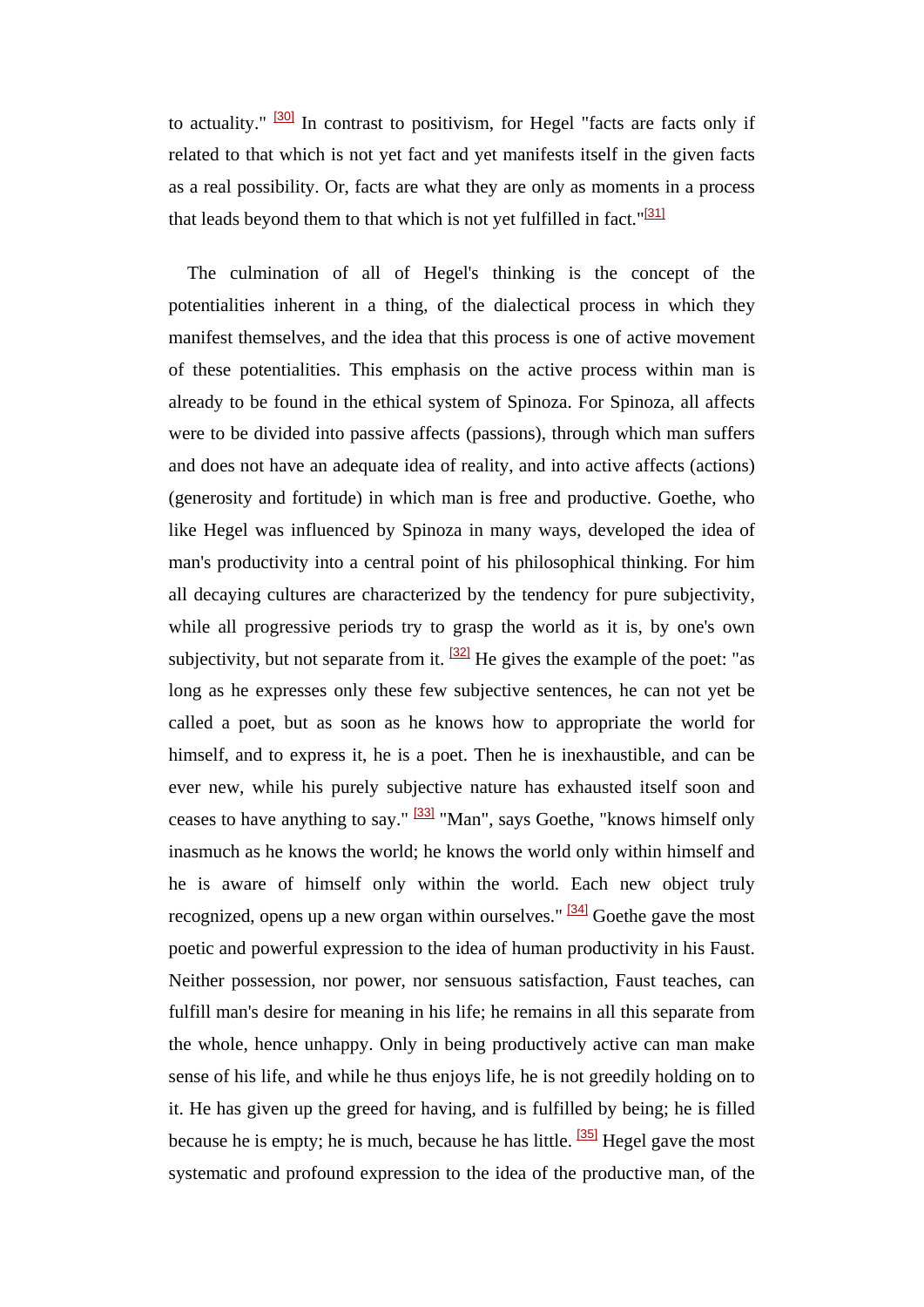to actuality."  $\frac{30}{100}$  In contrast to positivism, for Hegel "facts are facts only if related to that which is not yet fact and yet manifests itself in the given facts as a real possibility. Or, facts are what they are only as moments in a process that leads beyond them to that which is not yet fulfilled in fact."<sup>[31]</sup>

The culmination of all of Hegel's thinking is the concept of the potentialities inherent in a thing, of the dialectical process in which they manifest themselves, and the idea that this process is one of active movement of these potentialities. This emphasis on the active process within man is already to be found in the ethical system of Spinoza. For Spinoza, all affects were to be divided into passive affects (passions), through which man suffers and does not have an adequate idea of reality, and into active affects (actions) (generosity and fortitude) in which man is free and productive. Goethe, who like Hegel was influenced by Spinoza in many ways, developed the idea of man's productivity into a central point of his philosophical thinking. For him all decaying cultures are characterized by the tendency for pure subjectivity, while all progressive periods try to grasp the world as it is, by one's own subjectivity, but not separate from it.  $\frac{321}{12}$  He gives the example of the poet: "as long as he expresses only these few subjective sentences, he can not yet be called a poet, but as soon as he knows how to appropriate the world for himself, and to express it, he is a poet. Then he is inexhaustible, and can be ever new, while his purely subjective nature has exhausted itself soon and ceases to have anything to say."  $\frac{33}{3}$  "Man", says Goethe, "knows himself only inasmuch as he knows the world; he knows the world only within himself and he is aware of himself only within the world. Each new object truly recognized, opens up a new organ within ourselves."  $\frac{[34]}{]}$  Goethe gave the most poetic and powerful expression to the idea of human productivity in his Faust. Neither possession, nor power, nor sensuous satisfaction, Faust teaches, can fulfill man's desire for meaning in his life; he remains in all this separate from the whole, hence unhappy. Only in being productively active can man make sense of his life, and while he thus enjoys life, he is not greedily holding on to it. He has given up the greed for having, and is fulfilled by being; he is filled because he is empty; he is much, because he has little.  $\frac{35}{125}$  Hegel gave the most systematic and profound expression to the idea of the productive man, of the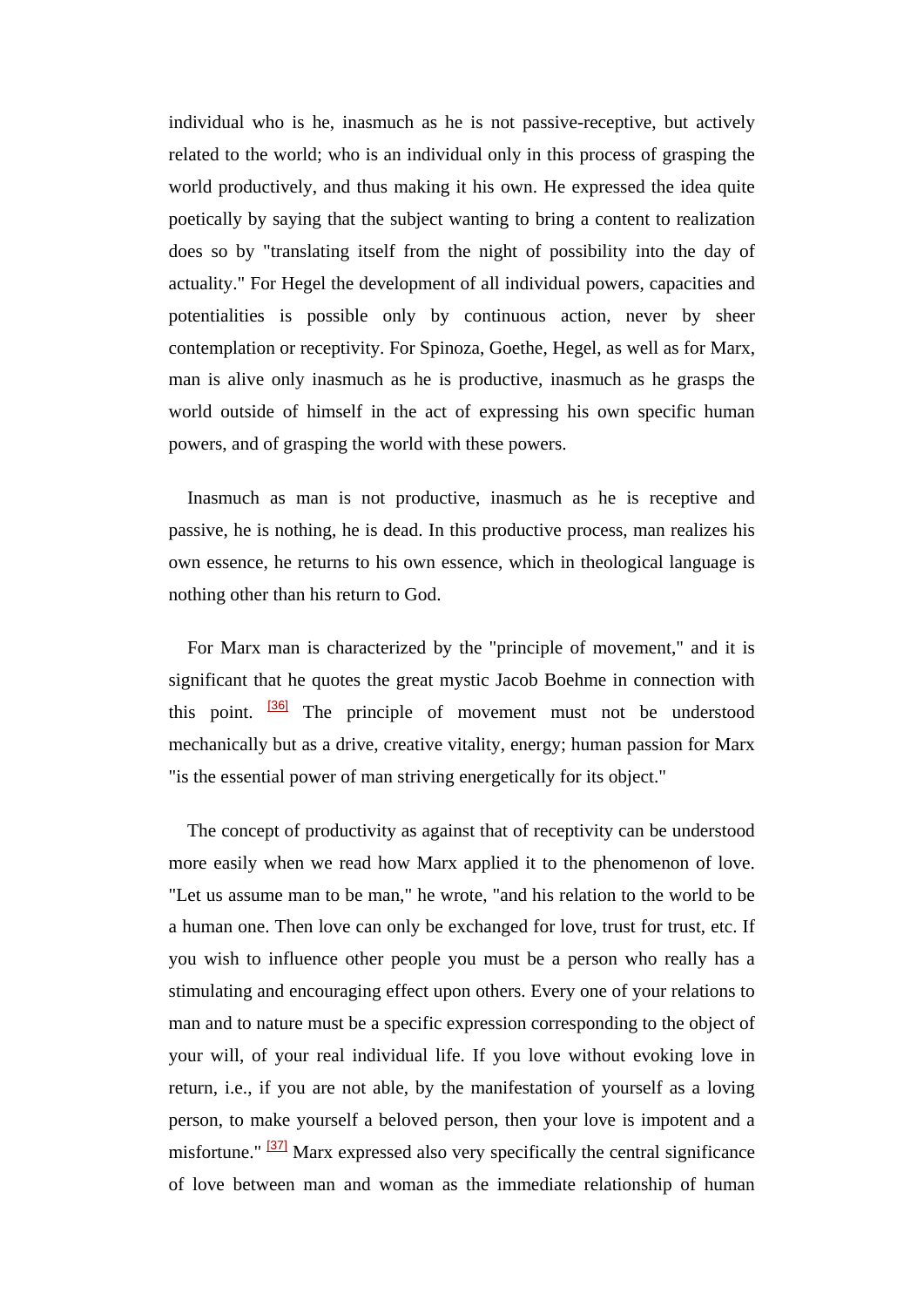individual who is he, inasmuch as he is not passive-receptive, but actively related to the world; who is an individual only in this process of grasping the world productively, and thus making it his own. He expressed the idea quite poetically by saying that the subject wanting to bring a content to realization does so by "translating itself from the night of possibility into the day of actuality." For Hegel the development of all individual powers, capacities and potentialities is possible only by continuous action, never by sheer contemplation or receptivity. For Spinoza, Goethe, Hegel, as well as for Marx, man is alive only inasmuch as he is productive, inasmuch as he grasps the world outside of himself in the act of expressing his own specific human powers, and of grasping the world with these powers.

Inasmuch as man is not productive, inasmuch as he is receptive and passive, he is nothing, he is dead. In this productive process, man realizes his own essence, he returns to his own essence, which in theological language is nothing other than his return to God.

For Marx man is characterized by the "principle of movement," and it is significant that he quotes the great mystic Jacob Boehme in connection with this point. <sup>[36]</sup> The principle of movement must not be understood mechanically but as a drive, creative vitality, energy; human passion for Marx "is the essential power of man striving energetically for its object."

The concept of productivity as against that of receptivity can be understood more easily when we read how Marx applied it to the phenomenon of love. "Let us assume man to be man," he wrote, "and his relation to the world to be a human one. Then love can only be exchanged for love, trust for trust, etc. If you wish to influence other people you must be a person who really has a stimulating and encouraging effect upon others. Every one of your relations to man and to nature must be a specific expression corresponding to the object of your will, of your real individual life. If you love without evoking love in return, i.e., if you are not able, by the manifestation of yourself as a loving person, to make yourself a beloved person, then your love is impotent and a misfortune."  $\frac{37}{2}$  Marx expressed also very specifically the central significance of love between man and woman as the immediate relationship of human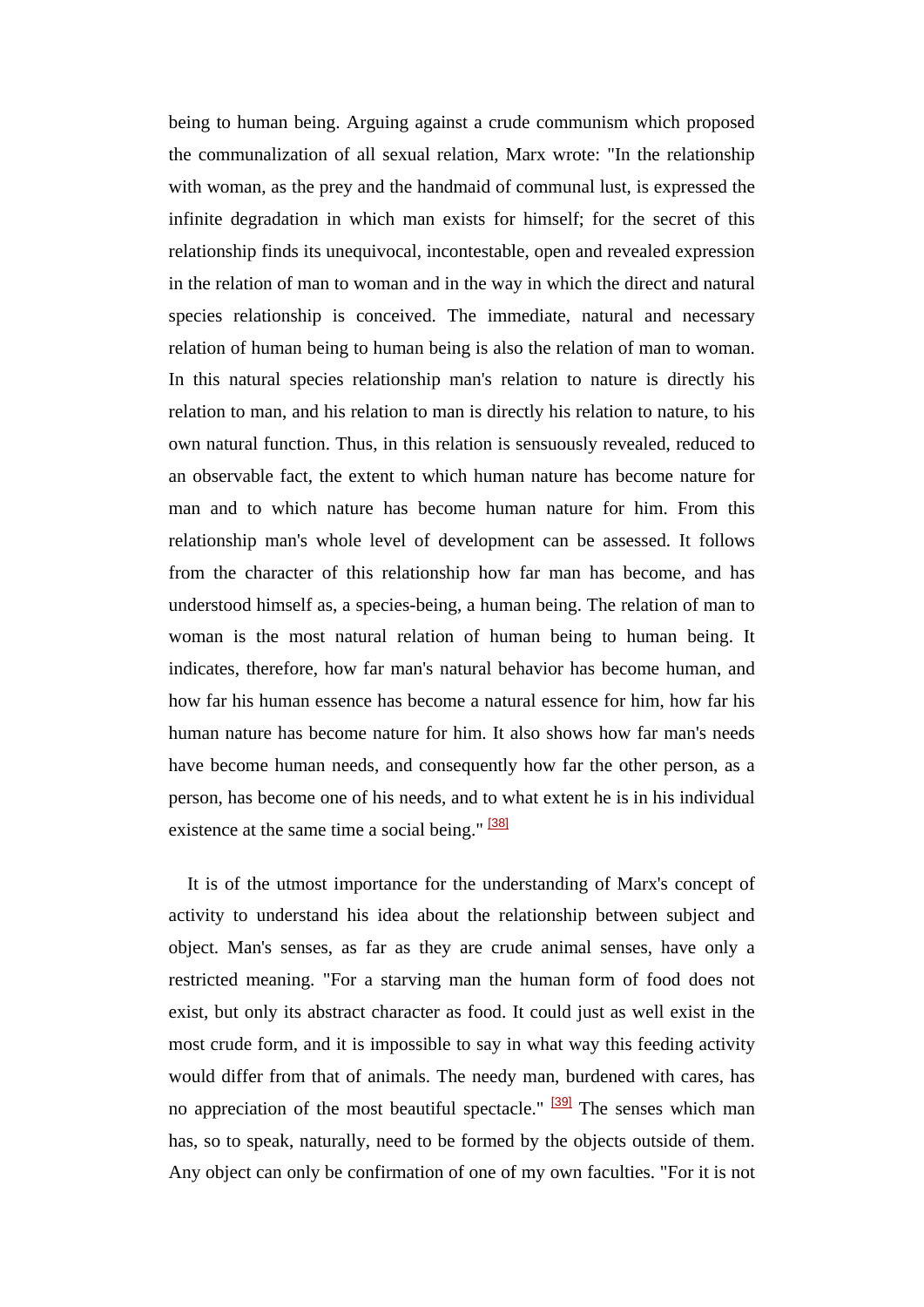being to human being. Arguing against a crude communism which proposed the communalization of all sexual relation, Marx wrote: "In the relationship with woman, as the prey and the handmaid of communal lust, is expressed the infinite degradation in which man exists for himself; for the secret of this relationship finds its unequivocal, incontestable, open and revealed expression in the relation of man to woman and in the way in which the direct and natural species relationship is conceived. The immediate, natural and necessary relation of human being to human being is also the relation of man to woman. In this natural species relationship man's relation to nature is directly his relation to man, and his relation to man is directly his relation to nature, to his own natural function. Thus, in this relation is sensuously revealed, reduced to an observable fact, the extent to which human nature has become nature for man and to which nature has become human nature for him. From this relationship man's whole level of development can be assessed. It follows from the character of this relationship how far man has become, and has understood himself as, a species-being, a human being. The relation of man to woman is the most natural relation of human being to human being. It indicates, therefore, how far man's natural behavior has become human, and how far his human essence has become a natural essence for him, how far his human nature has become nature for him. It also shows how far man's needs have become human needs, and consequently how far the other person, as a person, has become one of his needs, and to what extent he is in his individual existence at the same time a social being." [38]

It is of the utmost importance for the understanding of Marx's concept of activity to understand his idea about the relationship between subject and object. Man's senses, as far as they are crude animal senses, have only a restricted meaning. "For a starving man the human form of food does not exist, but only its abstract character as food. It could just as well exist in the most crude form, and it is impossible to say in what way this feeding activity would differ from that of animals. The needy man, burdened with cares, has no appreciation of the most beautiful spectacle." <sup>[39]</sup> The senses which man has, so to speak, naturally, need to be formed by the objects outside of them. Any object can only be confirmation of one of my own faculties. "For it is not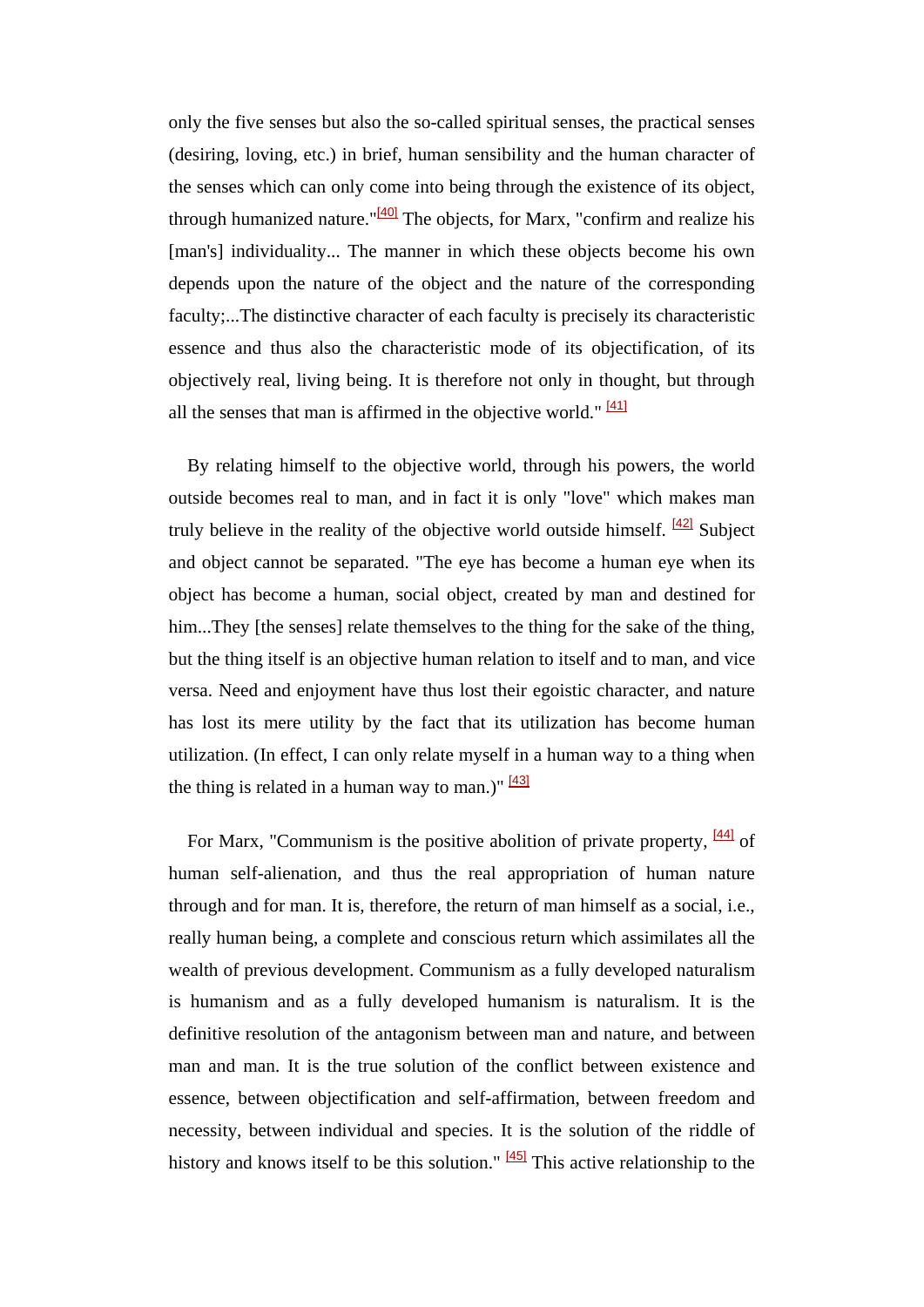only the five senses but also the so-called spiritual senses, the practical senses (desiring, loving, etc.) in brief, human sensibility and the human character of the senses which can only come into being through the existence of its object, through humanized nature." $[40]$  The objects, for Marx, "confirm and realize his [man's] individuality... The manner in which these objects become his own depends upon the nature of the object and the nature of the corresponding faculty;...The distinctive character of each faculty is precisely its characteristic essence and thus also the characteristic mode of its objectification, of its objectively real, living being. It is therefore not only in thought, but through all the senses that man is affirmed in the objective world."  $\frac{[41]}{[41]}$ 

By relating himself to the objective world, through his powers, the world outside becomes real to man, and in fact it is only "love" which makes man truly believe in the reality of the objective world outside himself.  $\frac{42}{2}$  Subject and object cannot be separated. "The eye has become a human eye when its object has become a human, social object, created by man and destined for him...They [the senses] relate themselves to the thing for the sake of the thing, but the thing itself is an objective human relation to itself and to man, and vice versa. Need and enjoyment have thus lost their egoistic character, and nature has lost its mere utility by the fact that its utilization has become human utilization. (In effect, I can only relate myself in a human way to a thing when the thing is related in a human way to man.)"  $\frac{[43]}{[43]}$ 

For Marx, "Communism is the positive abolition of private property,  $\frac{[44]}{]}$  of human self-alienation, and thus the real appropriation of human nature through and for man. It is, therefore, the return of man himself as a social, i.e., really human being, a complete and conscious return which assimilates all the wealth of previous development. Communism as a fully developed naturalism is humanism and as a fully developed humanism is naturalism. It is the definitive resolution of the antagonism between man and nature, and between man and man. It is the true solution of the conflict between existence and essence, between objectification and self-affirmation, between freedom and necessity, between individual and species. It is the solution of the riddle of history and knows itself to be this solution."  $\frac{[45]}{[45]}$  This active relationship to the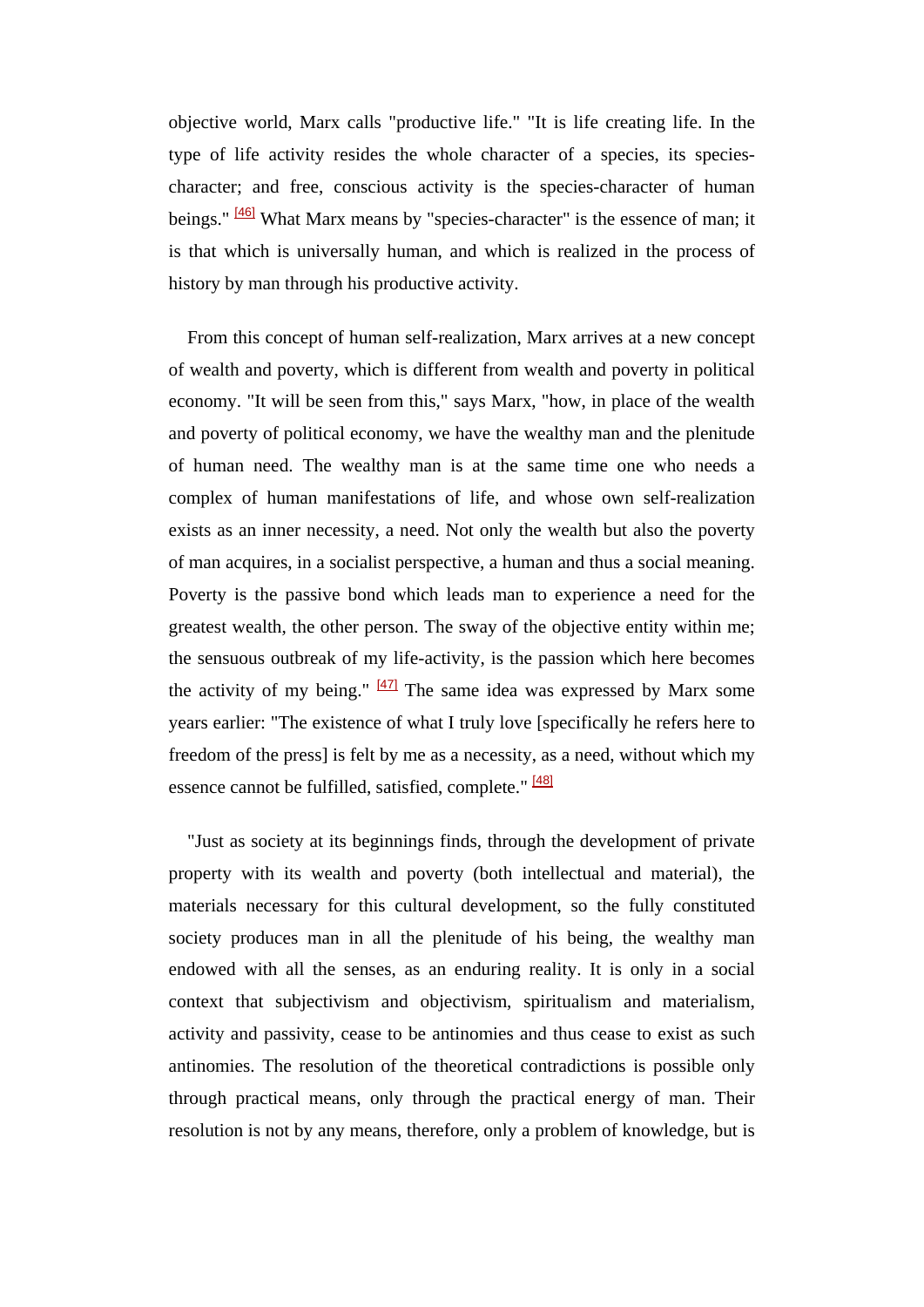objective world, Marx calls "productive life." "It is life creating life. In the type of life activity resides the whole character of a species, its speciescharacter; and free, conscious activity is the species-character of human beings."  $\frac{[46]}{]}$  What Marx means by "species-character" is the essence of man; it is that which is universally human, and which is realized in the process of history by man through his productive activity.

From this concept of human self-realization, Marx arrives at a new concept of wealth and poverty, which is different from wealth and poverty in political economy. "It will be seen from this," says Marx, "how, in place of the wealth and poverty of political economy, we have the wealthy man and the plenitude of human need. The wealthy man is at the same time one who needs a complex of human manifestations of life, and whose own self-realization exists as an inner necessity, a need. Not only the wealth but also the poverty of man acquires, in a socialist perspective, a human and thus a social meaning. Poverty is the passive bond which leads man to experience a need for the greatest wealth, the other person. The sway of the objective entity within me; the sensuous outbreak of my life-activity, is the passion which here becomes the activity of my being."  $\frac{[47]}{[47]}$  The same idea was expressed by Marx some years earlier: "The existence of what I truly love [specifically he refers here to freedom of the press] is felt by me as a necessity, as a need, without which my essence cannot be fulfilled, satisfied, complete." <sup>[48]</sup>

"Just as society at its beginnings finds, through the development of private property with its wealth and poverty (both intellectual and material), the materials necessary for this cultural development, so the fully constituted society produces man in all the plenitude of his being, the wealthy man endowed with all the senses, as an enduring reality. It is only in a social context that subjectivism and objectivism, spiritualism and materialism, activity and passivity, cease to be antinomies and thus cease to exist as such antinomies. The resolution of the theoretical contradictions is possible only through practical means, only through the practical energy of man. Their resolution is not by any means, therefore, only a problem of knowledge, but is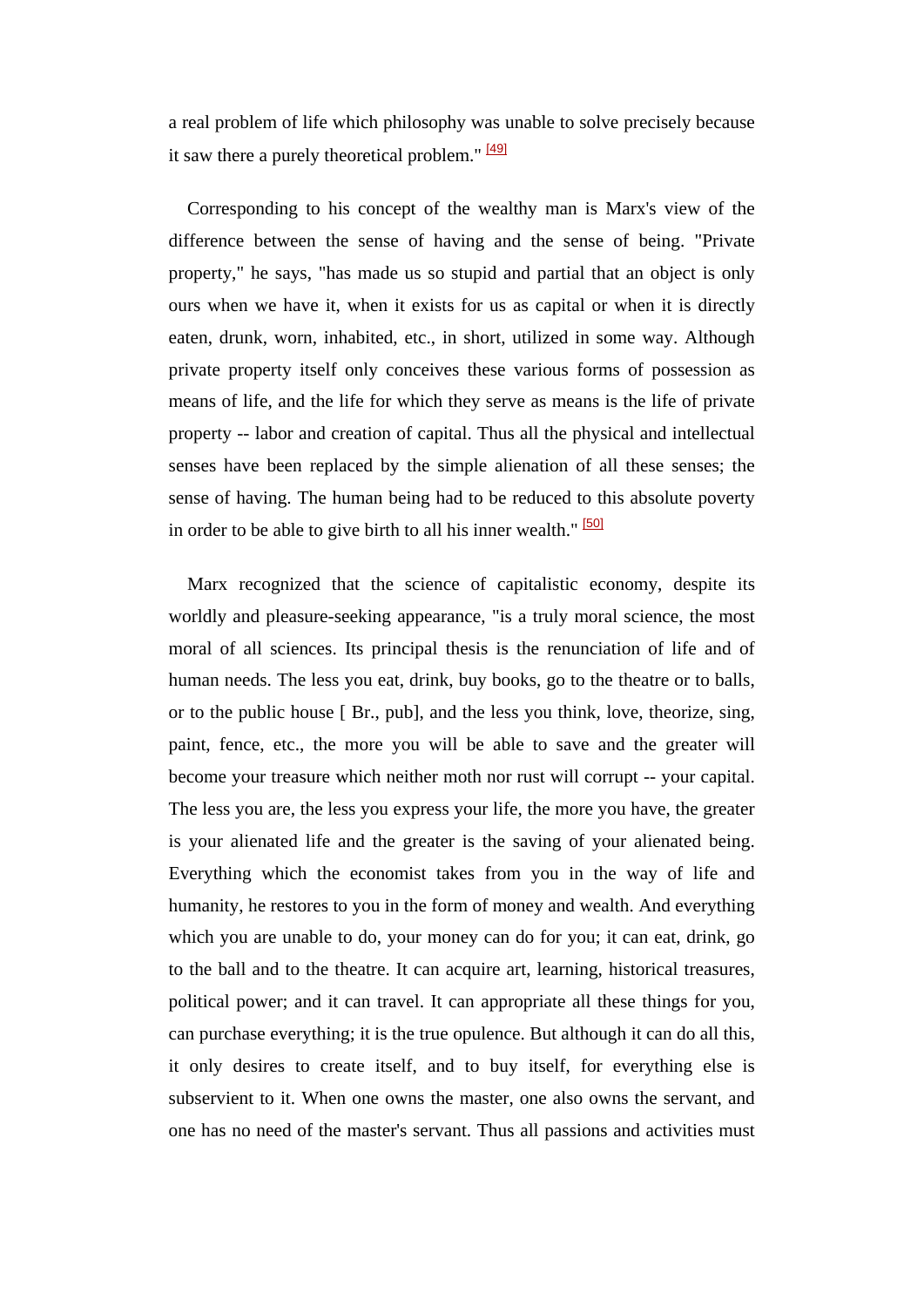a real problem of life which philosophy was unable to solve precisely because it saw there a purely theoretical problem." <sup>[49]</sup>

Corresponding to his concept of the wealthy man is Marx's view of the difference between the sense of having and the sense of being. "Private property," he says, "has made us so stupid and partial that an object is only ours when we have it, when it exists for us as capital or when it is directly eaten, drunk, worn, inhabited, etc., in short, utilized in some way. Although private property itself only conceives these various forms of possession as means of life, and the life for which they serve as means is the life of private property -- labor and creation of capital. Thus all the physical and intellectual senses have been replaced by the simple alienation of all these senses; the sense of having. The human being had to be reduced to this absolute poverty in order to be able to give birth to all his inner wealth." [50]

Marx recognized that the science of capitalistic economy, despite its worldly and pleasure-seeking appearance, "is a truly moral science, the most moral of all sciences. Its principal thesis is the renunciation of life and of human needs. The less you eat, drink, buy books, go to the theatre or to balls, or to the public house [ Br., pub], and the less you think, love, theorize, sing, paint, fence, etc., the more you will be able to save and the greater will become your treasure which neither moth nor rust will corrupt -- your capital. The less you are, the less you express your life, the more you have, the greater is your alienated life and the greater is the saving of your alienated being. Everything which the economist takes from you in the way of life and humanity, he restores to you in the form of money and wealth. And everything which you are unable to do, your money can do for you; it can eat, drink, go to the ball and to the theatre. It can acquire art, learning, historical treasures, political power; and it can travel. It can appropriate all these things for you, can purchase everything; it is the true opulence. But although it can do all this, it only desires to create itself, and to buy itself, for everything else is subservient to it. When one owns the master, one also owns the servant, and one has no need of the master's servant. Thus all passions and activities must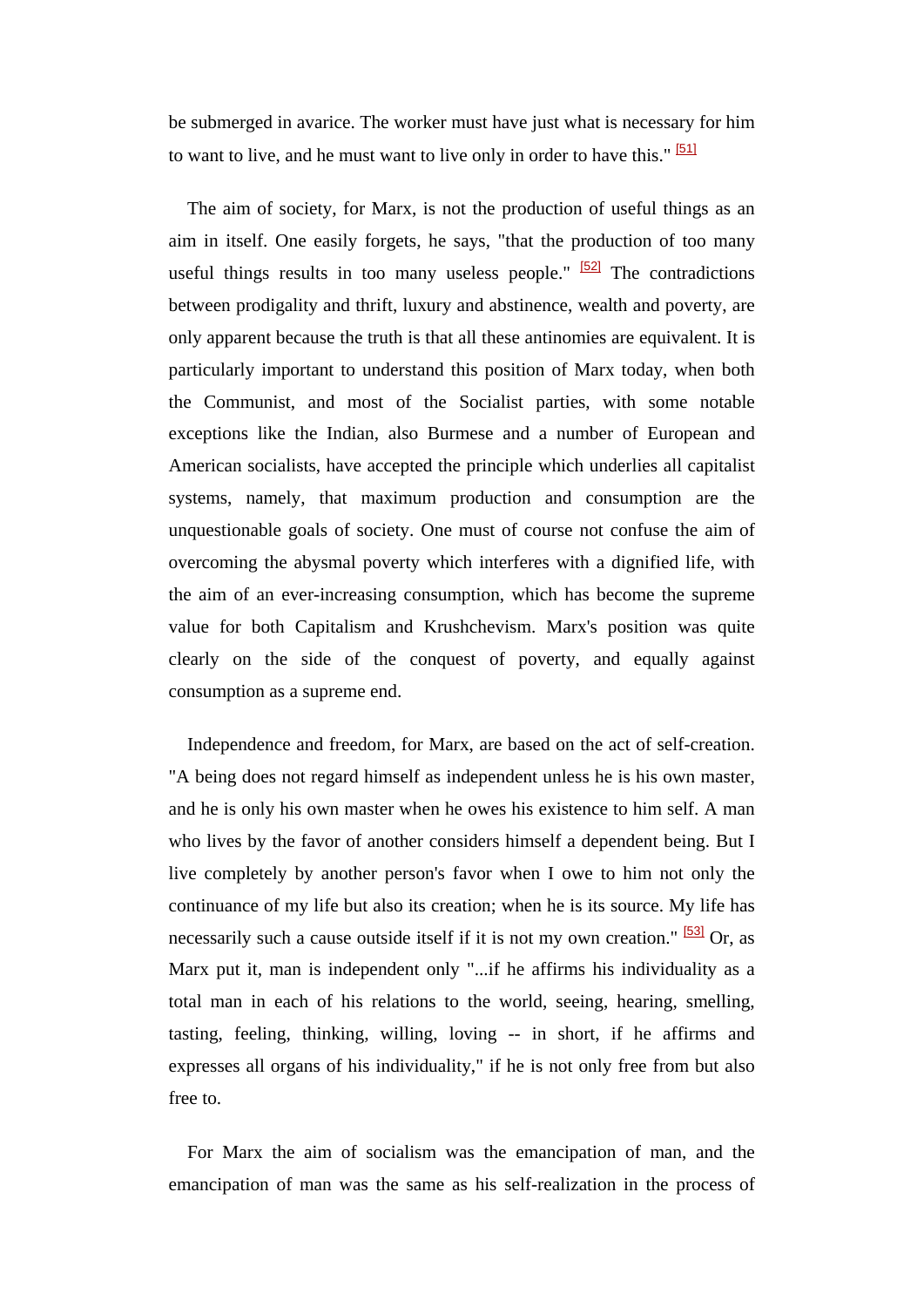be submerged in avarice. The worker must have just what is necessary for him to want to live, and he must want to live only in order to have this." <sup>[51]</sup>

The aim of society, for Marx, is not the production of useful things as an aim in itself. One easily forgets, he says, "that the production of too many useful things results in too many useless people."  $\frac{52}{2}$  The contradictions between prodigality and thrift, luxury and abstinence, wealth and poverty, are only apparent because the truth is that all these antinomies are equivalent. It is particularly important to understand this position of Marx today, when both the Communist, and most of the Socialist parties, with some notable exceptions like the Indian, also Burmese and a number of European and American socialists, have accepted the principle which underlies all capitalist systems, namely, that maximum production and consumption are the unquestionable goals of society. One must of course not confuse the aim of overcoming the abysmal poverty which interferes with a dignified life, with the aim of an ever-increasing consumption, which has become the supreme value for both Capitalism and Krushchevism. Marx's position was quite clearly on the side of the conquest of poverty, and equally against consumption as a supreme end.

Independence and freedom, for Marx, are based on the act of self-creation. "A being does not regard himself as independent unless he is his own master, and he is only his own master when he owes his existence to him self. A man who lives by the favor of another considers himself a dependent being. But I live completely by another person's favor when I owe to him not only the continuance of my life but also its creation; when he is its source. My life has necessarily such a cause outside itself if it is not my own creation."  $\frac{53}{2}$  Or, as Marx put it, man is independent only "...if he affirms his individuality as a total man in each of his relations to the world, seeing, hearing, smelling, tasting, feeling, thinking, willing, loving -- in short, if he affirms and expresses all organs of his individuality," if he is not only free from but also free to.

For Marx the aim of socialism was the emancipation of man, and the emancipation of man was the same as his self-realization in the process of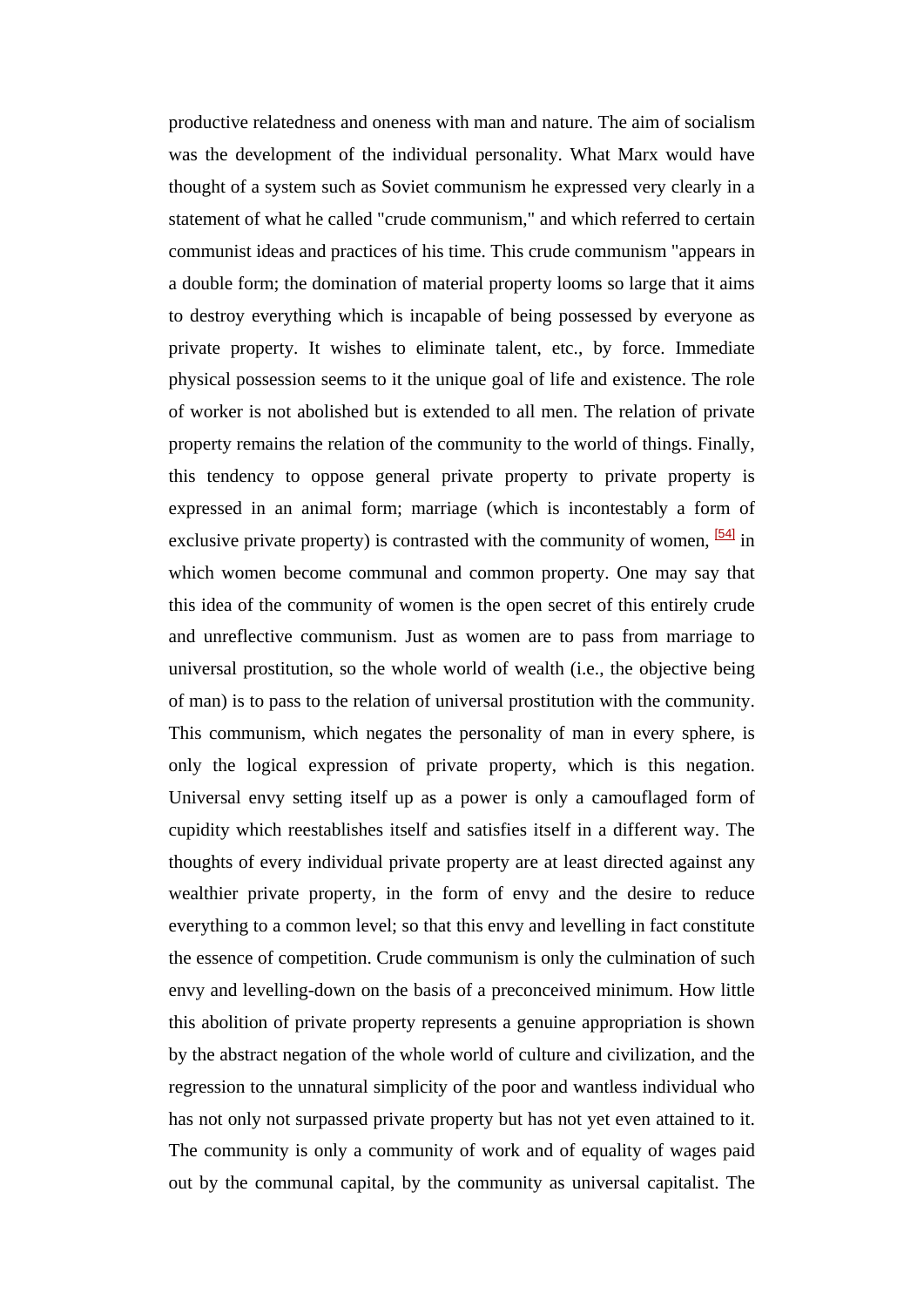productive relatedness and oneness with man and nature. The aim of socialism was the development of the individual personality. What Marx would have thought of a system such as Soviet communism he expressed very clearly in a statement of what he called "crude communism," and which referred to certain communist ideas and practices of his time. This crude communism "appears in a double form; the domination of material property looms so large that it aims to destroy everything which is incapable of being possessed by everyone as private property. It wishes to eliminate talent, etc., by force. Immediate physical possession seems to it the unique goal of life and existence. The role of worker is not abolished but is extended to all men. The relation of private property remains the relation of the community to the world of things. Finally, this tendency to oppose general private property to private property is expressed in an animal form; marriage (which is incontestably a form of exclusive private property) is contrasted with the community of women, <sup>[54]</sup> in which women become communal and common property. One may say that this idea of the community of women is the open secret of this entirely crude and unreflective communism. Just as women are to pass from marriage to universal prostitution, so the whole world of wealth (i.e., the objective being of man) is to pass to the relation of universal prostitution with the community. This communism, which negates the personality of man in every sphere, is only the logical expression of private property, which is this negation. Universal envy setting itself up as a power is only a camouflaged form of cupidity which reestablishes itself and satisfies itself in a different way. The thoughts of every individual private property are at least directed against any wealthier private property, in the form of envy and the desire to reduce everything to a common level; so that this envy and levelling in fact constitute the essence of competition. Crude communism is only the culmination of such envy and levelling-down on the basis of a preconceived minimum. How little this abolition of private property represents a genuine appropriation is shown by the abstract negation of the whole world of culture and civilization, and the regression to the unnatural simplicity of the poor and wantless individual who has not only not surpassed private property but has not yet even attained to it. The community is only a community of work and of equality of wages paid out by the communal capital, by the community as universal capitalist. The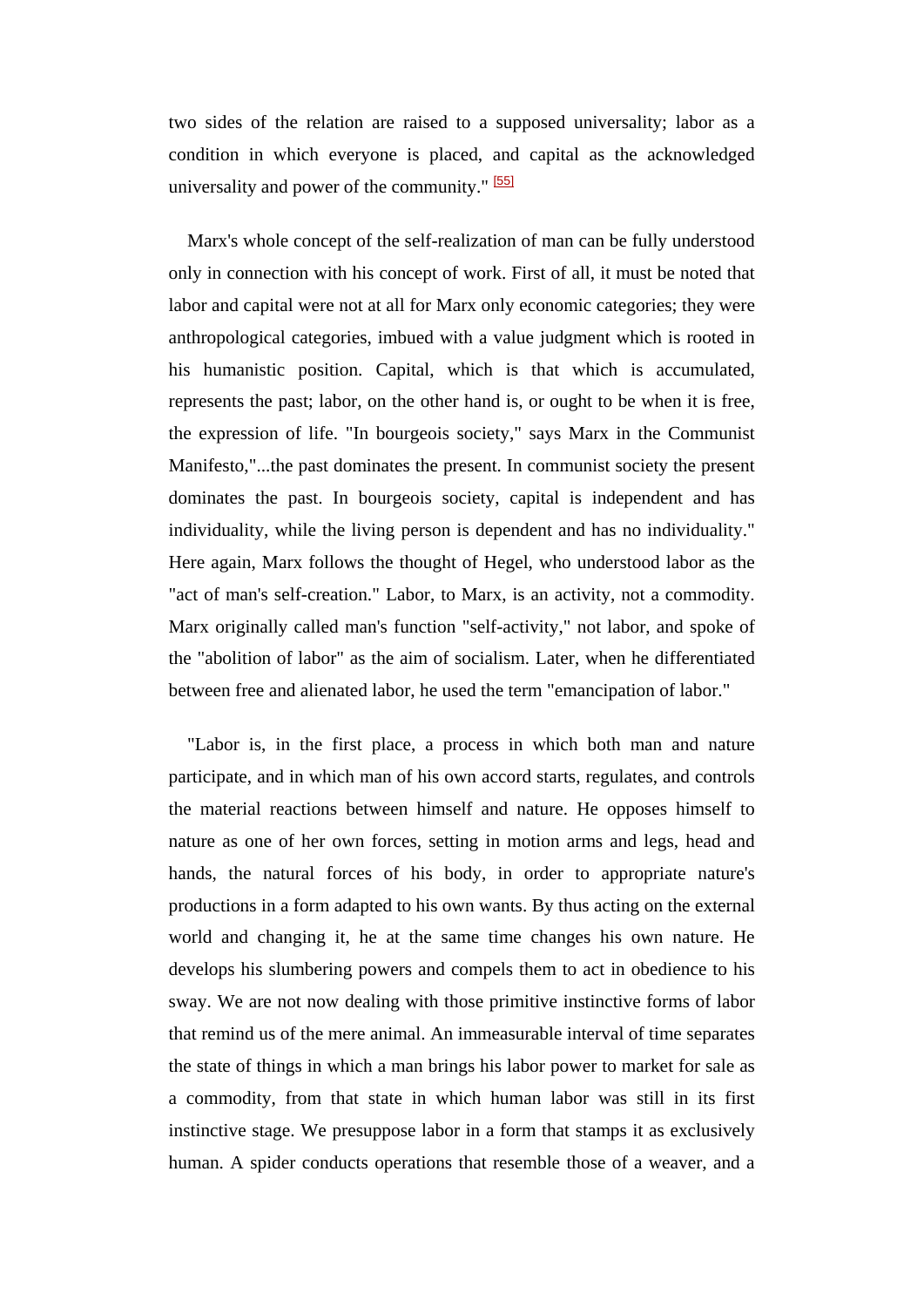two sides of the relation are raised to a supposed universality; labor as a condition in which everyone is placed, and capital as the acknowledged universality and power of the community." [55]

Marx's whole concept of the self-realization of man can be fully understood only in connection with his concept of work. First of all, it must be noted that labor and capital were not at all for Marx only economic categories; they were anthropological categories, imbued with a value judgment which is rooted in his humanistic position. Capital, which is that which is accumulated, represents the past; labor, on the other hand is, or ought to be when it is free, the expression of life. "In bourgeois society," says Marx in the Communist Manifesto,"...the past dominates the present. In communist society the present dominates the past. In bourgeois society, capital is independent and has individuality, while the living person is dependent and has no individuality." Here again, Marx follows the thought of Hegel, who understood labor as the "act of man's self-creation." Labor, to Marx, is an activity, not a commodity. Marx originally called man's function "self-activity," not labor, and spoke of the "abolition of labor" as the aim of socialism. Later, when he differentiated between free and alienated labor, he used the term "emancipation of labor."

"Labor is, in the first place, a process in which both man and nature participate, and in which man of his own accord starts, regulates, and controls the material reactions between himself and nature. He opposes himself to nature as one of her own forces, setting in motion arms and legs, head and hands, the natural forces of his body, in order to appropriate nature's productions in a form adapted to his own wants. By thus acting on the external world and changing it, he at the same time changes his own nature. He develops his slumbering powers and compels them to act in obedience to his sway. We are not now dealing with those primitive instinctive forms of labor that remind us of the mere animal. An immeasurable interval of time separates the state of things in which a man brings his labor power to market for sale as a commodity, from that state in which human labor was still in its first instinctive stage. We presuppose labor in a form that stamps it as exclusively human. A spider conducts operations that resemble those of a weaver, and a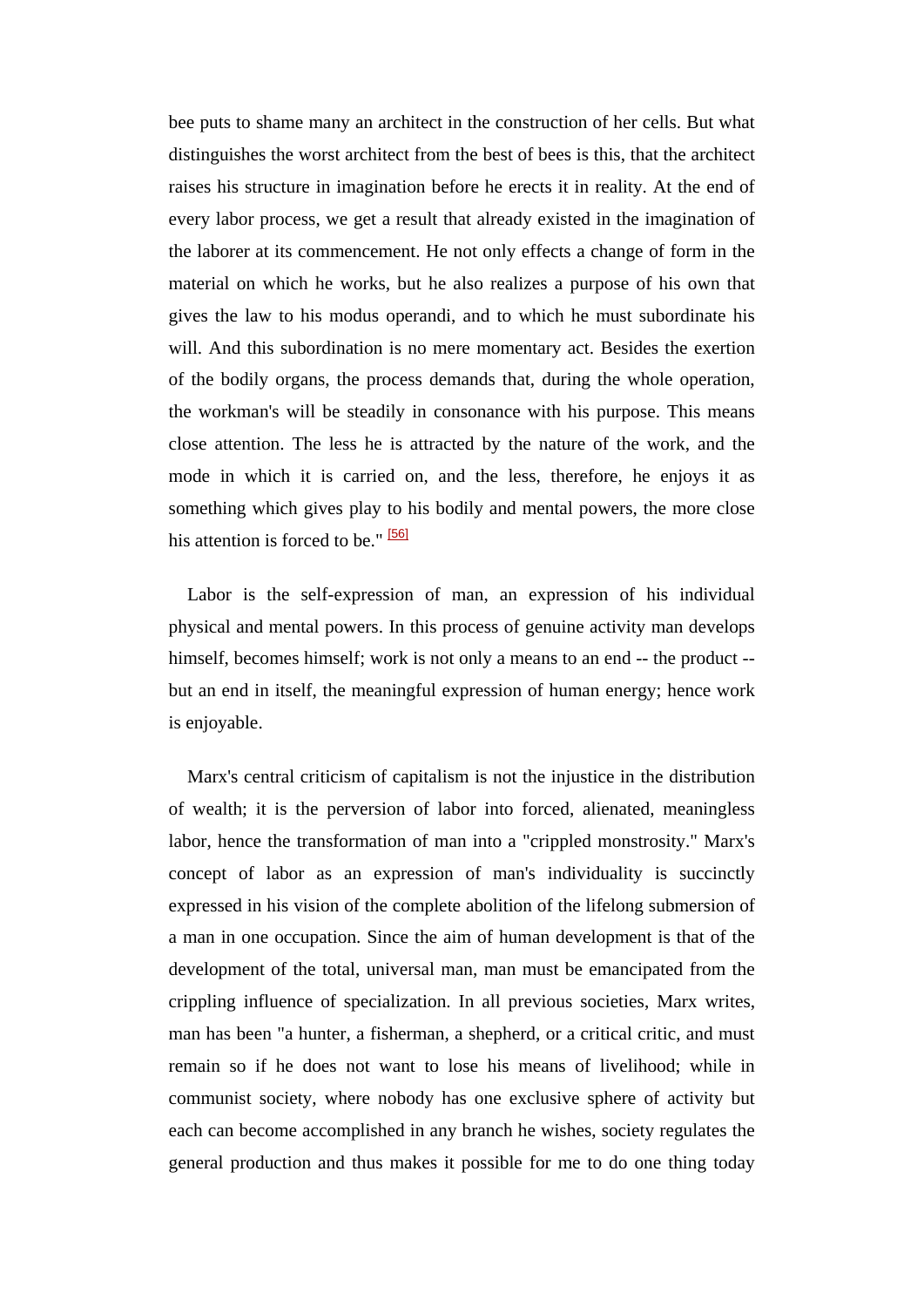bee puts to shame many an architect in the construction of her cells. But what distinguishes the worst architect from the best of bees is this, that the architect raises his structure in imagination before he erects it in reality. At the end of every labor process, we get a result that already existed in the imagination of the laborer at its commencement. He not only effects a change of form in the material on which he works, but he also realizes a purpose of his own that gives the law to his modus operandi, and to which he must subordinate his will. And this subordination is no mere momentary act. Besides the exertion of the bodily organs, the process demands that, during the whole operation, the workman's will be steadily in consonance with his purpose. This means close attention. The less he is attracted by the nature of the work, and the mode in which it is carried on, and the less, therefore, he enjoys it as something which gives play to his bodily and mental powers, the more close his attention is forced to be." [56]

Labor is the self-expression of man, an expression of his individual physical and mental powers. In this process of genuine activity man develops himself, becomes himself; work is not only a means to an end -- the product -but an end in itself, the meaningful expression of human energy; hence work is enjoyable.

Marx's central criticism of capitalism is not the injustice in the distribution of wealth; it is the perversion of labor into forced, alienated, meaningless labor, hence the transformation of man into a "crippled monstrosity." Marx's concept of labor as an expression of man's individuality is succinctly expressed in his vision of the complete abolition of the lifelong submersion of a man in one occupation. Since the aim of human development is that of the development of the total, universal man, man must be emancipated from the crippling influence of specialization. In all previous societies, Marx writes, man has been "a hunter, a fisherman, a shepherd, or a critical critic, and must remain so if he does not want to lose his means of livelihood; while in communist society, where nobody has one exclusive sphere of activity but each can become accomplished in any branch he wishes, society regulates the general production and thus makes it possible for me to do one thing today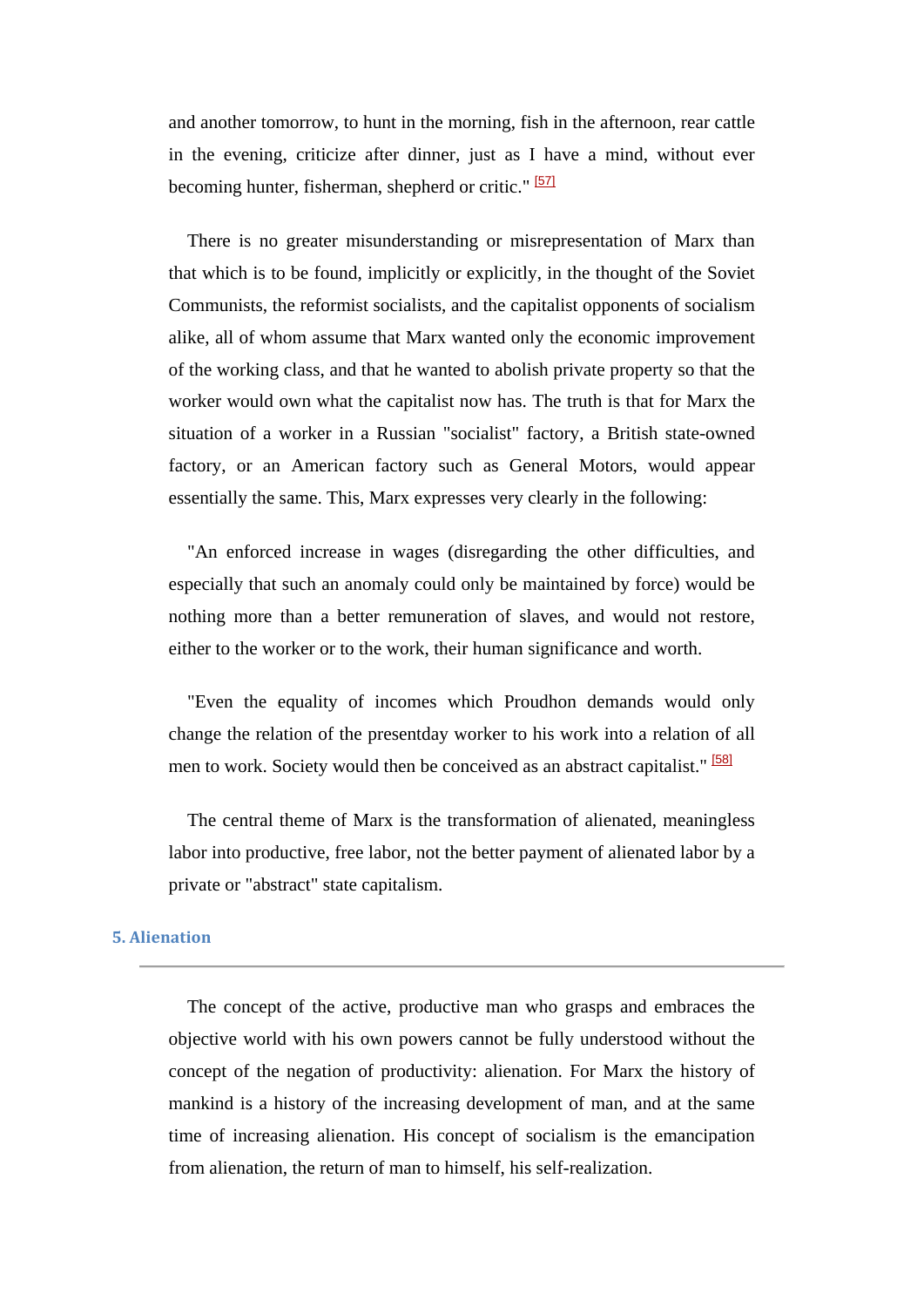and another tomorrow, to hunt in the morning, fish in the afternoon, rear cattle in the evening, criticize after dinner, just as I have a mind, without ever becoming hunter, fisherman, shepherd or critic." [57]

There is no greater misunderstanding or misrepresentation of Marx than that which is to be found, implicitly or explicitly, in the thought of the Soviet Communists, the reformist socialists, and the capitalist opponents of socialism alike, all of whom assume that Marx wanted only the economic improvement of the working class, and that he wanted to abolish private property so that the worker would own what the capitalist now has. The truth is that for Marx the situation of a worker in a Russian "socialist" factory, a British state-owned factory, or an American factory such as General Motors, would appear essentially the same. This, Marx expresses very clearly in the following:

"An enforced increase in wages (disregarding the other difficulties, and especially that such an anomaly could only be maintained by force) would be nothing more than a better remuneration of slaves, and would not restore, either to the worker or to the work, their human significance and worth.

"Even the equality of incomes which Proudhon demands would only change the relation of the presentday worker to his work into a relation of all men to work. Society would then be conceived as an abstract capitalist." <sup>[58]</sup>

The central theme of Marx is the transformation of alienated, meaningless labor into productive, free labor, not the better payment of alienated labor by a private or "abstract" state capitalism.

#### **5. Alienation**

The concept of the active, productive man who grasps and embraces the objective world with his own powers cannot be fully understood without the concept of the negation of productivity: alienation. For Marx the history of mankind is a history of the increasing development of man, and at the same time of increasing alienation. His concept of socialism is the emancipation from alienation, the return of man to himself, his self-realization.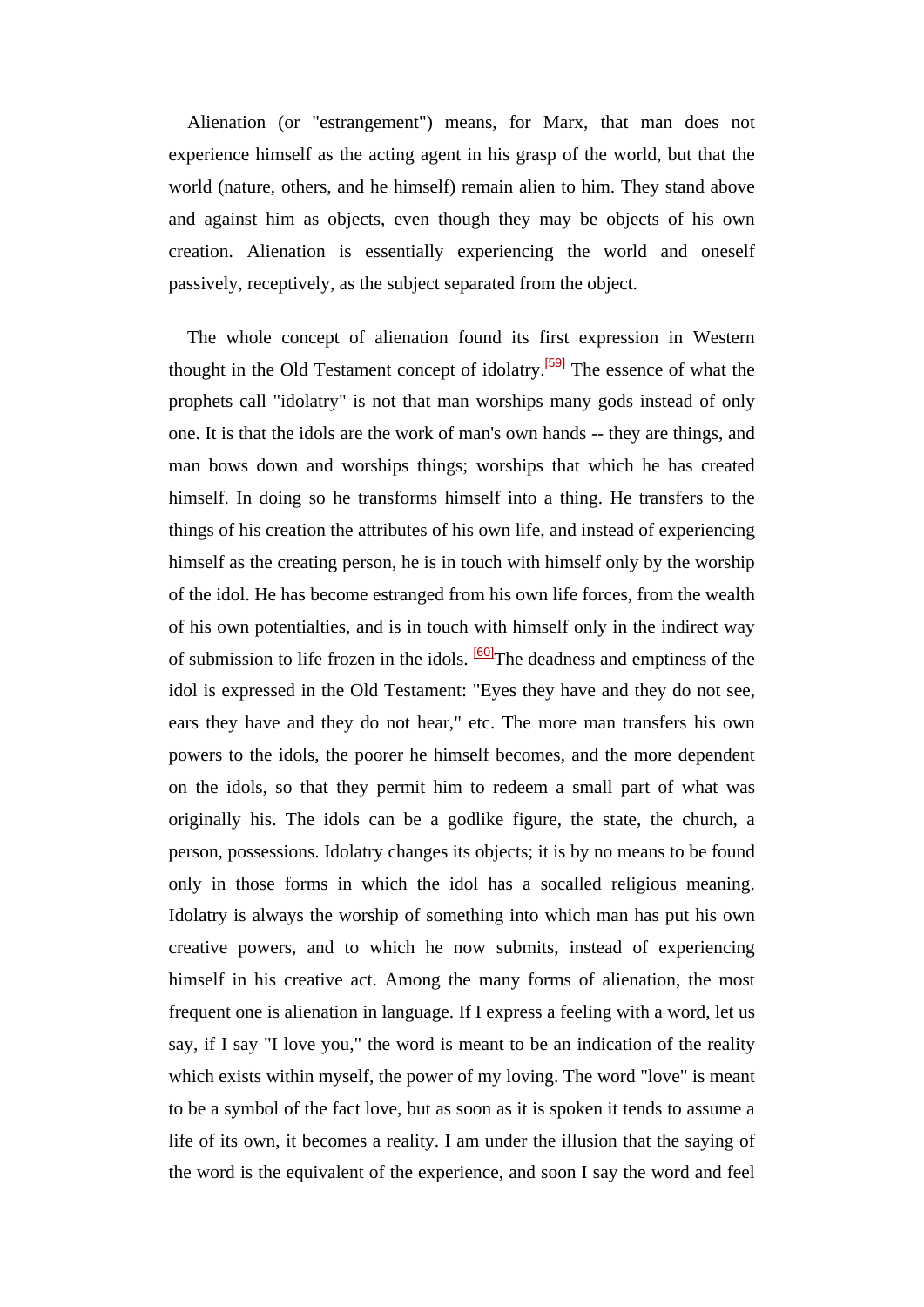Alienation (or "estrangement") means, for Marx, that man does not experience himself as the acting agent in his grasp of the world, but that the world (nature, others, and he himself) remain alien to him. They stand above and against him as objects, even though they may be objects of his own creation. Alienation is essentially experiencing the world and oneself passively, receptively, as the subject separated from the object.

The whole concept of alienation found its first expression in Western thought in the Old Testament concept of idolatry.<sup>[59]</sup> The essence of what the prophets call "idolatry" is not that man worships many gods instead of only one. It is that the idols are the work of man's own hands -- they are things, and man bows down and worships things; worships that which he has created himself. In doing so he transforms himself into a thing. He transfers to the things of his creation the attributes of his own life, and instead of experiencing himself as the creating person, he is in touch with himself only by the worship of the idol. He has become estranged from his own life forces, from the wealth of his own potentialties, and is in touch with himself only in the indirect way of submission to life frozen in the idols.  $\frac{[60]}{[60]}$ The deadness and emptiness of the idol is expressed in the Old Testament: "Eyes they have and they do not see, ears they have and they do not hear," etc. The more man transfers his own powers to the idols, the poorer he himself becomes, and the more dependent on the idols, so that they permit him to redeem a small part of what was originally his. The idols can be a godlike figure, the state, the church, a person, possessions. Idolatry changes its objects; it is by no means to be found only in those forms in which the idol has a socalled religious meaning. Idolatry is always the worship of something into which man has put his own creative powers, and to which he now submits, instead of experiencing himself in his creative act. Among the many forms of alienation, the most frequent one is alienation in language. If I express a feeling with a word, let us say, if I say "I love you," the word is meant to be an indication of the reality which exists within myself, the power of my loving. The word "love" is meant to be a symbol of the fact love, but as soon as it is spoken it tends to assume a life of its own, it becomes a reality. I am under the illusion that the saying of the word is the equivalent of the experience, and soon I say the word and feel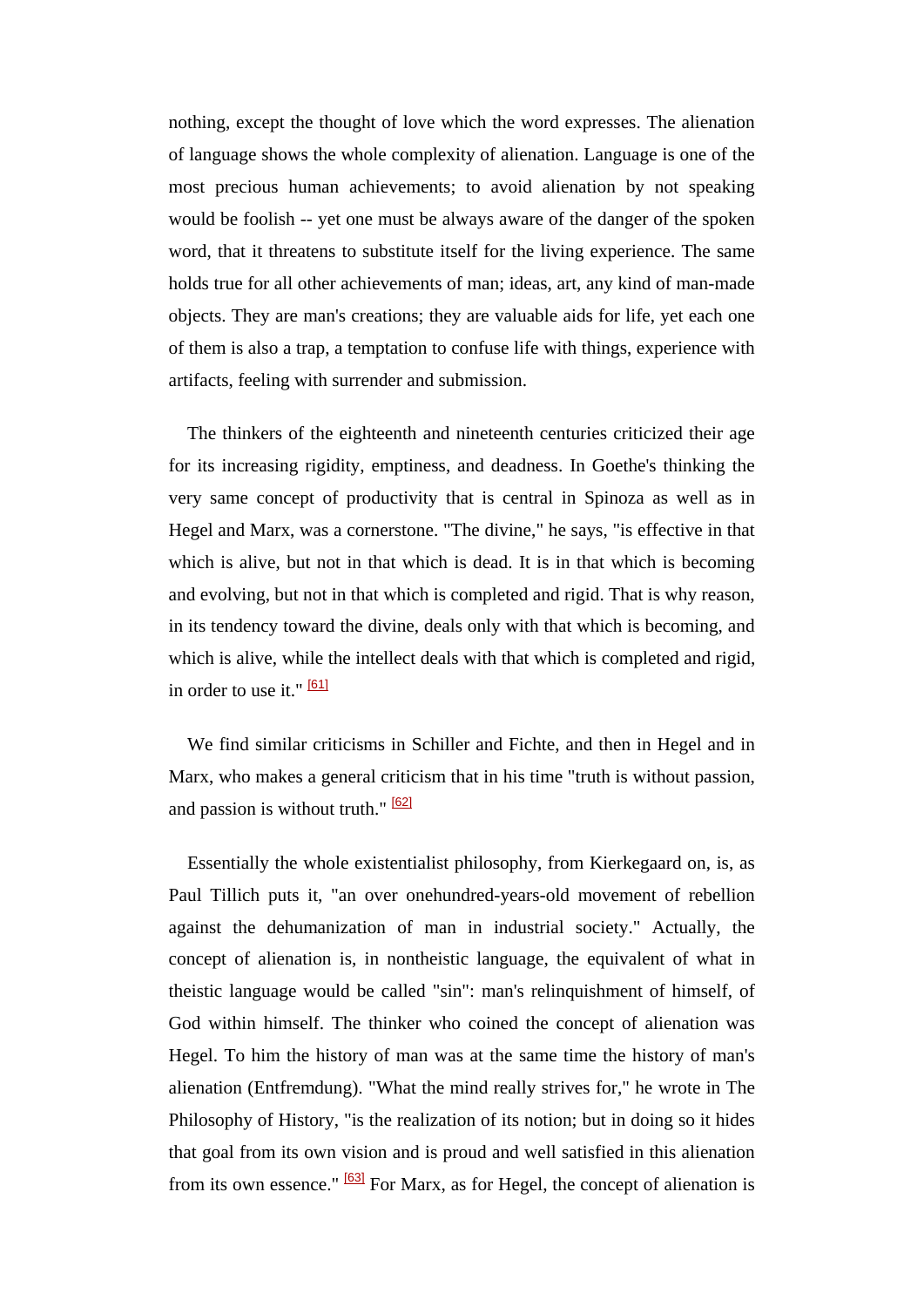nothing, except the thought of love which the word expresses. The alienation of language shows the whole complexity of alienation. Language is one of the most precious human achievements; to avoid alienation by not speaking would be foolish -- yet one must be always aware of the danger of the spoken word, that it threatens to substitute itself for the living experience. The same holds true for all other achievements of man; ideas, art, any kind of man-made objects. They are man's creations; they are valuable aids for life, yet each one of them is also a trap, a temptation to confuse life with things, experience with artifacts, feeling with surrender and submission.

The thinkers of the eighteenth and nineteenth centuries criticized their age for its increasing rigidity, emptiness, and deadness. In Goethe's thinking the very same concept of productivity that is central in Spinoza as well as in Hegel and Marx, was a cornerstone. "The divine," he says, "is effective in that which is alive, but not in that which is dead. It is in that which is becoming and evolving, but not in that which is completed and rigid. That is why reason, in its tendency toward the divine, deals only with that which is becoming, and which is alive, while the intellect deals with that which is completed and rigid, in order to use it." [61]

We find similar criticisms in Schiller and Fichte, and then in Hegel and in Marx, who makes a general criticism that in his time "truth is without passion, and passion is without truth."  $[62]$ 

Essentially the whole existentialist philosophy, from Kierkegaard on, is, as Paul Tillich puts it, "an over onehundred-years-old movement of rebellion against the dehumanization of man in industrial society." Actually, the concept of alienation is, in nontheistic language, the equivalent of what in theistic language would be called "sin": man's relinquishment of himself, of God within himself. The thinker who coined the concept of alienation was Hegel. To him the history of man was at the same time the history of man's alienation (Entfremdung). "What the mind really strives for," he wrote in The Philosophy of History, "is the realization of its notion; but in doing so it hides that goal from its own vision and is proud and well satisfied in this alienation from its own essence."  $\frac{163}{2}$  For Marx, as for Hegel, the concept of alienation is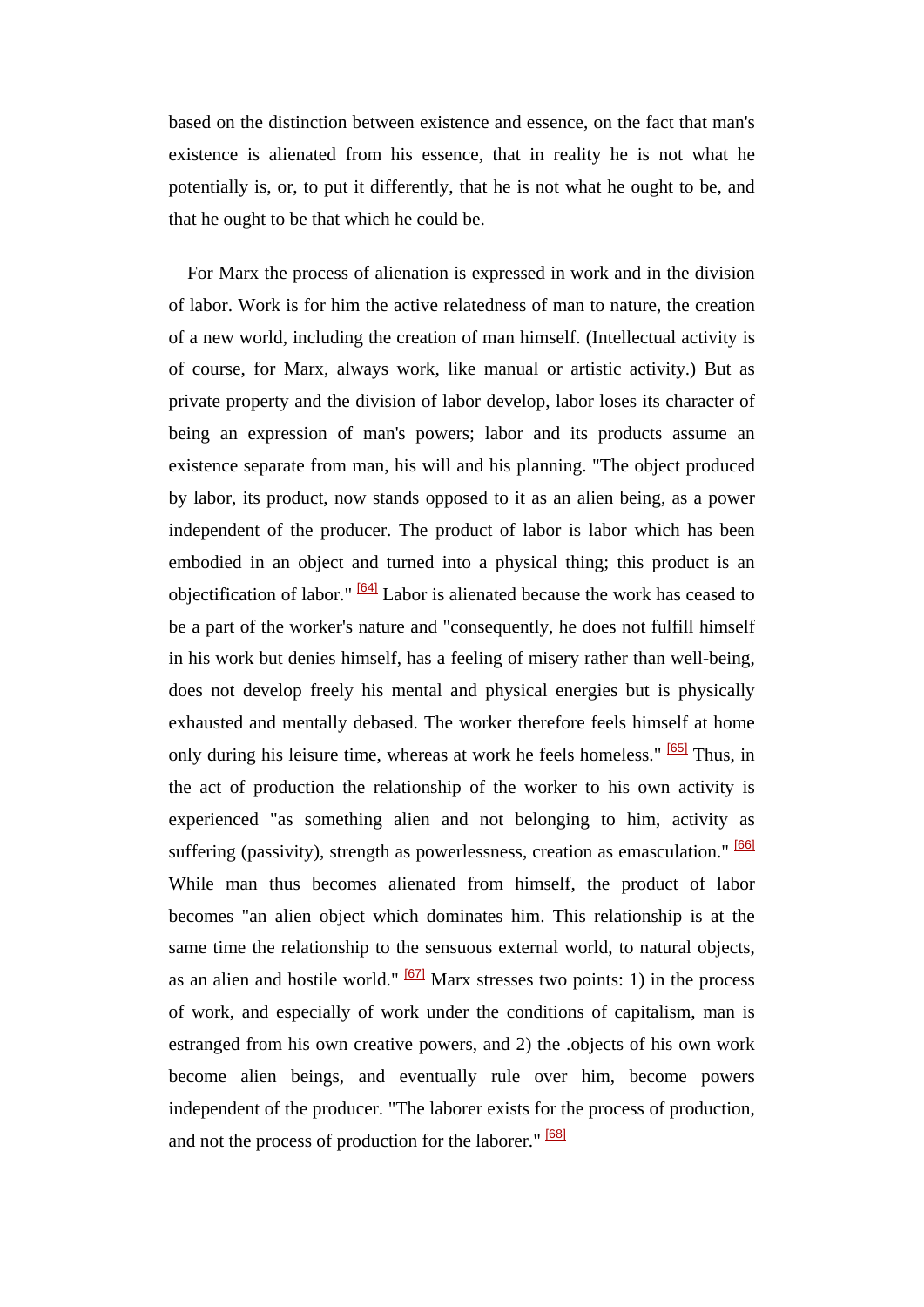based on the distinction between existence and essence, on the fact that man's existence is alienated from his essence, that in reality he is not what he potentially is, or, to put it differently, that he is not what he ought to be, and that he ought to be that which he could be.

For Marx the process of alienation is expressed in work and in the division of labor. Work is for him the active relatedness of man to nature, the creation of a new world, including the creation of man himself. (Intellectual activity is of course, for Marx, always work, like manual or artistic activity.) But as private property and the division of labor develop, labor loses its character of being an expression of man's powers; labor and its products assume an existence separate from man, his will and his planning. "The object produced by labor, its product, now stands opposed to it as an alien being, as a power independent of the producer. The product of labor is labor which has been embodied in an object and turned into a physical thing; this product is an objectification of labor." [64] Labor is alienated because the work has ceased to be a part of the worker's nature and "consequently, he does not fulfill himself in his work but denies himself, has a feeling of misery rather than well-being, does not develop freely his mental and physical energies but is physically exhausted and mentally debased. The worker therefore feels himself at home only during his leisure time, whereas at work he feels homeless."  $\frac{65}{7}$  Thus, in the act of production the relationship of the worker to his own activity is experienced "as something alien and not belonging to him, activity as suffering (passivity), strength as powerlessness, creation as emasculation." [66] While man thus becomes alienated from himself, the product of labor becomes "an alien object which dominates him. This relationship is at the same time the relationship to the sensuous external world, to natural objects, as an alien and hostile world."  $\frac{167}{2}$  Marx stresses two points: 1) in the process of work, and especially of work under the conditions of capitalism, man is estranged from his own creative powers, and 2) the .objects of his own work become alien beings, and eventually rule over him, become powers independent of the producer. "The laborer exists for the process of production, and not the process of production for the laborer." [68]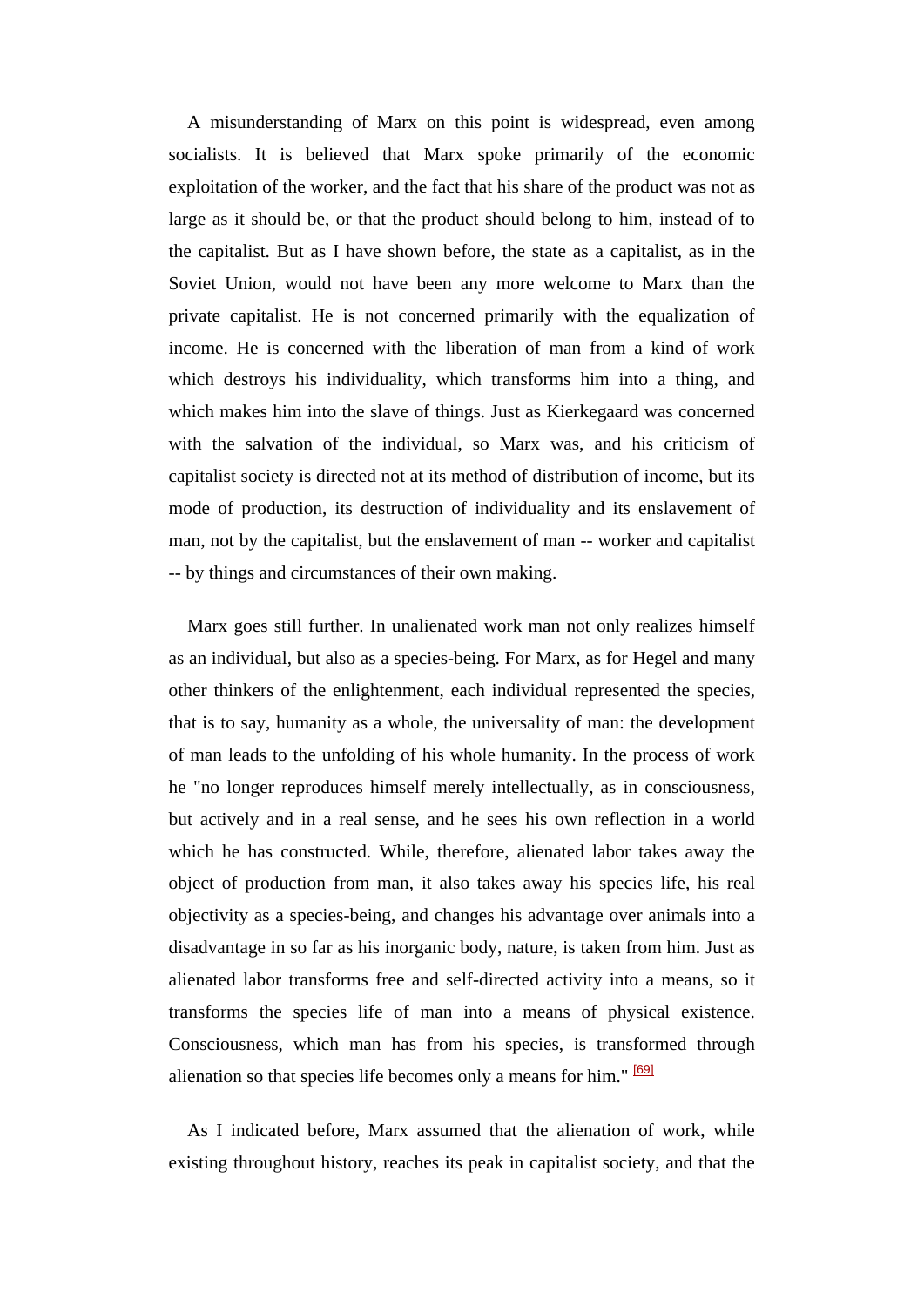A misunderstanding of Marx on this point is widespread, even among socialists. It is believed that Marx spoke primarily of the economic exploitation of the worker, and the fact that his share of the product was not as large as it should be, or that the product should belong to him, instead of to the capitalist. But as I have shown before, the state as a capitalist, as in the Soviet Union, would not have been any more welcome to Marx than the private capitalist. He is not concerned primarily with the equalization of income. He is concerned with the liberation of man from a kind of work which destroys his individuality, which transforms him into a thing, and which makes him into the slave of things. Just as Kierkegaard was concerned with the salvation of the individual, so Marx was, and his criticism of capitalist society is directed not at its method of distribution of income, but its mode of production, its destruction of individuality and its enslavement of man, not by the capitalist, but the enslavement of man -- worker and capitalist -- by things and circumstances of their own making.

Marx goes still further. In unalienated work man not only realizes himself as an individual, but also as a species-being. For Marx, as for Hegel and many other thinkers of the enlightenment, each individual represented the species, that is to say, humanity as a whole, the universality of man: the development of man leads to the unfolding of his whole humanity. In the process of work he "no longer reproduces himself merely intellectually, as in consciousness, but actively and in a real sense, and he sees his own reflection in a world which he has constructed. While, therefore, alienated labor takes away the object of production from man, it also takes away his species life, his real objectivity as a species-being, and changes his advantage over animals into a disadvantage in so far as his inorganic body, nature, is taken from him. Just as alienated labor transforms free and self-directed activity into a means, so it transforms the species life of man into a means of physical existence. Consciousness, which man has from his species, is transformed through alienation so that species life becomes only a means for him."  $[69]$ 

As I indicated before, Marx assumed that the alienation of work, while existing throughout history, reaches its peak in capitalist society, and that the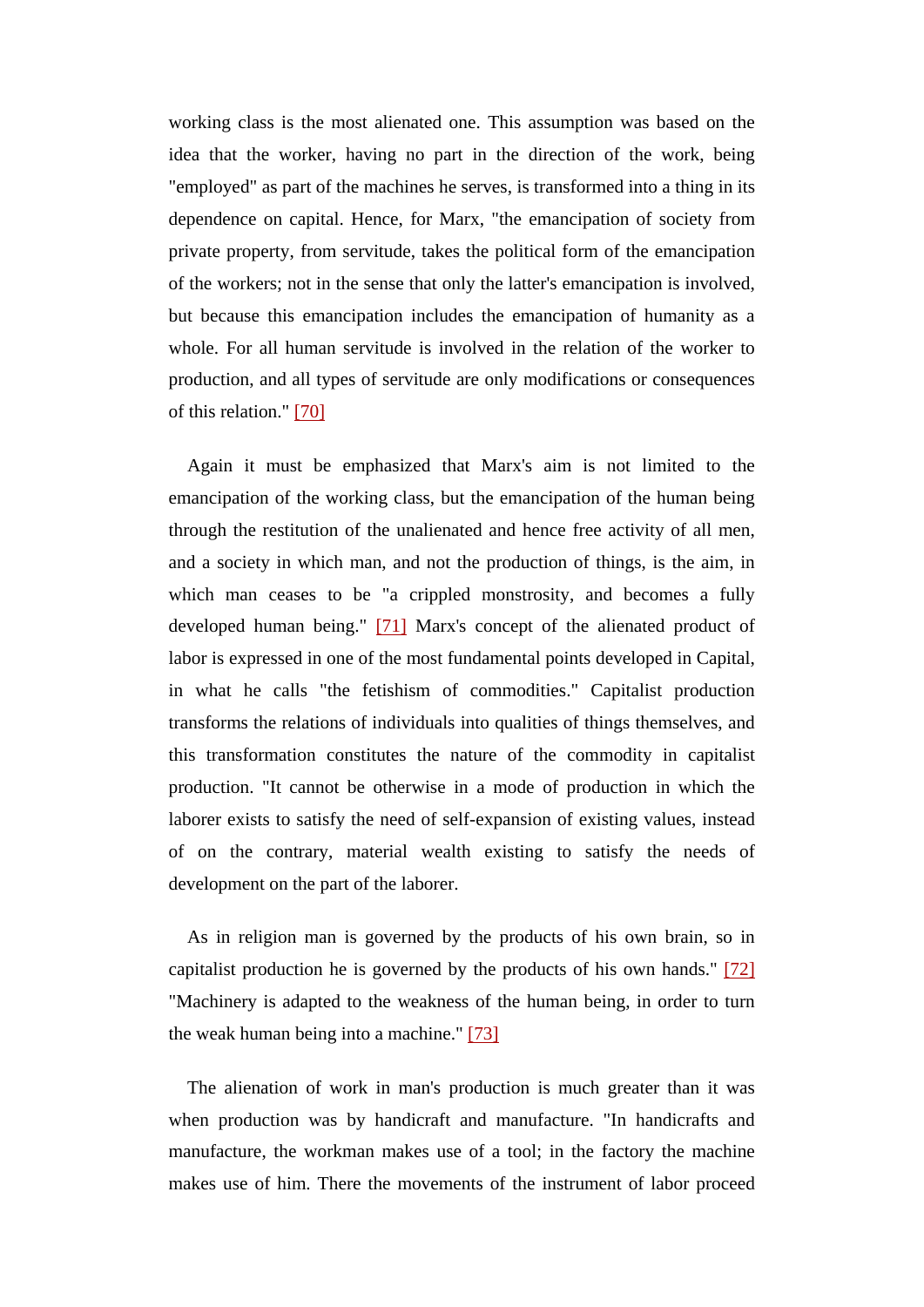working class is the most alienated one. This assumption was based on the idea that the worker, having no part in the direction of the work, being "employed" as part of the machines he serves, is transformed into a thing in its dependence on capital. Hence, for Marx, "the emancipation of society from private property, from servitude, takes the political form of the emancipation of the workers; not in the sense that only the latter's emancipation is involved, but because this emancipation includes the emancipation of humanity as a whole. For all human servitude is involved in the relation of the worker to production, and all types of servitude are only modifications or consequences of this relation." [70]

Again it must be emphasized that Marx's aim is not limited to the emancipation of the working class, but the emancipation of the human being through the restitution of the unalienated and hence free activity of all men, and a society in which man, and not the production of things, is the aim, in which man ceases to be "a crippled monstrosity, and becomes a fully developed human being." [71] Marx's concept of the alienated product of labor is expressed in one of the most fundamental points developed in Capital, in what he calls "the fetishism of commodities." Capitalist production transforms the relations of individuals into qualities of things themselves, and this transformation constitutes the nature of the commodity in capitalist production. "It cannot be otherwise in a mode of production in which the laborer exists to satisfy the need of self-expansion of existing values, instead of on the contrary, material wealth existing to satisfy the needs of development on the part of the laborer.

As in religion man is governed by the products of his own brain, so in capitalist production he is governed by the products of his own hands." [72] "Machinery is adapted to the weakness of the human being, in order to turn the weak human being into a machine." [73]

The alienation of work in man's production is much greater than it was when production was by handicraft and manufacture. "In handicrafts and manufacture, the workman makes use of a tool; in the factory the machine makes use of him. There the movements of the instrument of labor proceed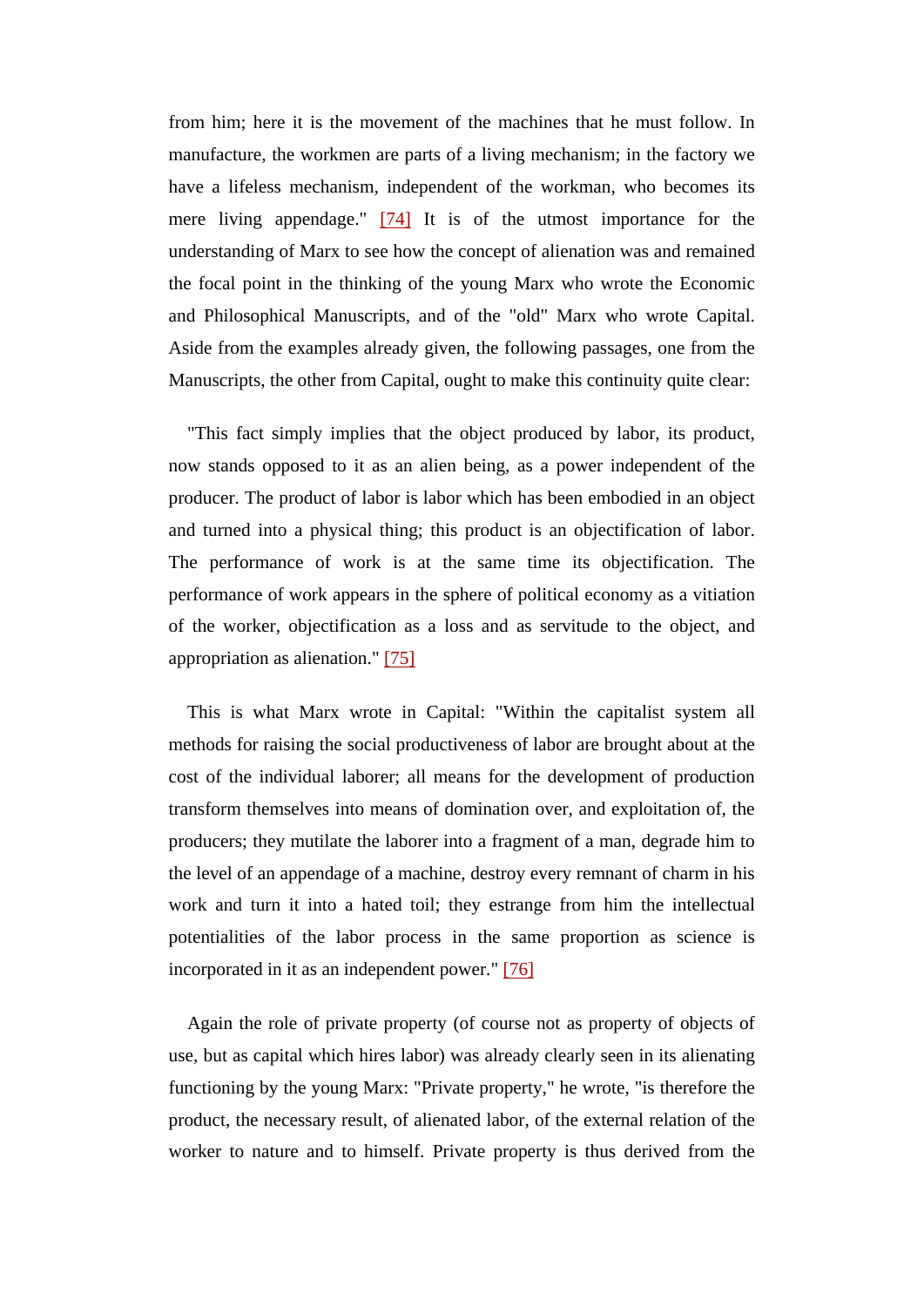from him; here it is the movement of the machines that he must follow. In manufacture, the workmen are parts of a living mechanism; in the factory we have a lifeless mechanism, independent of the workman, who becomes its mere living appendage." [74] It is of the utmost importance for the understanding of Marx to see how the concept of alienation was and remained the focal point in the thinking of the young Marx who wrote the Economic and Philosophical Manuscripts, and of the "old" Marx who wrote Capital. Aside from the examples already given, the following passages, one from the Manuscripts, the other from Capital, ought to make this continuity quite clear:

"This fact simply implies that the object produced by labor, its product, now stands opposed to it as an alien being, as a power independent of the producer. The product of labor is labor which has been embodied in an object and turned into a physical thing; this product is an objectification of labor. The performance of work is at the same time its objectification. The performance of work appears in the sphere of political economy as a vitiation of the worker, objectification as a loss and as servitude to the object, and appropriation as alienation." [75]

This is what Marx wrote in Capital: "Within the capitalist system all methods for raising the social productiveness of labor are brought about at the cost of the individual laborer; all means for the development of production transform themselves into means of domination over, and exploitation of, the producers; they mutilate the laborer into a fragment of a man, degrade him to the level of an appendage of a machine, destroy every remnant of charm in his work and turn it into a hated toil; they estrange from him the intellectual potentialities of the labor process in the same proportion as science is incorporated in it as an independent power." [76]

Again the role of private property (of course not as property of objects of use, but as capital which hires labor) was already clearly seen in its alienating functioning by the young Marx: "Private property," he wrote, "is therefore the product, the necessary result, of alienated labor, of the external relation of the worker to nature and to himself. Private property is thus derived from the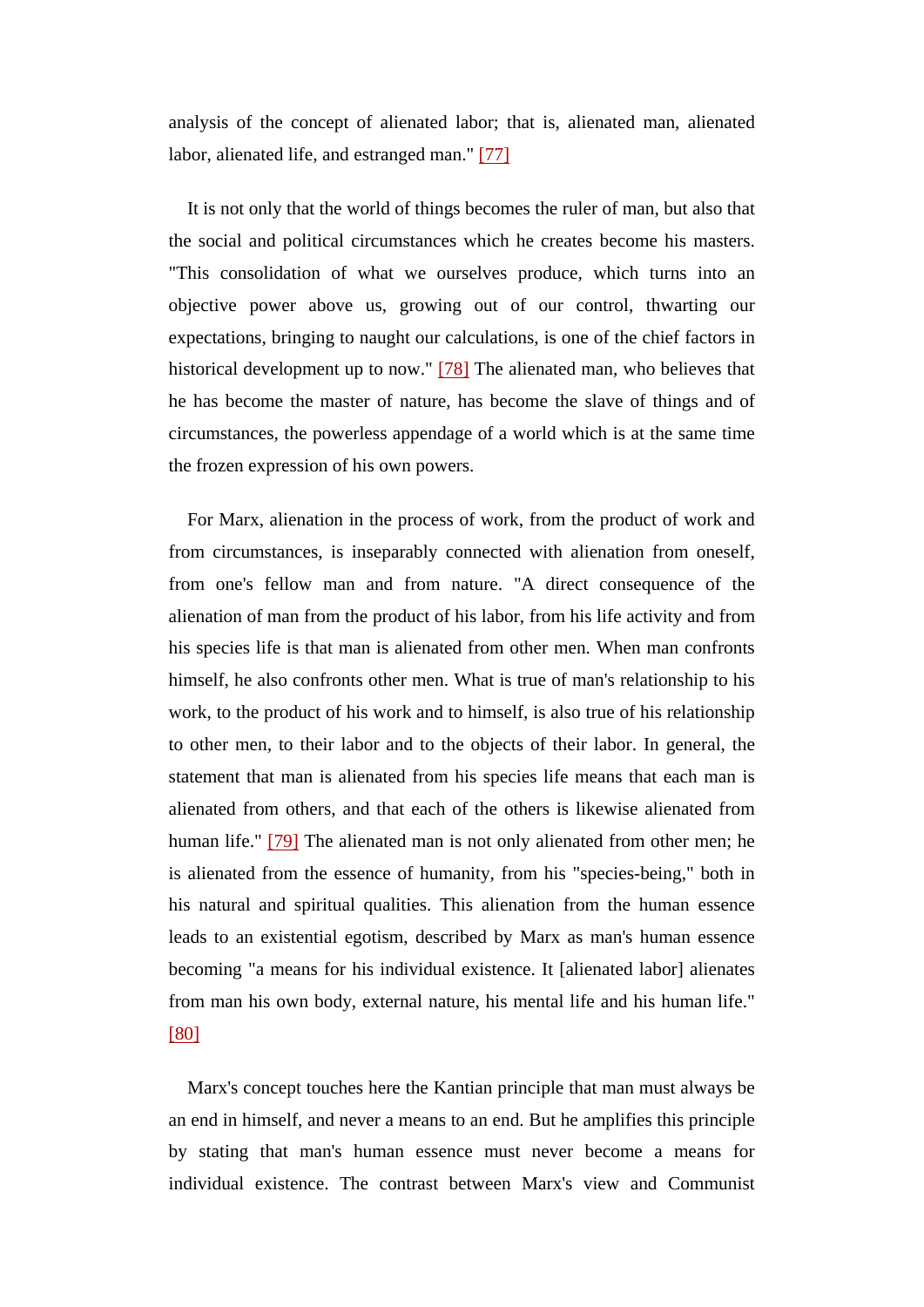analysis of the concept of alienated labor; that is, alienated man, alienated labor, alienated life, and estranged man." [77]

It is not only that the world of things becomes the ruler of man, but also that the social and political circumstances which he creates become his masters. "This consolidation of what we ourselves produce, which turns into an objective power above us, growing out of our control, thwarting our expectations, bringing to naught our calculations, is one of the chief factors in historical development up to now." [78] The alienated man, who believes that he has become the master of nature, has become the slave of things and of circumstances, the powerless appendage of a world which is at the same time the frozen expression of his own powers.

For Marx, alienation in the process of work, from the product of work and from circumstances, is inseparably connected with alienation from oneself, from one's fellow man and from nature. "A direct consequence of the alienation of man from the product of his labor, from his life activity and from his species life is that man is alienated from other men. When man confronts himself, he also confronts other men. What is true of man's relationship to his work, to the product of his work and to himself, is also true of his relationship to other men, to their labor and to the objects of their labor. In general, the statement that man is alienated from his species life means that each man is alienated from others, and that each of the others is likewise alienated from human life." [79] The alienated man is not only alienated from other men; he is alienated from the essence of humanity, from his "species-being," both in his natural and spiritual qualities. This alienation from the human essence leads to an existential egotism, described by Marx as man's human essence becoming "a means for his individual existence. It [alienated labor] alienates from man his own body, external nature, his mental life and his human life." [80]

Marx's concept touches here the Kantian principle that man must always be an end in himself, and never a means to an end. But he amplifies this principle by stating that man's human essence must never become a means for individual existence. The contrast between Marx's view and Communist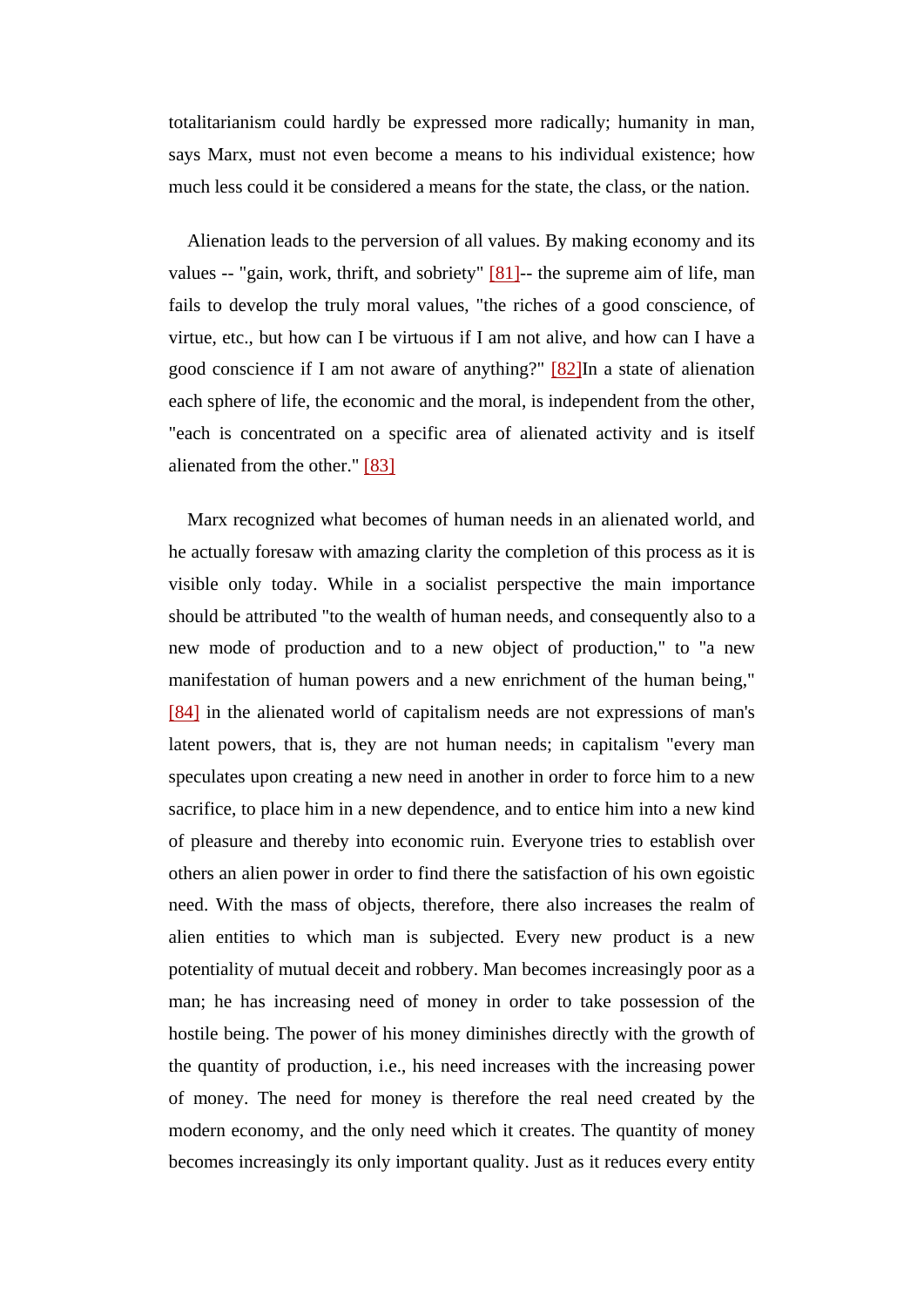totalitarianism could hardly be expressed more radically; humanity in man, says Marx, must not even become a means to his individual existence; how much less could it be considered a means for the state, the class, or the nation.

Alienation leads to the perversion of all values. By making economy and its values -- "gain, work, thrift, and sobriety" [81]-- the supreme aim of life, man fails to develop the truly moral values, "the riches of a good conscience, of virtue, etc., but how can I be virtuous if I am not alive, and how can I have a good conscience if I am not aware of anything?" [82]In a state of alienation each sphere of life, the economic and the moral, is independent from the other, "each is concentrated on a specific area of alienated activity and is itself alienated from the other." [83]

Marx recognized what becomes of human needs in an alienated world, and he actually foresaw with amazing clarity the completion of this process as it is visible only today. While in a socialist perspective the main importance should be attributed "to the wealth of human needs, and consequently also to a new mode of production and to a new object of production," to "a new manifestation of human powers and a new enrichment of the human being," [84] in the alienated world of capitalism needs are not expressions of man's latent powers, that is, they are not human needs; in capitalism "every man speculates upon creating a new need in another in order to force him to a new sacrifice, to place him in a new dependence, and to entice him into a new kind of pleasure and thereby into economic ruin. Everyone tries to establish over others an alien power in order to find there the satisfaction of his own egoistic need. With the mass of objects, therefore, there also increases the realm of alien entities to which man is subjected. Every new product is a new potentiality of mutual deceit and robbery. Man becomes increasingly poor as a man; he has increasing need of money in order to take possession of the hostile being. The power of his money diminishes directly with the growth of the quantity of production, i.e., his need increases with the increasing power of money. The need for money is therefore the real need created by the modern economy, and the only need which it creates. The quantity of money becomes increasingly its only important quality. Just as it reduces every entity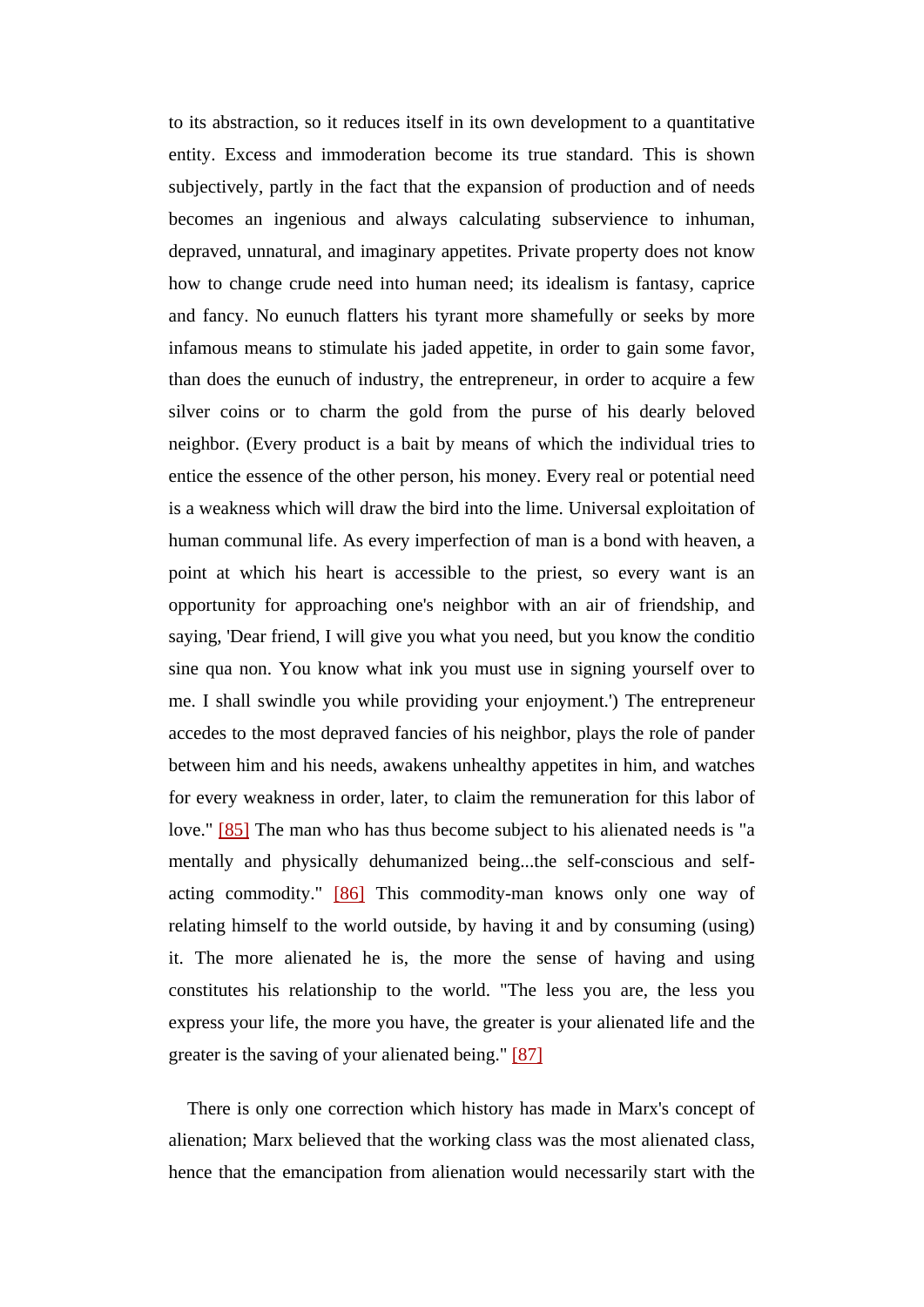to its abstraction, so it reduces itself in its own development to a quantitative entity. Excess and immoderation become its true standard. This is shown subjectively, partly in the fact that the expansion of production and of needs becomes an ingenious and always calculating subservience to inhuman, depraved, unnatural, and imaginary appetites. Private property does not know how to change crude need into human need; its idealism is fantasy, caprice and fancy. No eunuch flatters his tyrant more shamefully or seeks by more infamous means to stimulate his jaded appetite, in order to gain some favor, than does the eunuch of industry, the entrepreneur, in order to acquire a few silver coins or to charm the gold from the purse of his dearly beloved neighbor. (Every product is a bait by means of which the individual tries to entice the essence of the other person, his money. Every real or potential need is a weakness which will draw the bird into the lime. Universal exploitation of human communal life. As every imperfection of man is a bond with heaven, a point at which his heart is accessible to the priest, so every want is an opportunity for approaching one's neighbor with an air of friendship, and saying, 'Dear friend, I will give you what you need, but you know the conditio sine qua non. You know what ink you must use in signing yourself over to me. I shall swindle you while providing your enjoyment.') The entrepreneur accedes to the most depraved fancies of his neighbor, plays the role of pander between him and his needs, awakens unhealthy appetites in him, and watches for every weakness in order, later, to claim the remuneration for this labor of love." [85] The man who has thus become subject to his alienated needs is "a mentally and physically dehumanized being...the self-conscious and selfacting commodity." [86] This commodity-man knows only one way of relating himself to the world outside, by having it and by consuming (using) it. The more alienated he is, the more the sense of having and using constitutes his relationship to the world. "The less you are, the less you express your life, the more you have, the greater is your alienated life and the greater is the saving of your alienated being." [87]

There is only one correction which history has made in Marx's concept of alienation; Marx believed that the working class was the most alienated class, hence that the emancipation from alienation would necessarily start with the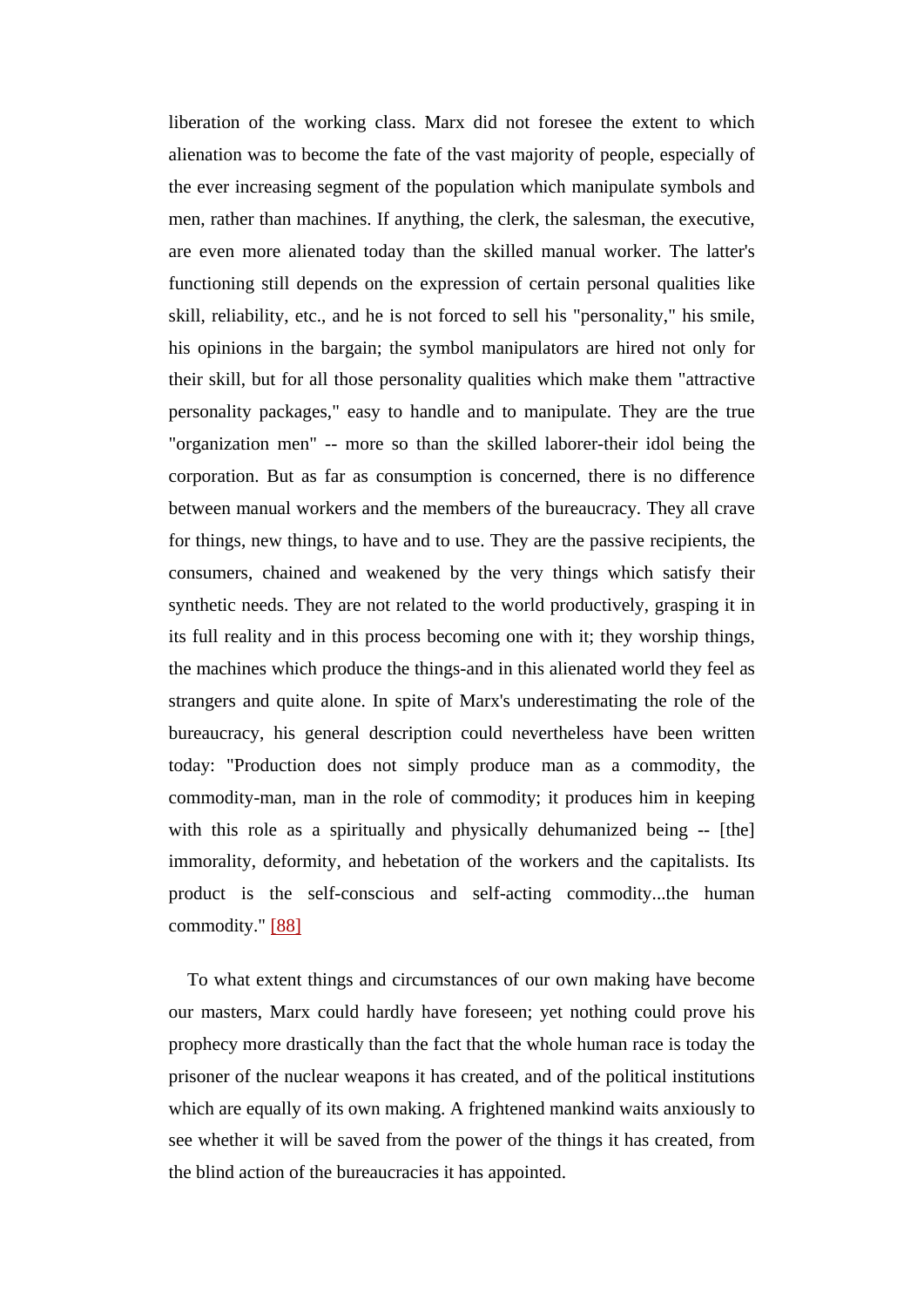liberation of the working class. Marx did not foresee the extent to which alienation was to become the fate of the vast majority of people, especially of the ever increasing segment of the population which manipulate symbols and men, rather than machines. If anything, the clerk, the salesman, the executive, are even more alienated today than the skilled manual worker. The latter's functioning still depends on the expression of certain personal qualities like skill, reliability, etc., and he is not forced to sell his "personality," his smile, his opinions in the bargain; the symbol manipulators are hired not only for their skill, but for all those personality qualities which make them "attractive personality packages," easy to handle and to manipulate. They are the true "organization men" -- more so than the skilled laborer-their idol being the corporation. But as far as consumption is concerned, there is no difference between manual workers and the members of the bureaucracy. They all crave for things, new things, to have and to use. They are the passive recipients, the consumers, chained and weakened by the very things which satisfy their synthetic needs. They are not related to the world productively, grasping it in its full reality and in this process becoming one with it; they worship things, the machines which produce the things-and in this alienated world they feel as strangers and quite alone. In spite of Marx's underestimating the role of the bureaucracy, his general description could nevertheless have been written today: "Production does not simply produce man as a commodity, the commodity-man, man in the role of commodity; it produces him in keeping with this role as a spiritually and physically dehumanized being -- [the] immorality, deformity, and hebetation of the workers and the capitalists. Its product is the self-conscious and self-acting commodity...the human commodity." [88]

To what extent things and circumstances of our own making have become our masters, Marx could hardly have foreseen; yet nothing could prove his prophecy more drastically than the fact that the whole human race is today the prisoner of the nuclear weapons it has created, and of the political institutions which are equally of its own making. A frightened mankind waits anxiously to see whether it will be saved from the power of the things it has created, from the blind action of the bureaucracies it has appointed.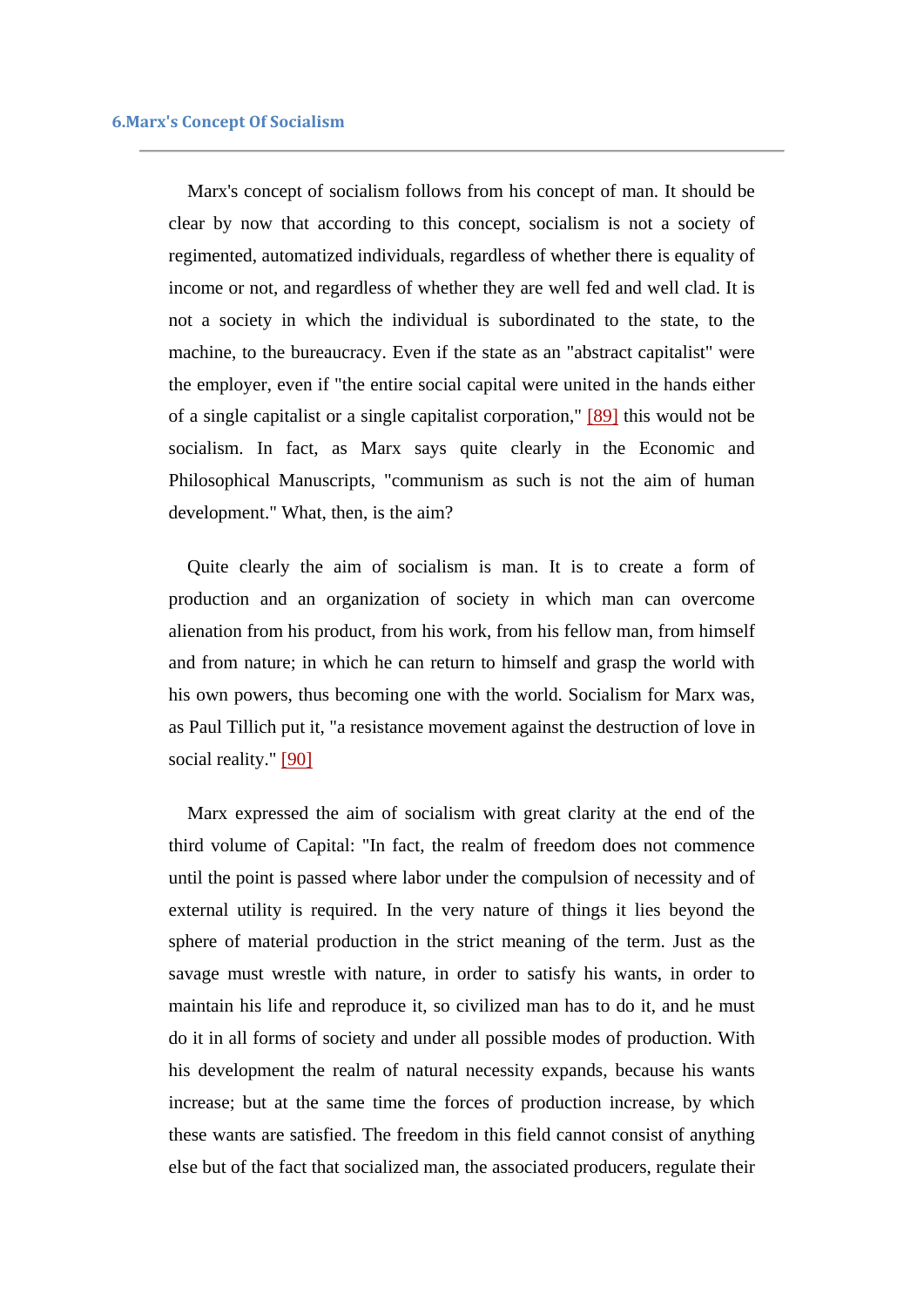Marx's concept of socialism follows from his concept of man. It should be clear by now that according to this concept, socialism is not a society of regimented, automatized individuals, regardless of whether there is equality of income or not, and regardless of whether they are well fed and well clad. It is not a society in which the individual is subordinated to the state, to the machine, to the bureaucracy. Even if the state as an "abstract capitalist" were the employer, even if "the entire social capital were united in the hands either of a single capitalist or a single capitalist corporation," [89] this would not be socialism. In fact, as Marx says quite clearly in the Economic and Philosophical Manuscripts, "communism as such is not the aim of human development." What, then, is the aim?

Quite clearly the aim of socialism is man. It is to create a form of production and an organization of society in which man can overcome alienation from his product, from his work, from his fellow man, from himself and from nature; in which he can return to himself and grasp the world with his own powers, thus becoming one with the world. Socialism for Marx was, as Paul Tillich put it, "a resistance movement against the destruction of love in social reality." [90]

Marx expressed the aim of socialism with great clarity at the end of the third volume of Capital: "In fact, the realm of freedom does not commence until the point is passed where labor under the compulsion of necessity and of external utility is required. In the very nature of things it lies beyond the sphere of material production in the strict meaning of the term. Just as the savage must wrestle with nature, in order to satisfy his wants, in order to maintain his life and reproduce it, so civilized man has to do it, and he must do it in all forms of society and under all possible modes of production. With his development the realm of natural necessity expands, because his wants increase; but at the same time the forces of production increase, by which these wants are satisfied. The freedom in this field cannot consist of anything else but of the fact that socialized man, the associated producers, regulate their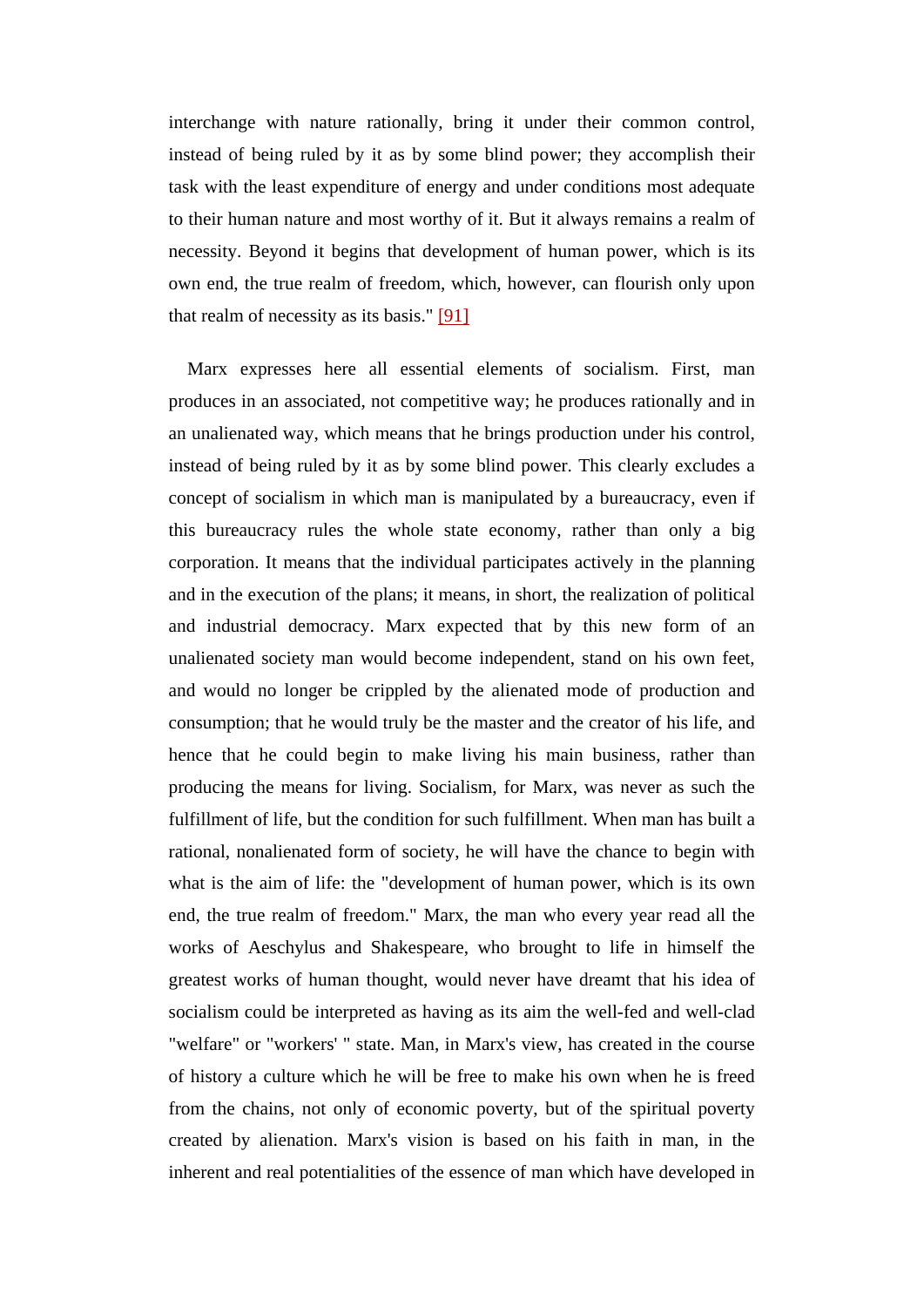interchange with nature rationally, bring it under their common control, instead of being ruled by it as by some blind power; they accomplish their task with the least expenditure of energy and under conditions most adequate to their human nature and most worthy of it. But it always remains a realm of necessity. Beyond it begins that development of human power, which is its own end, the true realm of freedom, which, however, can flourish only upon that realm of necessity as its basis." [91]

Marx expresses here all essential elements of socialism. First, man produces in an associated, not competitive way; he produces rationally and in an unalienated way, which means that he brings production under his control, instead of being ruled by it as by some blind power. This clearly excludes a concept of socialism in which man is manipulated by a bureaucracy, even if this bureaucracy rules the whole state economy, rather than only a big corporation. It means that the individual participates actively in the planning and in the execution of the plans; it means, in short, the realization of political and industrial democracy. Marx expected that by this new form of an unalienated society man would become independent, stand on his own feet, and would no longer be crippled by the alienated mode of production and consumption; that he would truly be the master and the creator of his life, and hence that he could begin to make living his main business, rather than producing the means for living. Socialism, for Marx, was never as such the fulfillment of life, but the condition for such fulfillment. When man has built a rational, nonalienated form of society, he will have the chance to begin with what is the aim of life: the "development of human power, which is its own end, the true realm of freedom." Marx, the man who every year read all the works of Aeschylus and Shakespeare, who brought to life in himself the greatest works of human thought, would never have dreamt that his idea of socialism could be interpreted as having as its aim the well-fed and well-clad "welfare" or "workers' " state. Man, in Marx's view, has created in the course of history a culture which he will be free to make his own when he is freed from the chains, not only of economic poverty, but of the spiritual poverty created by alienation. Marx's vision is based on his faith in man, in the inherent and real potentialities of the essence of man which have developed in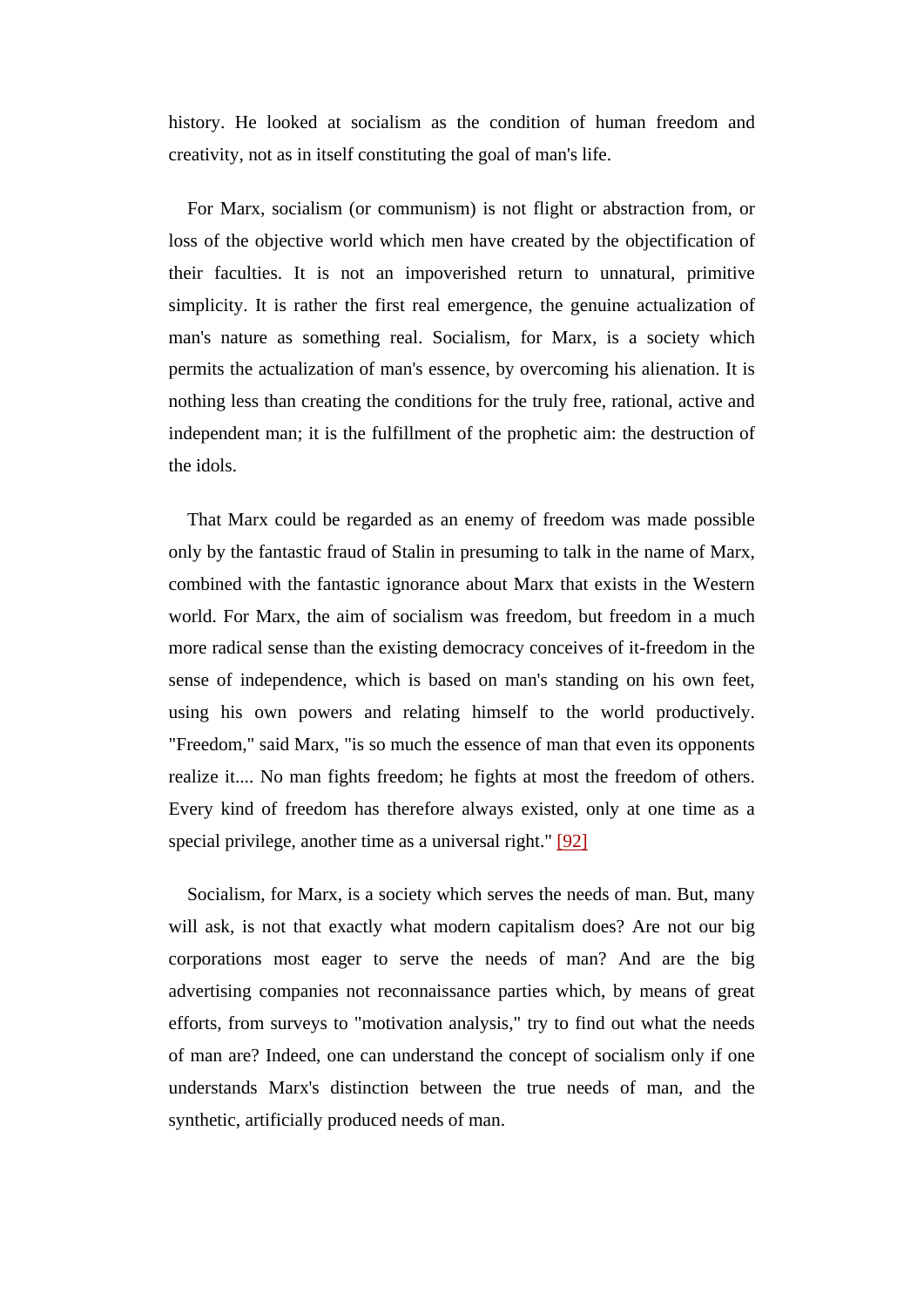history. He looked at socialism as the condition of human freedom and creativity, not as in itself constituting the goal of man's life.

For Marx, socialism (or communism) is not flight or abstraction from, or loss of the objective world which men have created by the objectification of their faculties. It is not an impoverished return to unnatural, primitive simplicity. It is rather the first real emergence, the genuine actualization of man's nature as something real. Socialism, for Marx, is a society which permits the actualization of man's essence, by overcoming his alienation. It is nothing less than creating the conditions for the truly free, rational, active and independent man; it is the fulfillment of the prophetic aim: the destruction of the idols.

That Marx could be regarded as an enemy of freedom was made possible only by the fantastic fraud of Stalin in presuming to talk in the name of Marx, combined with the fantastic ignorance about Marx that exists in the Western world. For Marx, the aim of socialism was freedom, but freedom in a much more radical sense than the existing democracy conceives of it-freedom in the sense of independence, which is based on man's standing on his own feet, using his own powers and relating himself to the world productively. "Freedom," said Marx, "is so much the essence of man that even its opponents realize it.... No man fights freedom; he fights at most the freedom of others. Every kind of freedom has therefore always existed, only at one time as a special privilege, another time as a universal right." [92]

Socialism, for Marx, is a society which serves the needs of man. But, many will ask, is not that exactly what modern capitalism does? Are not our big corporations most eager to serve the needs of man? And are the big advertising companies not reconnaissance parties which, by means of great efforts, from surveys to "motivation analysis," try to find out what the needs of man are? Indeed, one can understand the concept of socialism only if one understands Marx's distinction between the true needs of man, and the synthetic, artificially produced needs of man.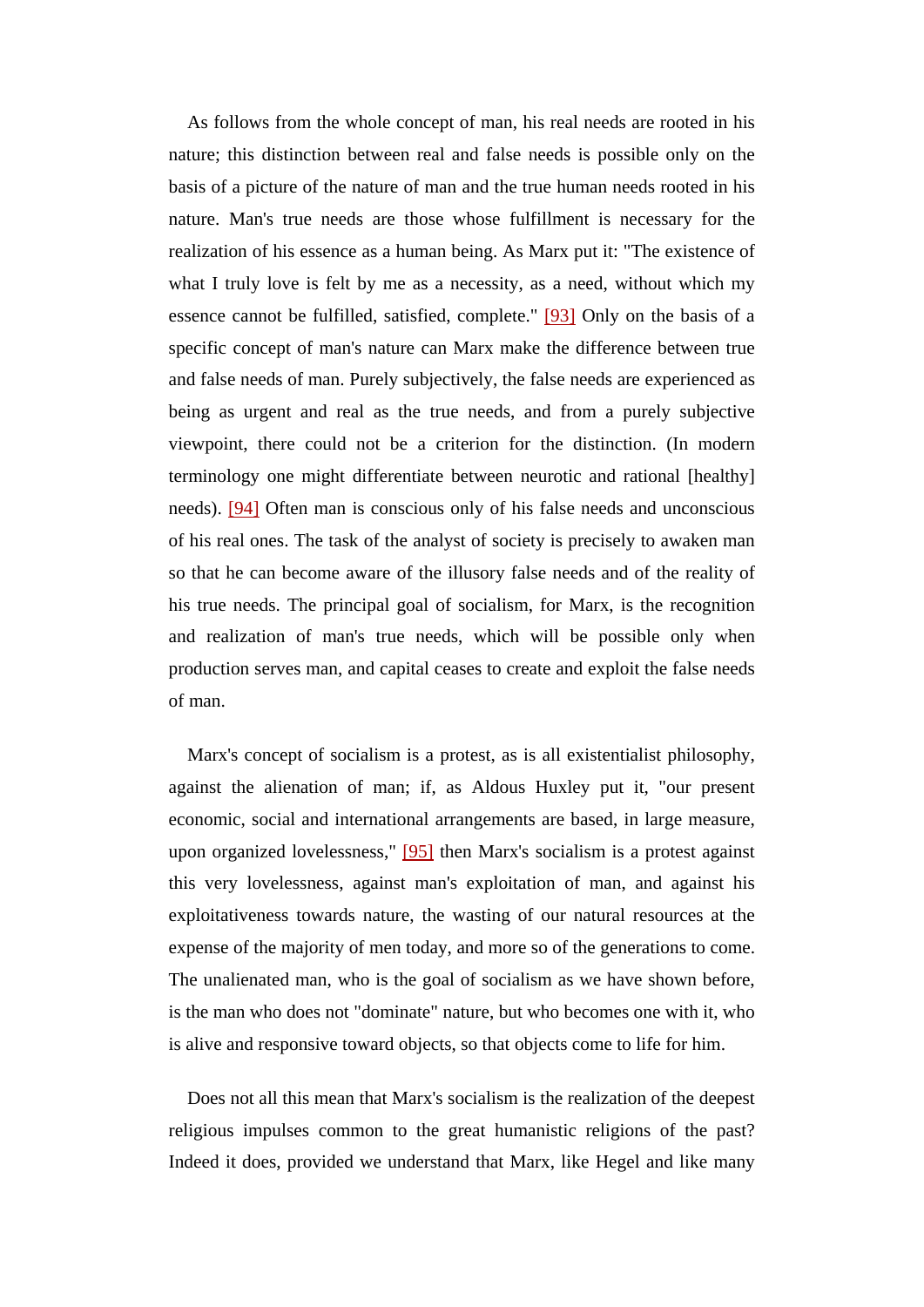As follows from the whole concept of man, his real needs are rooted in his nature; this distinction between real and false needs is possible only on the basis of a picture of the nature of man and the true human needs rooted in his nature. Man's true needs are those whose fulfillment is necessary for the realization of his essence as a human being. As Marx put it: "The existence of what I truly love is felt by me as a necessity, as a need, without which my essence cannot be fulfilled, satisfied, complete." [93] Only on the basis of a specific concept of man's nature can Marx make the difference between true and false needs of man. Purely subjectively, the false needs are experienced as being as urgent and real as the true needs, and from a purely subjective viewpoint, there could not be a criterion for the distinction. (In modern terminology one might differentiate between neurotic and rational [healthy] needs). [94] Often man is conscious only of his false needs and unconscious of his real ones. The task of the analyst of society is precisely to awaken man so that he can become aware of the illusory false needs and of the reality of his true needs. The principal goal of socialism, for Marx, is the recognition and realization of man's true needs, which will be possible only when production serves man, and capital ceases to create and exploit the false needs of man.

Marx's concept of socialism is a protest, as is all existentialist philosophy, against the alienation of man; if, as Aldous Huxley put it, "our present economic, social and international arrangements are based, in large measure, upon organized lovelessness," [95] then Marx's socialism is a protest against this very lovelessness, against man's exploitation of man, and against his exploitativeness towards nature, the wasting of our natural resources at the expense of the majority of men today, and more so of the generations to come. The unalienated man, who is the goal of socialism as we have shown before, is the man who does not "dominate" nature, but who becomes one with it, who is alive and responsive toward objects, so that objects come to life for him.

Does not all this mean that Marx's socialism is the realization of the deepest religious impulses common to the great humanistic religions of the past? Indeed it does, provided we understand that Marx, like Hegel and like many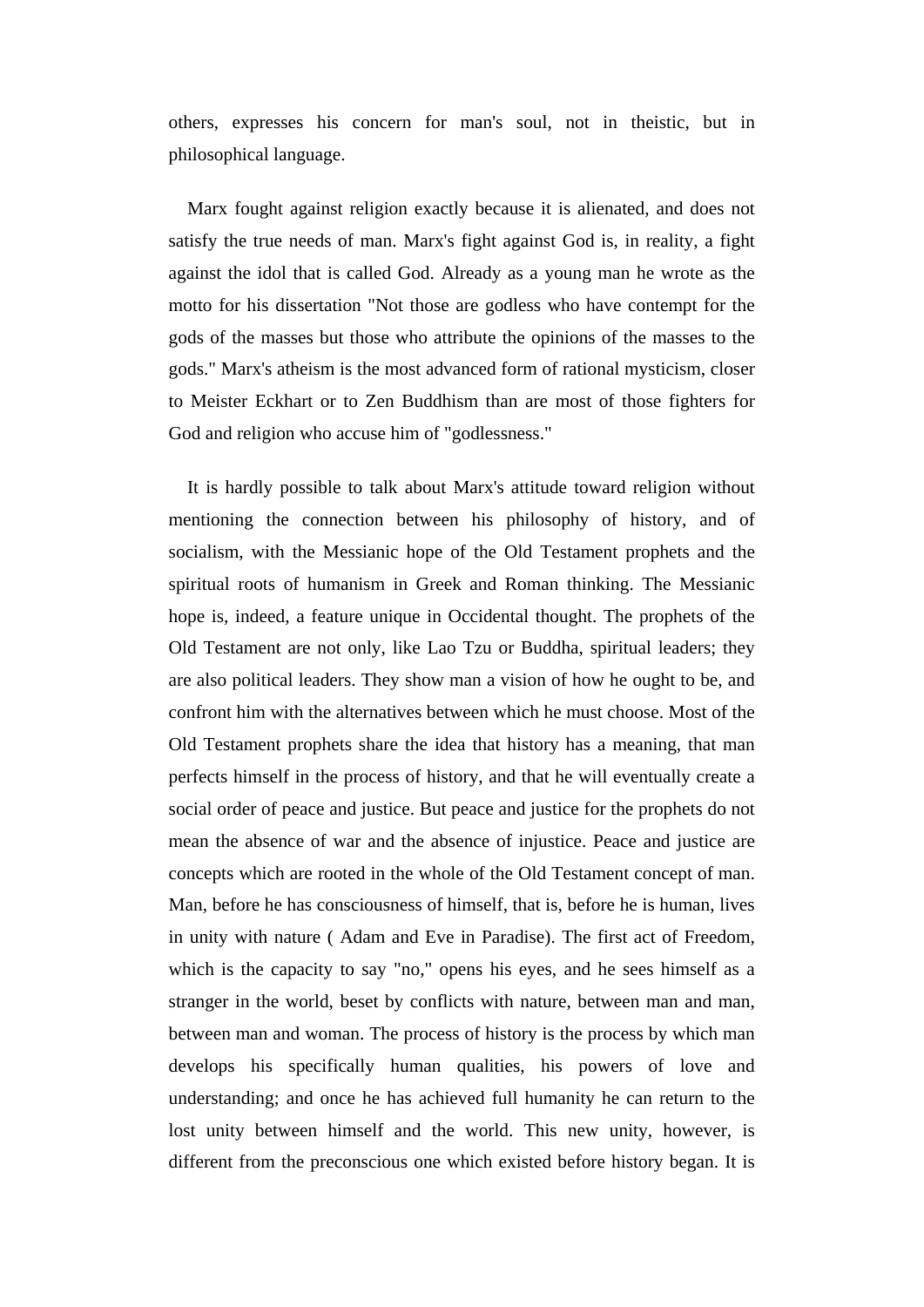others, expresses his concern for man's soul, not in theistic, but in philosophical language.

Marx fought against religion exactly because it is alienated, and does not satisfy the true needs of man. Marx's fight against God is, in reality, a fight against the idol that is called God. Already as a young man he wrote as the motto for his dissertation "Not those are godless who have contempt for the gods of the masses but those who attribute the opinions of the masses to the gods." Marx's atheism is the most advanced form of rational mysticism, closer to Meister Eckhart or to Zen Buddhism than are most of those fighters for God and religion who accuse him of "godlessness."

It is hardly possible to talk about Marx's attitude toward religion without mentioning the connection between his philosophy of history, and of socialism, with the Messianic hope of the Old Testament prophets and the spiritual roots of humanism in Greek and Roman thinking. The Messianic hope is, indeed, a feature unique in Occidental thought. The prophets of the Old Testament are not only, like Lao Tzu or Buddha, spiritual leaders; they are also political leaders. They show man a vision of how he ought to be, and confront him with the alternatives between which he must choose. Most of the Old Testament prophets share the idea that history has a meaning, that man perfects himself in the process of history, and that he will eventually create a social order of peace and justice. But peace and justice for the prophets do not mean the absence of war and the absence of injustice. Peace and justice are concepts which are rooted in the whole of the Old Testament concept of man. Man, before he has consciousness of himself, that is, before he is human, lives in unity with nature ( Adam and Eve in Paradise). The first act of Freedom, which is the capacity to say "no," opens his eyes, and he sees himself as a stranger in the world, beset by conflicts with nature, between man and man, between man and woman. The process of history is the process by which man develops his specifically human qualities, his powers of love and understanding; and once he has achieved full humanity he can return to the lost unity between himself and the world. This new unity, however, is different from the preconscious one which existed before history began. It is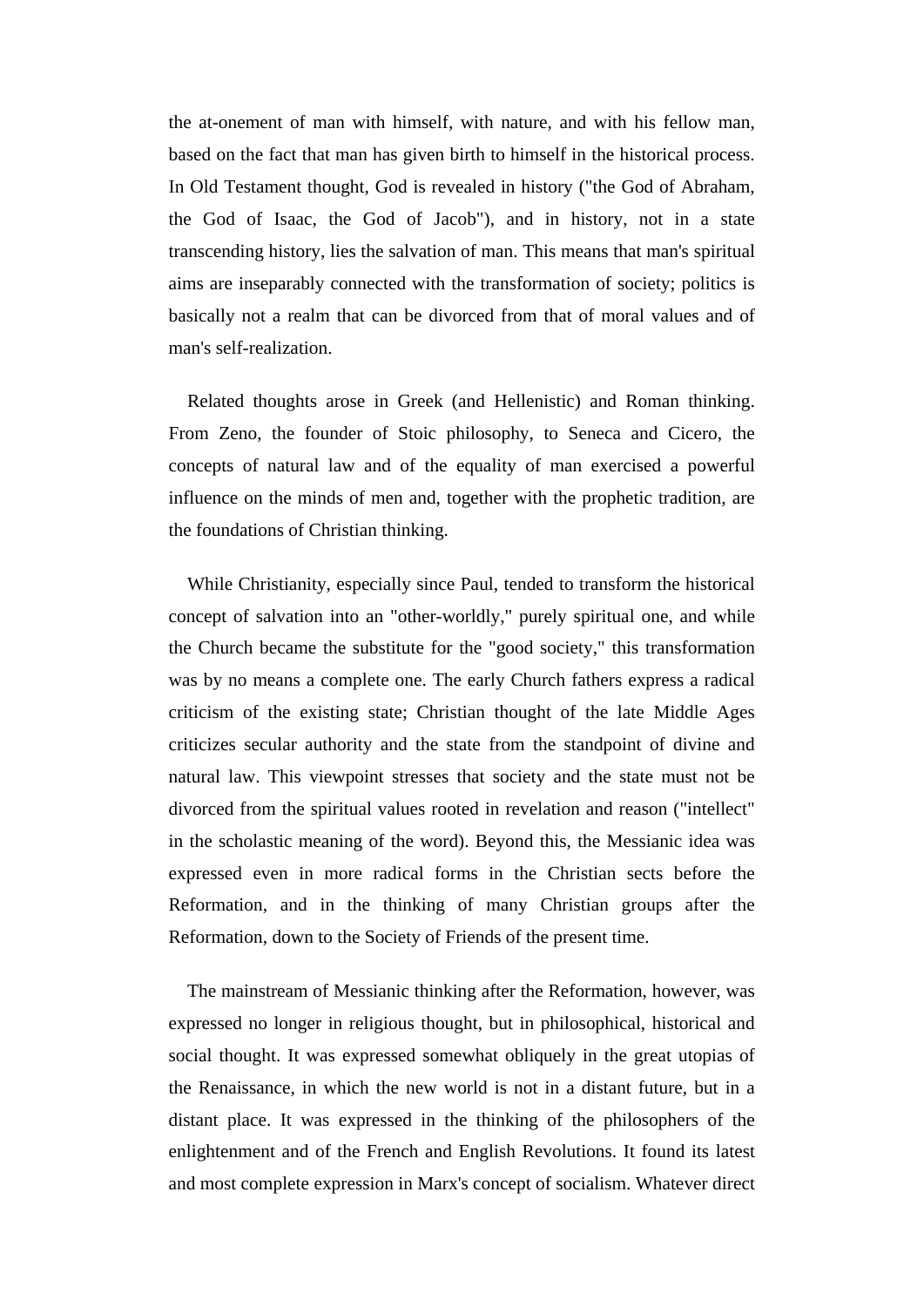the at-onement of man with himself, with nature, and with his fellow man, based on the fact that man has given birth to himself in the historical process. In Old Testament thought, God is revealed in history ("the God of Abraham, the God of Isaac, the God of Jacob"), and in history, not in a state transcending history, lies the salvation of man. This means that man's spiritual aims are inseparably connected with the transformation of society; politics is basically not a realm that can be divorced from that of moral values and of man's self-realization.

Related thoughts arose in Greek (and Hellenistic) and Roman thinking. From Zeno, the founder of Stoic philosophy, to Seneca and Cicero, the concepts of natural law and of the equality of man exercised a powerful influence on the minds of men and, together with the prophetic tradition, are the foundations of Christian thinking.

While Christianity, especially since Paul, tended to transform the historical concept of salvation into an "other-worldly," purely spiritual one, and while the Church became the substitute for the "good society," this transformation was by no means a complete one. The early Church fathers express a radical criticism of the existing state; Christian thought of the late Middle Ages criticizes secular authority and the state from the standpoint of divine and natural law. This viewpoint stresses that society and the state must not be divorced from the spiritual values rooted in revelation and reason ("intellect" in the scholastic meaning of the word). Beyond this, the Messianic idea was expressed even in more radical forms in the Christian sects before the Reformation, and in the thinking of many Christian groups after the Reformation, down to the Society of Friends of the present time.

The mainstream of Messianic thinking after the Reformation, however, was expressed no longer in religious thought, but in philosophical, historical and social thought. It was expressed somewhat obliquely in the great utopias of the Renaissance, in which the new world is not in a distant future, but in a distant place. It was expressed in the thinking of the philosophers of the enlightenment and of the French and English Revolutions. It found its latest and most complete expression in Marx's concept of socialism. Whatever direct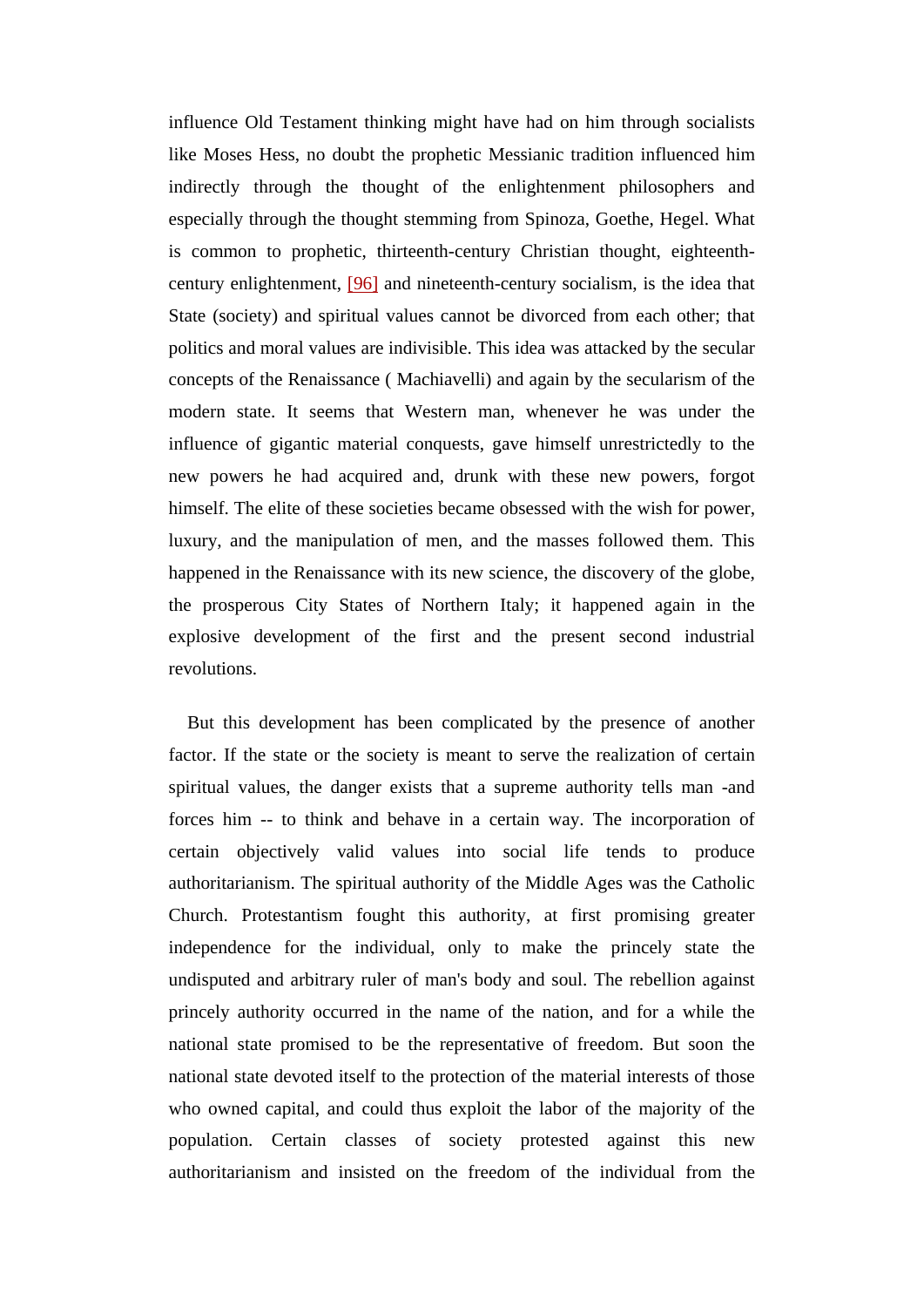influence Old Testament thinking might have had on him through socialists like Moses Hess, no doubt the prophetic Messianic tradition influenced him indirectly through the thought of the enlightenment philosophers and especially through the thought stemming from Spinoza, Goethe, Hegel. What is common to prophetic, thirteenth-century Christian thought, eighteenthcentury enlightenment, [96] and nineteenth-century socialism, is the idea that State (society) and spiritual values cannot be divorced from each other; that politics and moral values are indivisible. This idea was attacked by the secular concepts of the Renaissance ( Machiavelli) and again by the secularism of the modern state. It seems that Western man, whenever he was under the influence of gigantic material conquests, gave himself unrestrictedly to the new powers he had acquired and, drunk with these new powers, forgot himself. The elite of these societies became obsessed with the wish for power, luxury, and the manipulation of men, and the masses followed them. This happened in the Renaissance with its new science, the discovery of the globe, the prosperous City States of Northern Italy; it happened again in the explosive development of the first and the present second industrial revolutions.

But this development has been complicated by the presence of another factor. If the state or the society is meant to serve the realization of certain spiritual values, the danger exists that a supreme authority tells man -and forces him -- to think and behave in a certain way. The incorporation of certain objectively valid values into social life tends to produce authoritarianism. The spiritual authority of the Middle Ages was the Catholic Church. Protestantism fought this authority, at first promising greater independence for the individual, only to make the princely state the undisputed and arbitrary ruler of man's body and soul. The rebellion against princely authority occurred in the name of the nation, and for a while the national state promised to be the representative of freedom. But soon the national state devoted itself to the protection of the material interests of those who owned capital, and could thus exploit the labor of the majority of the population. Certain classes of society protested against this new authoritarianism and insisted on the freedom of the individual from the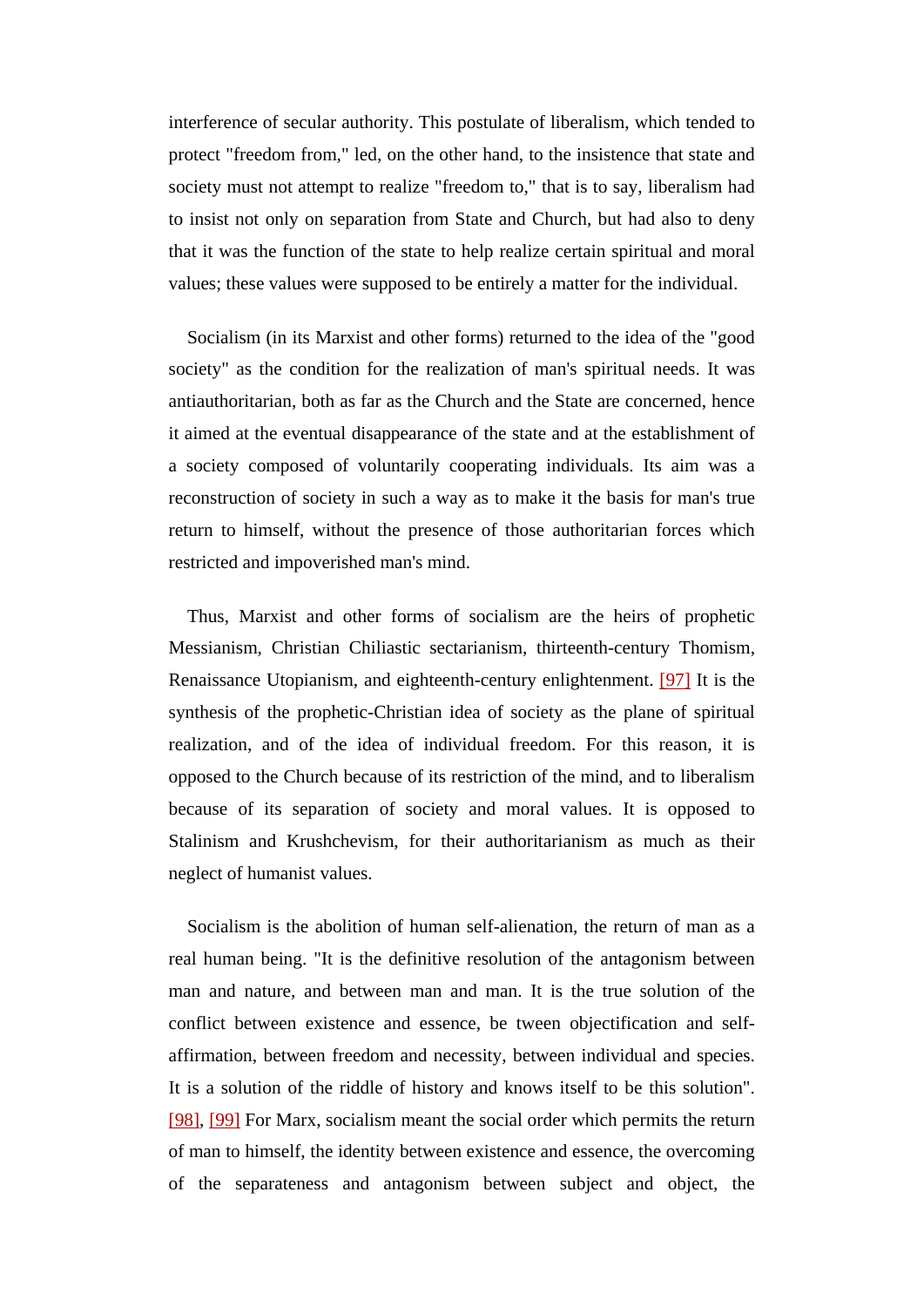interference of secular authority. This postulate of liberalism, which tended to protect "freedom from," led, on the other hand, to the insistence that state and society must not attempt to realize "freedom to," that is to say, liberalism had to insist not only on separation from State and Church, but had also to deny that it was the function of the state to help realize certain spiritual and moral values; these values were supposed to be entirely a matter for the individual.

Socialism (in its Marxist and other forms) returned to the idea of the "good society" as the condition for the realization of man's spiritual needs. It was antiauthoritarian, both as far as the Church and the State are concerned, hence it aimed at the eventual disappearance of the state and at the establishment of a society composed of voluntarily cooperating individuals. Its aim was a reconstruction of society in such a way as to make it the basis for man's true return to himself, without the presence of those authoritarian forces which restricted and impoverished man's mind.

Thus, Marxist and other forms of socialism are the heirs of prophetic Messianism, Christian Chiliastic sectarianism, thirteenth-century Thomism, Renaissance Utopianism, and eighteenth-century enlightenment. [97] It is the synthesis of the prophetic-Christian idea of society as the plane of spiritual realization, and of the idea of individual freedom. For this reason, it is opposed to the Church because of its restriction of the mind, and to liberalism because of its separation of society and moral values. It is opposed to Stalinism and Krushchevism, for their authoritarianism as much as their neglect of humanist values.

Socialism is the abolition of human self-alienation, the return of man as a real human being. "It is the definitive resolution of the antagonism between man and nature, and between man and man. It is the true solution of the conflict between existence and essence, be tween objectification and selfaffirmation, between freedom and necessity, between individual and species. It is a solution of the riddle of history and knows itself to be this solution". [98], [99] For Marx, socialism meant the social order which permits the return of man to himself, the identity between existence and essence, the overcoming of the separateness and antagonism between subject and object, the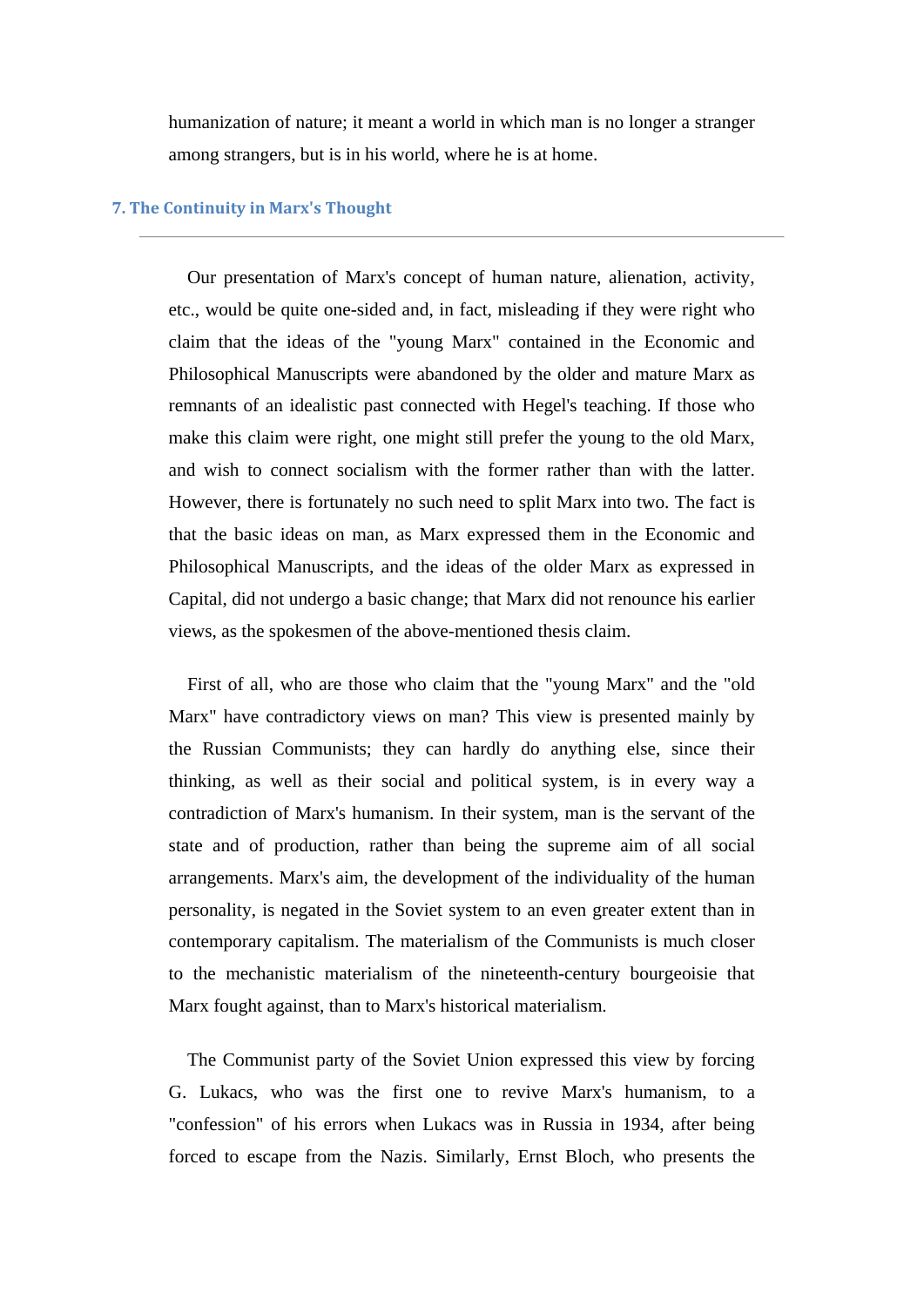humanization of nature; it meant a world in which man is no longer a stranger among strangers, but is in his world, where he is at home.

#### **7. The Continuity in Marx's Thought**

Our presentation of Marx's concept of human nature, alienation, activity, etc., would be quite one-sided and, in fact, misleading if they were right who claim that the ideas of the "young Marx" contained in the Economic and Philosophical Manuscripts were abandoned by the older and mature Marx as remnants of an idealistic past connected with Hegel's teaching. If those who make this claim were right, one might still prefer the young to the old Marx, and wish to connect socialism with the former rather than with the latter. However, there is fortunately no such need to split Marx into two. The fact is that the basic ideas on man, as Marx expressed them in the Economic and Philosophical Manuscripts, and the ideas of the older Marx as expressed in Capital, did not undergo a basic change; that Marx did not renounce his earlier views, as the spokesmen of the above-mentioned thesis claim.

First of all, who are those who claim that the "young Marx" and the "old Marx" have contradictory views on man? This view is presented mainly by the Russian Communists; they can hardly do anything else, since their thinking, as well as their social and political system, is in every way a contradiction of Marx's humanism. In their system, man is the servant of the state and of production, rather than being the supreme aim of all social arrangements. Marx's aim, the development of the individuality of the human personality, is negated in the Soviet system to an even greater extent than in contemporary capitalism. The materialism of the Communists is much closer to the mechanistic materialism of the nineteenth-century bourgeoisie that Marx fought against, than to Marx's historical materialism.

The Communist party of the Soviet Union expressed this view by forcing G. Lukacs, who was the first one to revive Marx's humanism, to a "confession" of his errors when Lukacs was in Russia in 1934, after being forced to escape from the Nazis. Similarly, Ernst Bloch, who presents the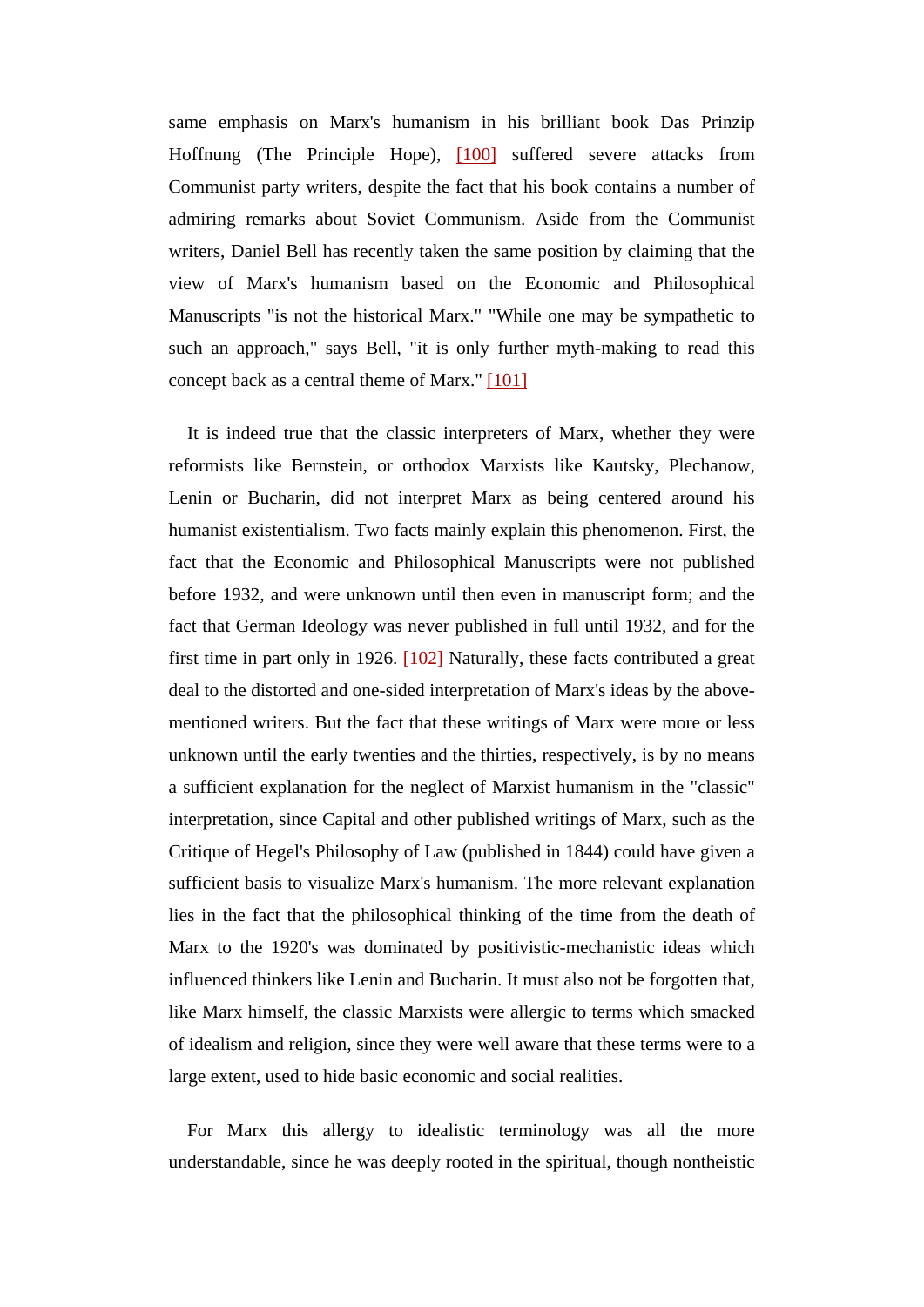same emphasis on Marx's humanism in his brilliant book Das Prinzip Hoffnung (The Principle Hope), [100] suffered severe attacks from Communist party writers, despite the fact that his book contains a number of admiring remarks about Soviet Communism. Aside from the Communist writers, Daniel Bell has recently taken the same position by claiming that the view of Marx's humanism based on the Economic and Philosophical Manuscripts "is not the historical Marx." "While one may be sympathetic to such an approach," says Bell, "it is only further myth-making to read this concept back as a central theme of Marx." [101]

It is indeed true that the classic interpreters of Marx, whether they were reformists like Bernstein, or orthodox Marxists like Kautsky, Plechanow, Lenin or Bucharin, did not interpret Marx as being centered around his humanist existentialism. Two facts mainly explain this phenomenon. First, the fact that the Economic and Philosophical Manuscripts were not published before 1932, and were unknown until then even in manuscript form; and the fact that German Ideology was never published in full until 1932, and for the first time in part only in 1926. [102] Naturally, these facts contributed a great deal to the distorted and one-sided interpretation of Marx's ideas by the abovementioned writers. But the fact that these writings of Marx were more or less unknown until the early twenties and the thirties, respectively, is by no means a sufficient explanation for the neglect of Marxist humanism in the "classic" interpretation, since Capital and other published writings of Marx, such as the Critique of Hegel's Philosophy of Law (published in 1844) could have given a sufficient basis to visualize Marx's humanism. The more relevant explanation lies in the fact that the philosophical thinking of the time from the death of Marx to the 1920's was dominated by positivistic-mechanistic ideas which influenced thinkers like Lenin and Bucharin. It must also not be forgotten that, like Marx himself, the classic Marxists were allergic to terms which smacked of idealism and religion, since they were well aware that these terms were to a large extent, used to hide basic economic and social realities.

For Marx this allergy to idealistic terminology was all the more understandable, since he was deeply rooted in the spiritual, though nontheistic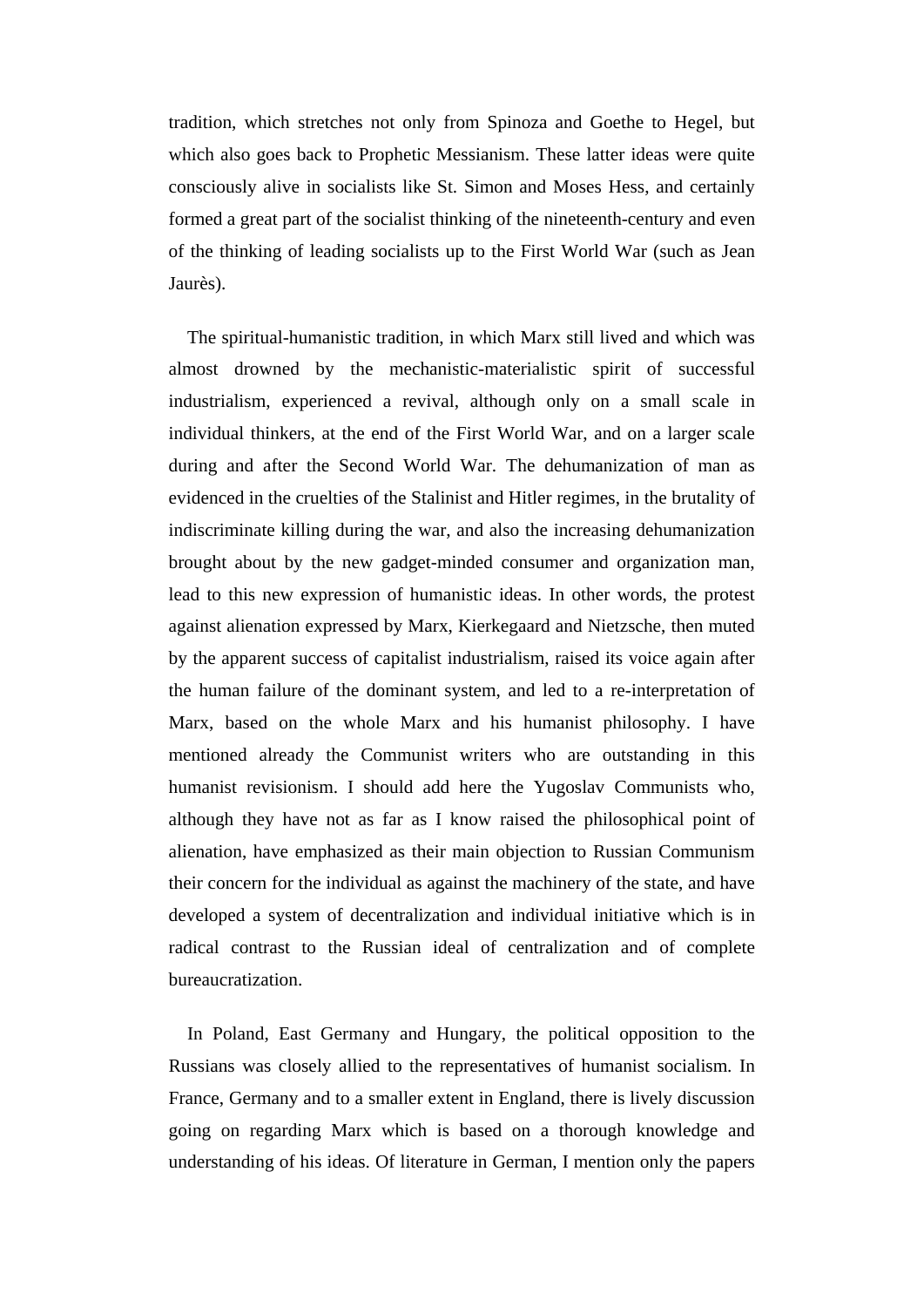tradition, which stretches not only from Spinoza and Goethe to Hegel, but which also goes back to Prophetic Messianism. These latter ideas were quite consciously alive in socialists like St. Simon and Moses Hess, and certainly formed a great part of the socialist thinking of the nineteenth-century and even of the thinking of leading socialists up to the First World War (such as Jean Jaurès).

The spiritual-humanistic tradition, in which Marx still lived and which was almost drowned by the mechanistic-materialistic spirit of successful industrialism, experienced a revival, although only on a small scale in individual thinkers, at the end of the First World War, and on a larger scale during and after the Second World War. The dehumanization of man as evidenced in the cruelties of the Stalinist and Hitler regimes, in the brutality of indiscriminate killing during the war, and also the increasing dehumanization brought about by the new gadget-minded consumer and organization man, lead to this new expression of humanistic ideas. In other words, the protest against alienation expressed by Marx, Kierkegaard and Nietzsche, then muted by the apparent success of capitalist industrialism, raised its voice again after the human failure of the dominant system, and led to a re-interpretation of Marx, based on the whole Marx and his humanist philosophy. I have mentioned already the Communist writers who are outstanding in this humanist revisionism. I should add here the Yugoslav Communists who, although they have not as far as I know raised the philosophical point of alienation, have emphasized as their main objection to Russian Communism their concern for the individual as against the machinery of the state, and have developed a system of decentralization and individual initiative which is in radical contrast to the Russian ideal of centralization and of complete bureaucratization.

In Poland, East Germany and Hungary, the political opposition to the Russians was closely allied to the representatives of humanist socialism. In France, Germany and to a smaller extent in England, there is lively discussion going on regarding Marx which is based on a thorough knowledge and understanding of his ideas. Of literature in German, I mention only the papers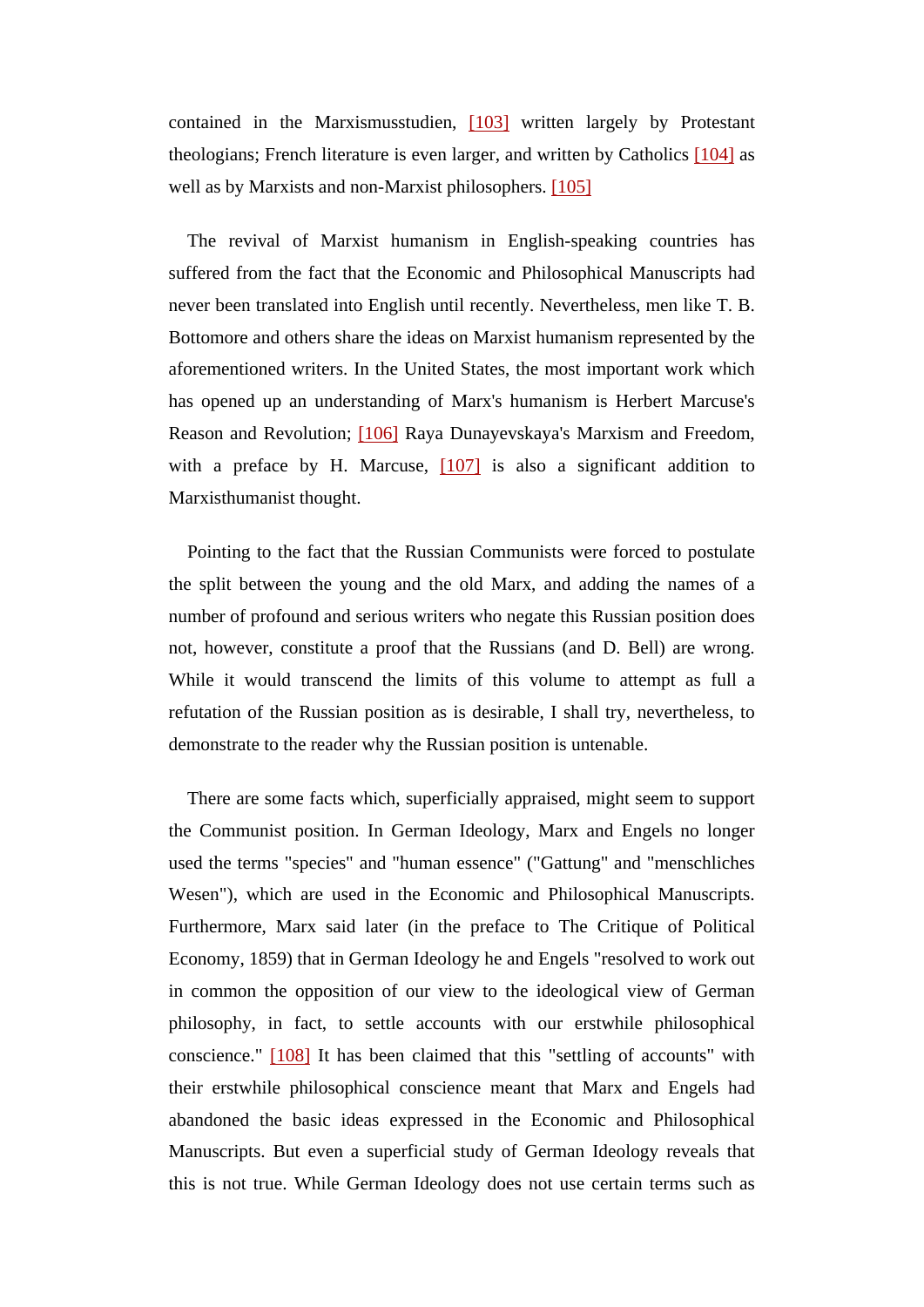contained in the Marxismusstudien, [103] written largely by Protestant theologians; French literature is even larger, and written by Catholics [104] as well as by Marxists and non-Marxist philosophers. [105]

The revival of Marxist humanism in English-speaking countries has suffered from the fact that the Economic and Philosophical Manuscripts had never been translated into English until recently. Nevertheless, men like T. B. Bottomore and others share the ideas on Marxist humanism represented by the aforementioned writers. In the United States, the most important work which has opened up an understanding of Marx's humanism is Herbert Marcuse's Reason and Revolution; [106] Raya Dunayevskaya's Marxism and Freedom, with a preface by H. Marcuse,  $[107]$  is also a significant addition to Marxisthumanist thought.

Pointing to the fact that the Russian Communists were forced to postulate the split between the young and the old Marx, and adding the names of a number of profound and serious writers who negate this Russian position does not, however, constitute a proof that the Russians (and D. Bell) are wrong. While it would transcend the limits of this volume to attempt as full a refutation of the Russian position as is desirable, I shall try, nevertheless, to demonstrate to the reader why the Russian position is untenable.

There are some facts which, superficially appraised, might seem to support the Communist position. In German Ideology, Marx and Engels no longer used the terms "species" and "human essence" ("Gattung" and "menschliches Wesen"), which are used in the Economic and Philosophical Manuscripts. Furthermore, Marx said later (in the preface to The Critique of Political Economy, 1859) that in German Ideology he and Engels "resolved to work out in common the opposition of our view to the ideological view of German philosophy, in fact, to settle accounts with our erstwhile philosophical conscience." [108] It has been claimed that this "settling of accounts" with their erstwhile philosophical conscience meant that Marx and Engels had abandoned the basic ideas expressed in the Economic and Philosophical Manuscripts. But even a superficial study of German Ideology reveals that this is not true. While German Ideology does not use certain terms such as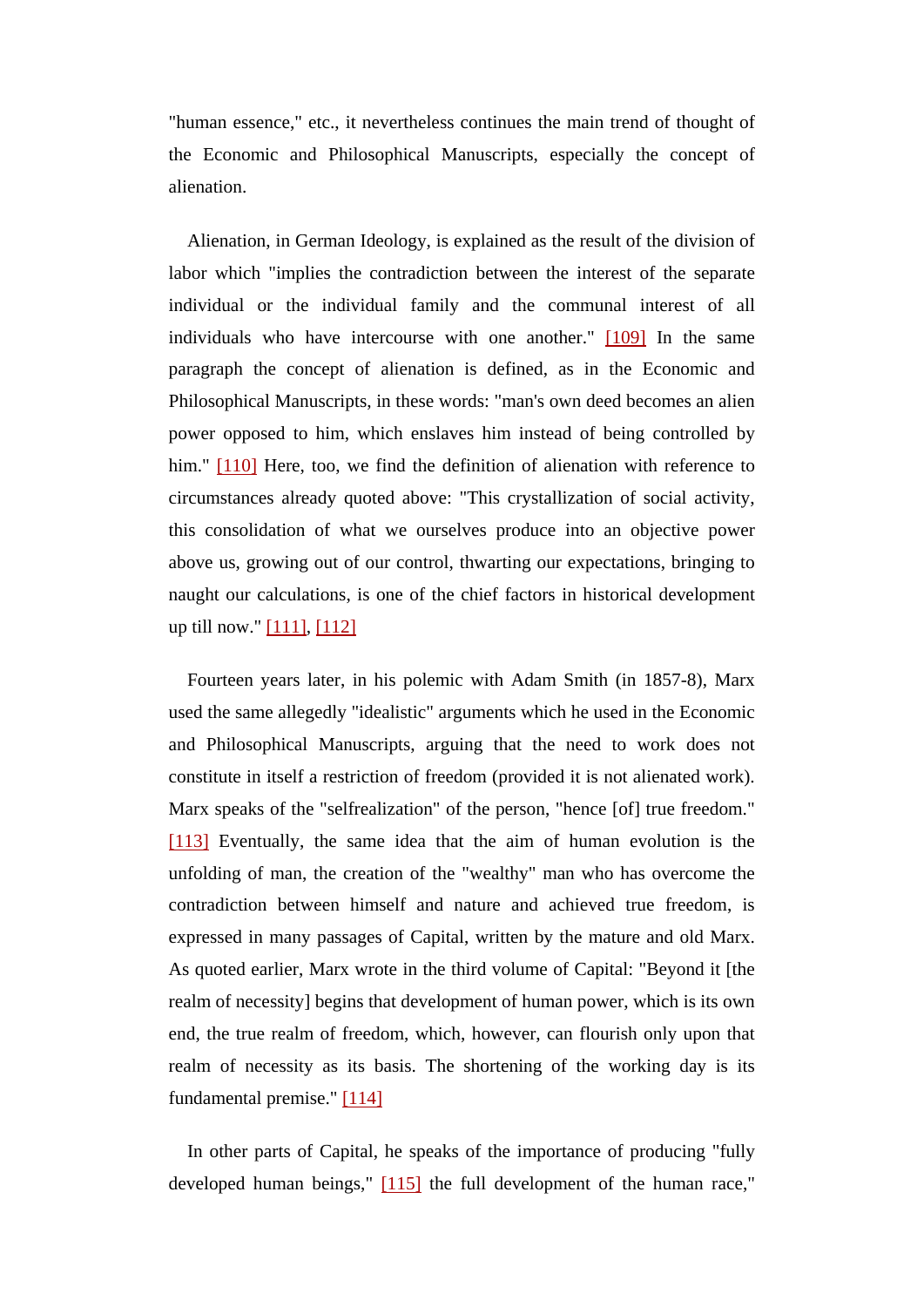"human essence," etc., it nevertheless continues the main trend of thought of the Economic and Philosophical Manuscripts, especially the concept of alienation.

Alienation, in German Ideology, is explained as the result of the division of labor which "implies the contradiction between the interest of the separate individual or the individual family and the communal interest of all individuals who have intercourse with one another." [109] In the same paragraph the concept of alienation is defined, as in the Economic and Philosophical Manuscripts, in these words: "man's own deed becomes an alien power opposed to him, which enslaves him instead of being controlled by him." [110] Here, too, we find the definition of alienation with reference to circumstances already quoted above: "This crystallization of social activity, this consolidation of what we ourselves produce into an objective power above us, growing out of our control, thwarting our expectations, bringing to naught our calculations, is one of the chief factors in historical development up till now." [111], [112]

Fourteen years later, in his polemic with Adam Smith (in 1857-8), Marx used the same allegedly "idealistic" arguments which he used in the Economic and Philosophical Manuscripts, arguing that the need to work does not constitute in itself a restriction of freedom (provided it is not alienated work). Marx speaks of the "selfrealization" of the person, "hence [of] true freedom." [113] Eventually, the same idea that the aim of human evolution is the unfolding of man, the creation of the "wealthy" man who has overcome the contradiction between himself and nature and achieved true freedom, is expressed in many passages of Capital, written by the mature and old Marx. As quoted earlier, Marx wrote in the third volume of Capital: "Beyond it [the realm of necessity] begins that development of human power, which is its own end, the true realm of freedom, which, however, can flourish only upon that realm of necessity as its basis. The shortening of the working day is its fundamental premise." [114]

In other parts of Capital, he speaks of the importance of producing "fully developed human beings," [115] the full development of the human race,"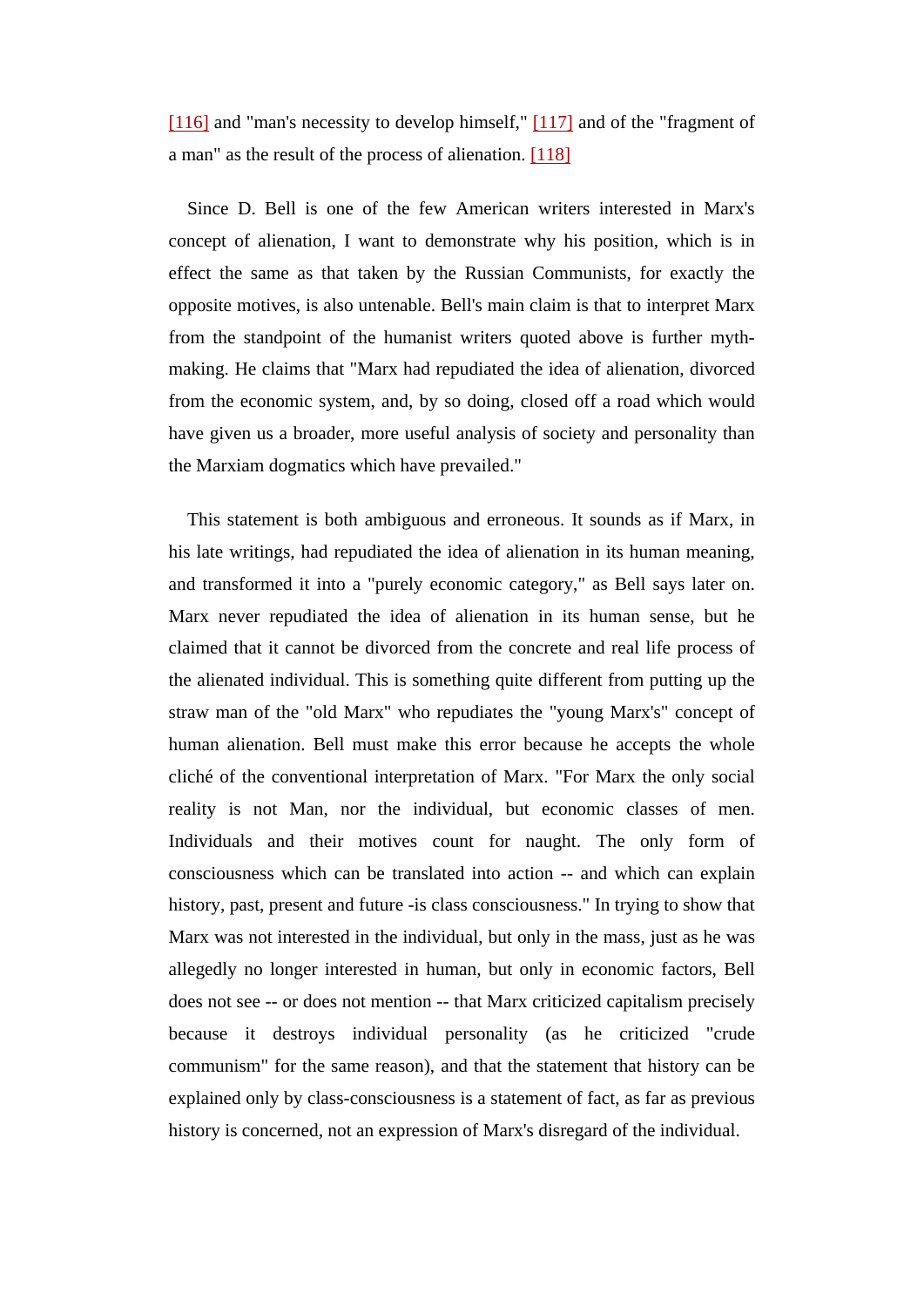[116] and "man's necessity to develop himself," [117] and of the "fragment of a man" as the result of the process of alienation. [118]

Since D. Bell is one of the few American writers interested in Marx's concept of alienation, I want to demonstrate why his position, which is in effect the same as that taken by the Russian Communists, for exactly the opposite motives, is also untenable. Bell's main claim is that to interpret Marx from the standpoint of the humanist writers quoted above is further mythmaking. He claims that "Marx had repudiated the idea of alienation, divorced from the economic system, and, by so doing, closed off a road which would have given us a broader, more useful analysis of society and personality than the Marxiam dogmatics which have prevailed."

This statement is both ambiguous and erroneous. It sounds as if Marx, in his late writings, had repudiated the idea of alienation in its human meaning, and transformed it into a "purely economic category," as Bell says later on. Marx never repudiated the idea of alienation in its human sense, but he claimed that it cannot be divorced from the concrete and real life process of the alienated individual. This is something quite different from putting up the straw man of the "old Marx" who repudiates the "young Marx's" concept of human alienation. Bell must make this error because he accepts the whole cliché of the conventional interpretation of Marx. "For Marx the only social reality is not Man, nor the individual, but economic classes of men. Individuals and their motives count for naught. The only form of consciousness which can be translated into action -- and which can explain history, past, present and future -is class consciousness." In trying to show that Marx was not interested in the individual, but only in the mass, just as he was allegedly no longer interested in human, but only in economic factors, Bell does not see -- or does not mention -- that Marx criticized capitalism precisely because it destroys individual personality (as he criticized "crude communism" for the same reason), and that the statement that history can be explained only by class-consciousness is a statement of fact, as far as previous history is concerned, not an expression of Marx's disregard of the individual.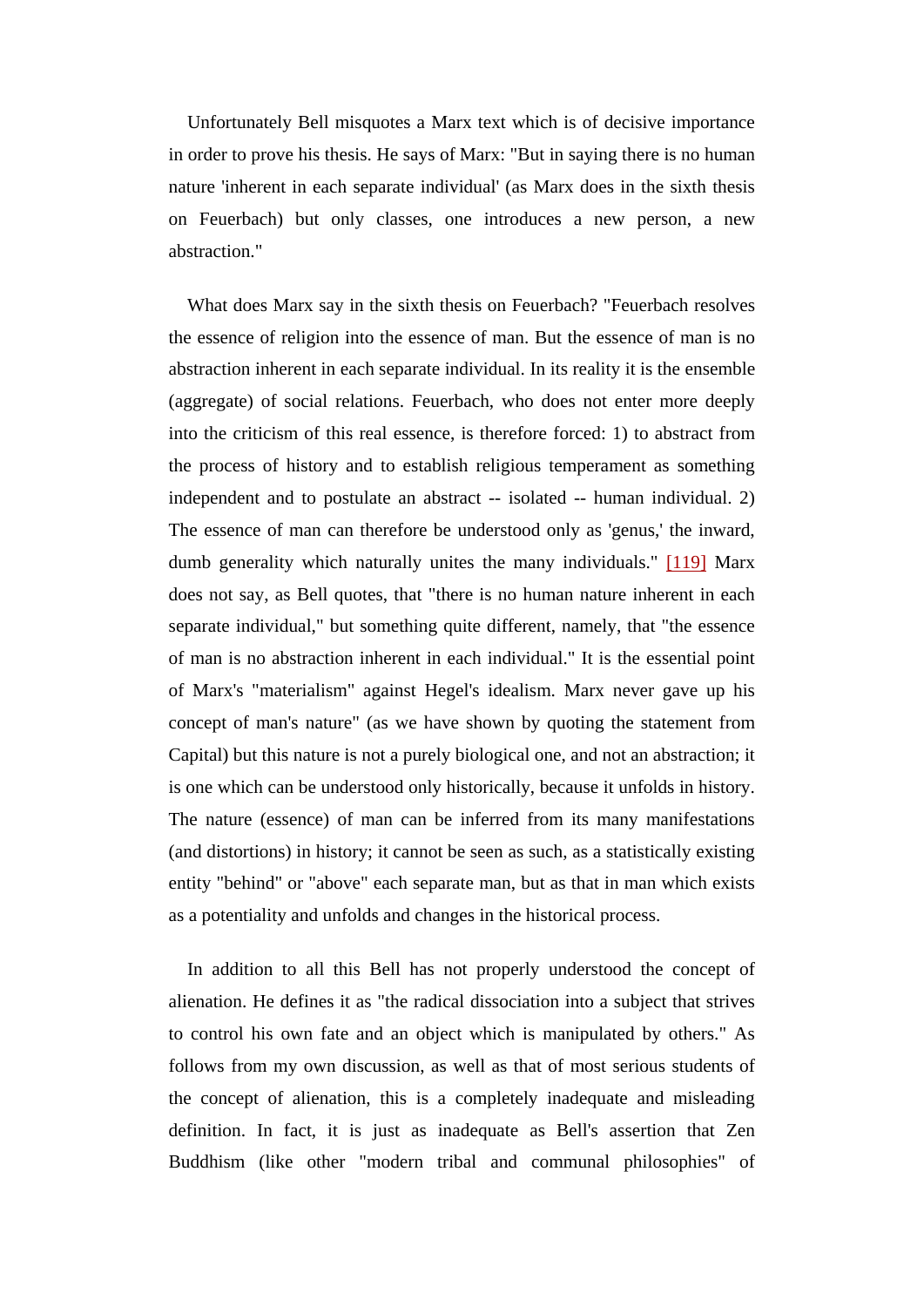Unfortunately Bell misquotes a Marx text which is of decisive importance in order to prove his thesis. He says of Marx: "But in saying there is no human nature 'inherent in each separate individual' (as Marx does in the sixth thesis on Feuerbach) but only classes, one introduces a new person, a new abstraction."

What does Marx say in the sixth thesis on Feuerbach? "Feuerbach resolves the essence of religion into the essence of man. But the essence of man is no abstraction inherent in each separate individual. In its reality it is the ensemble (aggregate) of social relations. Feuerbach, who does not enter more deeply into the criticism of this real essence, is therefore forced: 1) to abstract from the process of history and to establish religious temperament as something independent and to postulate an abstract -- isolated -- human individual. 2) The essence of man can therefore be understood only as 'genus,' the inward, dumb generality which naturally unites the many individuals." [119] Marx does not say, as Bell quotes, that "there is no human nature inherent in each separate individual," but something quite different, namely, that "the essence of man is no abstraction inherent in each individual." It is the essential point of Marx's "materialism" against Hegel's idealism. Marx never gave up his concept of man's nature" (as we have shown by quoting the statement from Capital) but this nature is not a purely biological one, and not an abstraction; it is one which can be understood only historically, because it unfolds in history. The nature (essence) of man can be inferred from its many manifestations (and distortions) in history; it cannot be seen as such, as a statistically existing entity "behind" or "above" each separate man, but as that in man which exists as a potentiality and unfolds and changes in the historical process.

In addition to all this Bell has not properly understood the concept of alienation. He defines it as "the radical dissociation into a subject that strives to control his own fate and an object which is manipulated by others." As follows from my own discussion, as well as that of most serious students of the concept of alienation, this is a completely inadequate and misleading definition. In fact, it is just as inadequate as Bell's assertion that Zen Buddhism (like other "modern tribal and communal philosophies" of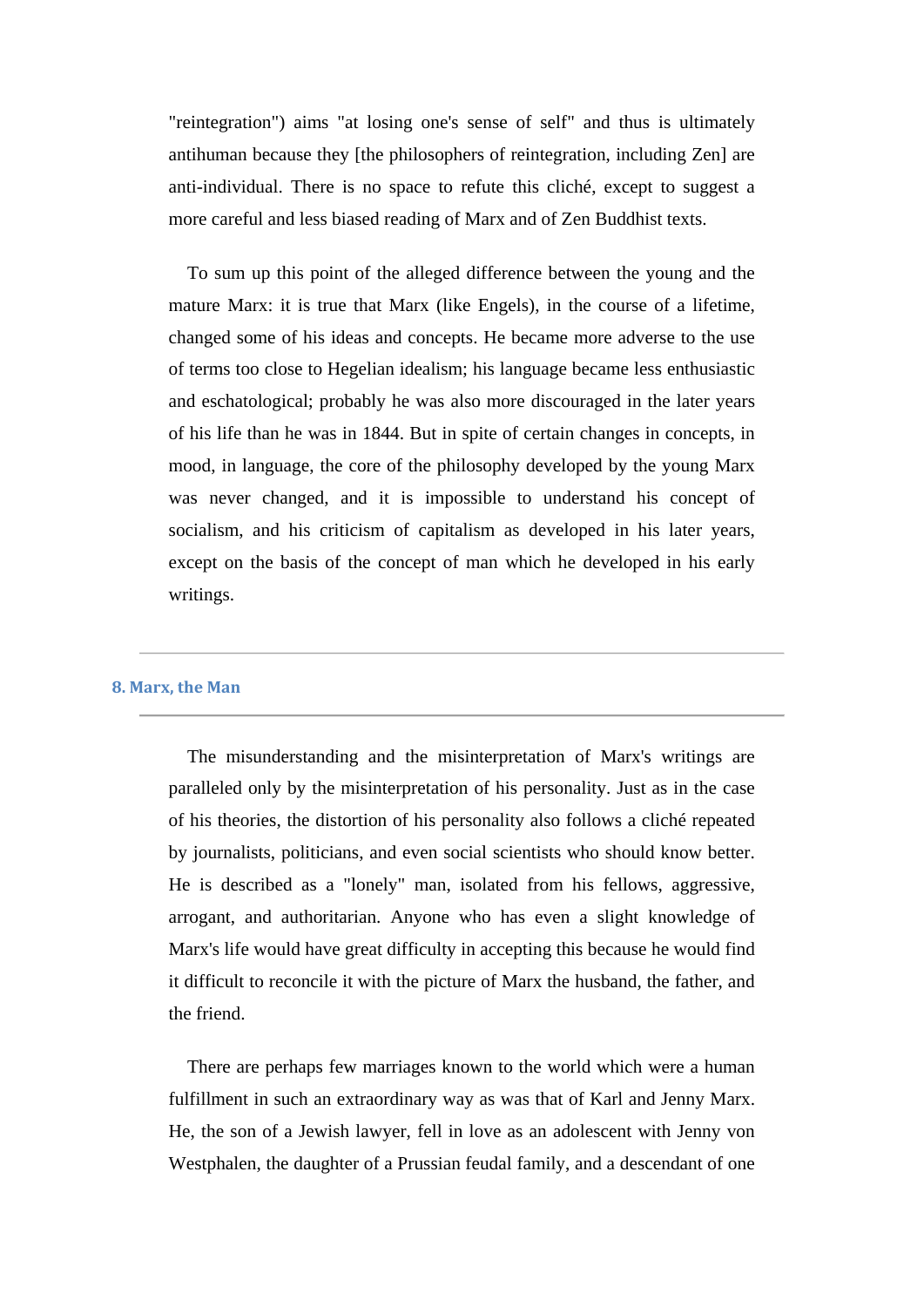"reintegration") aims "at losing one's sense of self" and thus is ultimately antihuman because they [the philosophers of reintegration, including Zen] are anti-individual. There is no space to refute this cliché, except to suggest a more careful and less biased reading of Marx and of Zen Buddhist texts.

To sum up this point of the alleged difference between the young and the mature Marx: it is true that Marx (like Engels), in the course of a lifetime, changed some of his ideas and concepts. He became more adverse to the use of terms too close to Hegelian idealism; his language became less enthusiastic and eschatological; probably he was also more discouraged in the later years of his life than he was in 1844. But in spite of certain changes in concepts, in mood, in language, the core of the philosophy developed by the young Marx was never changed, and it is impossible to understand his concept of socialism, and his criticism of capitalism as developed in his later years, except on the basis of the concept of man which he developed in his early writings.

## **8. Marx, the Man**

The misunderstanding and the misinterpretation of Marx's writings are paralleled only by the misinterpretation of his personality. Just as in the case of his theories, the distortion of his personality also follows a cliché repeated by journalists, politicians, and even social scientists who should know better. He is described as a "lonely" man, isolated from his fellows, aggressive, arrogant, and authoritarian. Anyone who has even a slight knowledge of Marx's life would have great difficulty in accepting this because he would find it difficult to reconcile it with the picture of Marx the husband, the father, and the friend.

There are perhaps few marriages known to the world which were a human fulfillment in such an extraordinary way as was that of Karl and Jenny Marx. He, the son of a Jewish lawyer, fell in love as an adolescent with Jenny von Westphalen, the daughter of a Prussian feudal family, and a descendant of one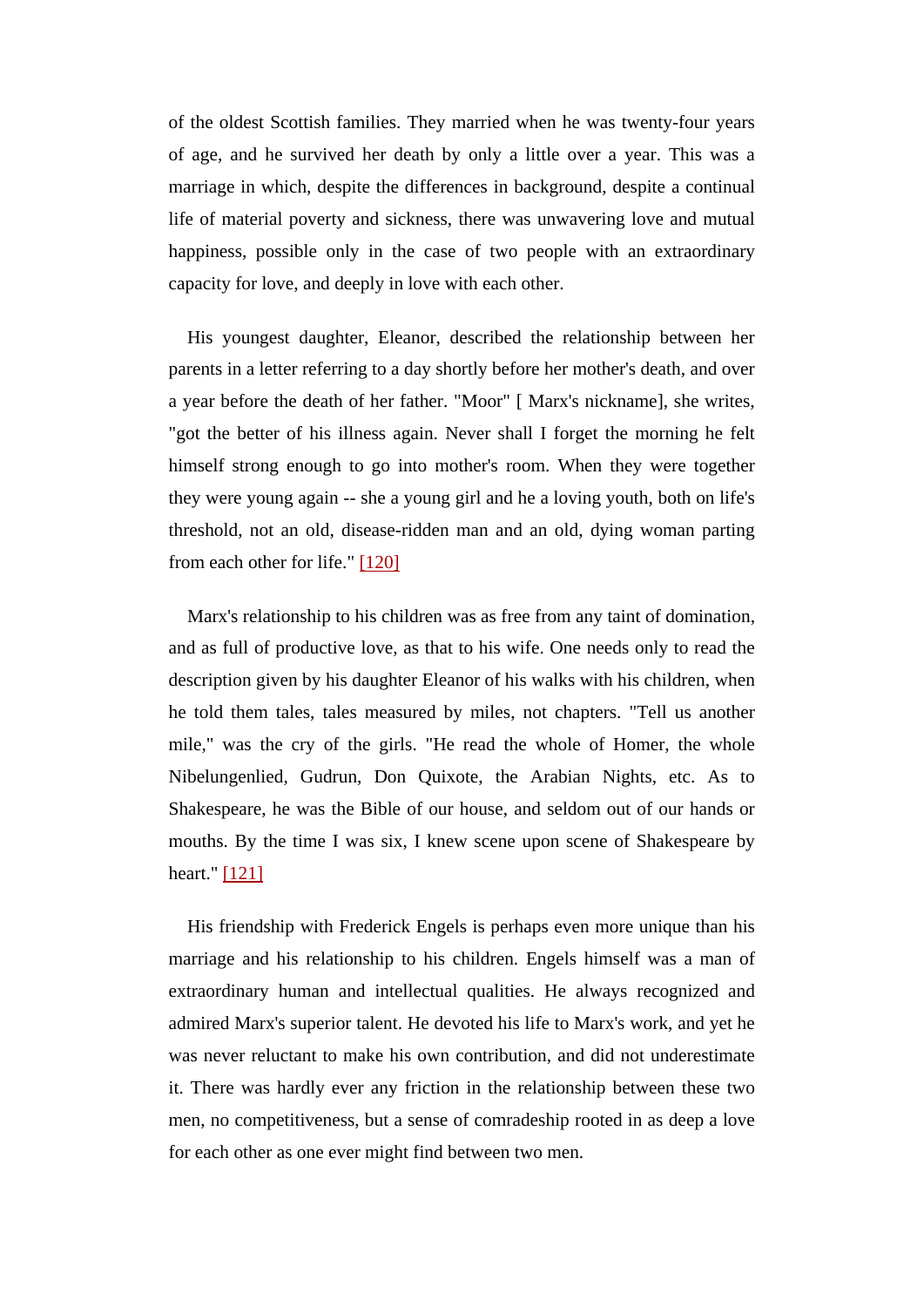of the oldest Scottish families. They married when he was twenty-four years of age, and he survived her death by only a little over a year. This was a marriage in which, despite the differences in background, despite a continual life of material poverty and sickness, there was unwavering love and mutual happiness, possible only in the case of two people with an extraordinary capacity for love, and deeply in love with each other.

His youngest daughter, Eleanor, described the relationship between her parents in a letter referring to a day shortly before her mother's death, and over a year before the death of her father. "Moor" [ Marx's nickname], she writes, "got the better of his illness again. Never shall I forget the morning he felt himself strong enough to go into mother's room. When they were together they were young again -- she a young girl and he a loving youth, both on life's threshold, not an old, disease-ridden man and an old, dying woman parting from each other for life." [120]

Marx's relationship to his children was as free from any taint of domination, and as full of productive love, as that to his wife. One needs only to read the description given by his daughter Eleanor of his walks with his children, when he told them tales, tales measured by miles, not chapters. "Tell us another mile," was the cry of the girls. "He read the whole of Homer, the whole Nibelungenlied, Gudrun, Don Quixote, the Arabian Nights, etc. As to Shakespeare, he was the Bible of our house, and seldom out of our hands or mouths. By the time I was six, I knew scene upon scene of Shakespeare by heart." [121]

His friendship with Frederick Engels is perhaps even more unique than his marriage and his relationship to his children. Engels himself was a man of extraordinary human and intellectual qualities. He always recognized and admired Marx's superior talent. He devoted his life to Marx's work, and yet he was never reluctant to make his own contribution, and did not underestimate it. There was hardly ever any friction in the relationship between these two men, no competitiveness, but a sense of comradeship rooted in as deep a love for each other as one ever might find between two men.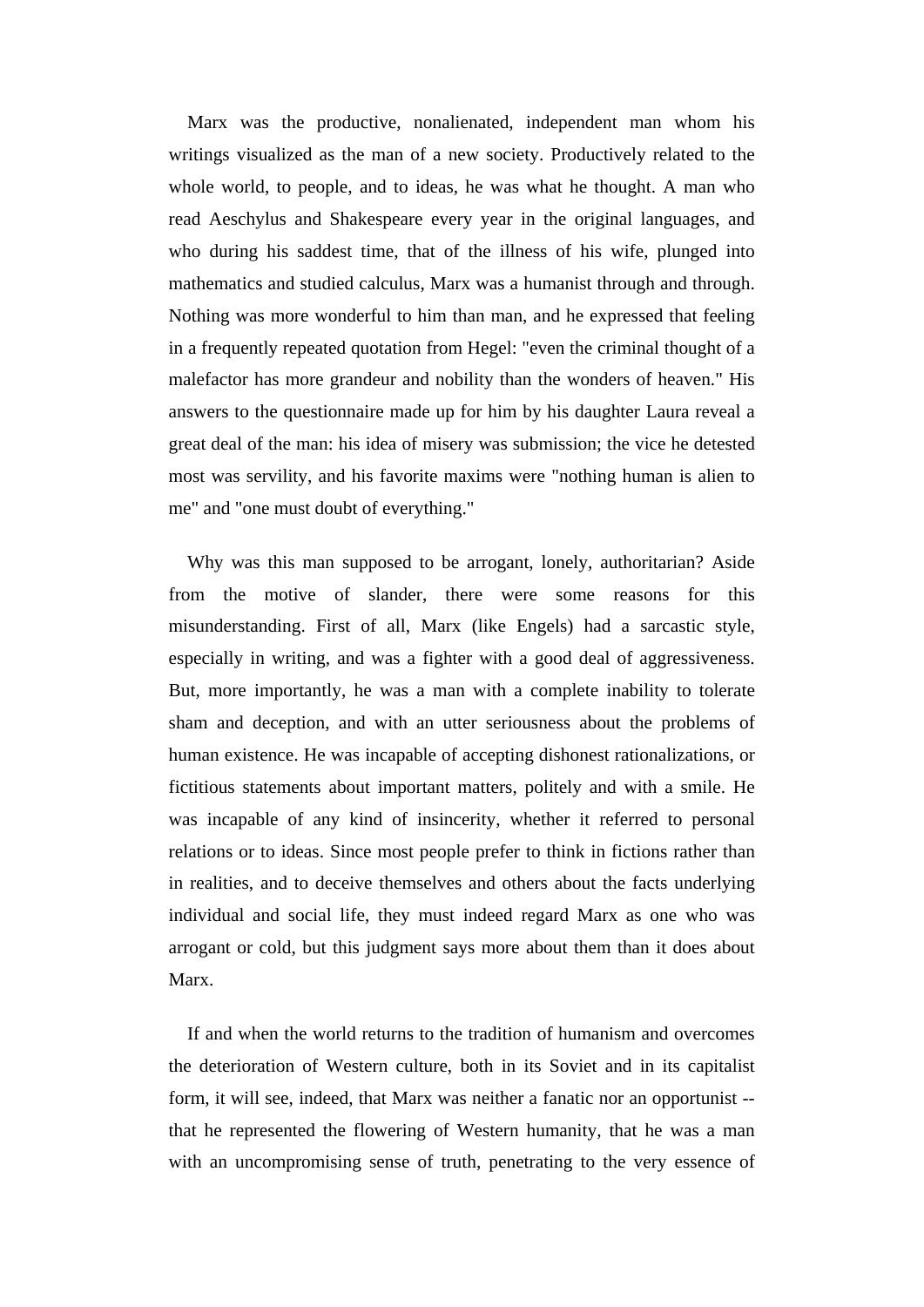Marx was the productive, nonalienated, independent man whom his writings visualized as the man of a new society. Productively related to the whole world, to people, and to ideas, he was what he thought. A man who read Aeschylus and Shakespeare every year in the original languages, and who during his saddest time, that of the illness of his wife, plunged into mathematics and studied calculus, Marx was a humanist through and through. Nothing was more wonderful to him than man, and he expressed that feeling in a frequently repeated quotation from Hegel: "even the criminal thought of a malefactor has more grandeur and nobility than the wonders of heaven." His answers to the questionnaire made up for him by his daughter Laura reveal a great deal of the man: his idea of misery was submission; the vice he detested most was servility, and his favorite maxims were "nothing human is alien to me" and "one must doubt of everything."

Why was this man supposed to be arrogant, lonely, authoritarian? Aside from the motive of slander, there were some reasons for this misunderstanding. First of all, Marx (like Engels) had a sarcastic style, especially in writing, and was a fighter with a good deal of aggressiveness. But, more importantly, he was a man with a complete inability to tolerate sham and deception, and with an utter seriousness about the problems of human existence. He was incapable of accepting dishonest rationalizations, or fictitious statements about important matters, politely and with a smile. He was incapable of any kind of insincerity, whether it referred to personal relations or to ideas. Since most people prefer to think in fictions rather than in realities, and to deceive themselves and others about the facts underlying individual and social life, they must indeed regard Marx as one who was arrogant or cold, but this judgment says more about them than it does about Marx.

If and when the world returns to the tradition of humanism and overcomes the deterioration of Western culture, both in its Soviet and in its capitalist form, it will see, indeed, that Marx was neither a fanatic nor an opportunist - that he represented the flowering of Western humanity, that he was a man with an uncompromising sense of truth, penetrating to the very essence of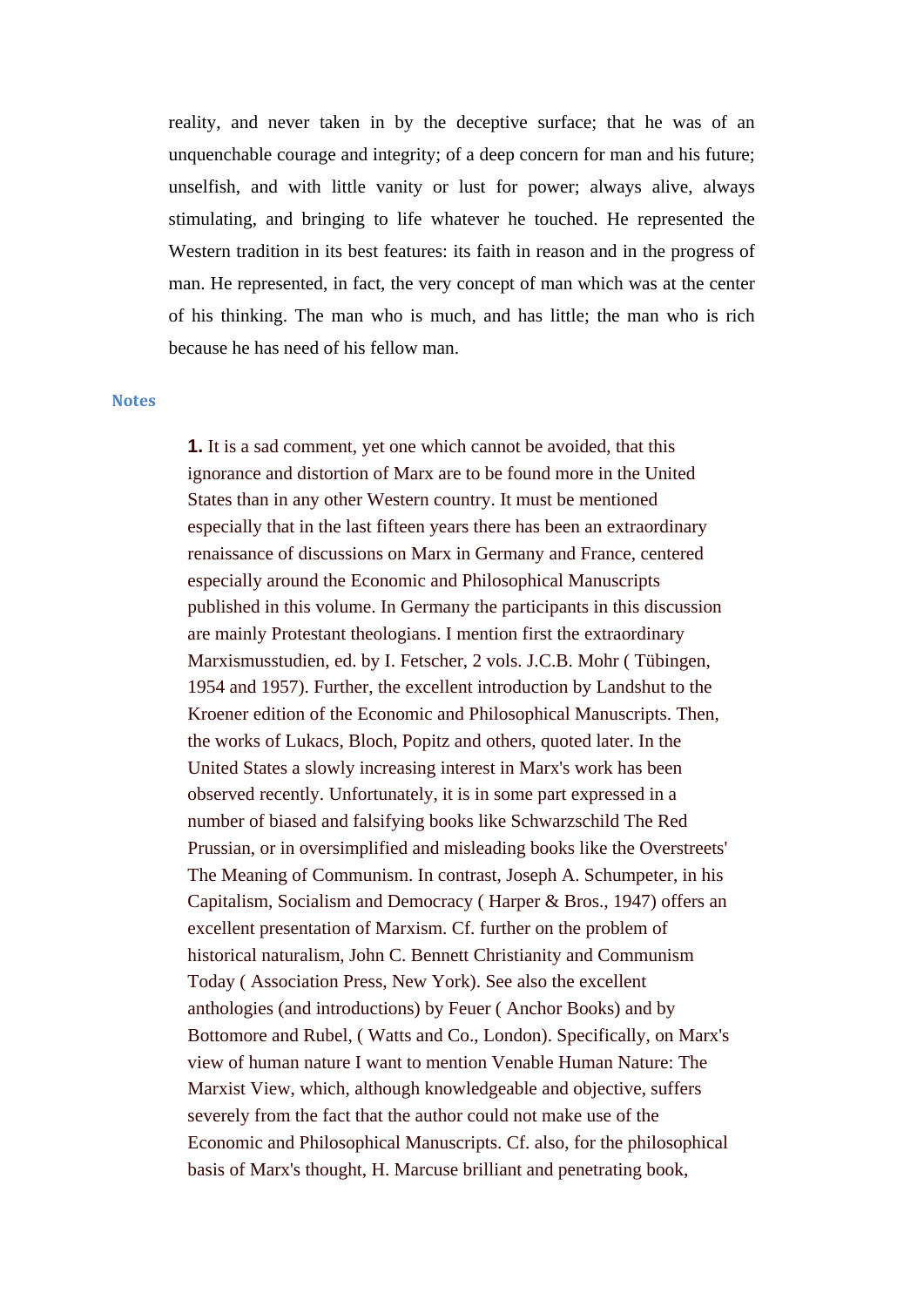reality, and never taken in by the deceptive surface; that he was of an unquenchable courage and integrity; of a deep concern for man and his future; unselfish, and with little vanity or lust for power; always alive, always stimulating, and bringing to life whatever he touched. He represented the Western tradition in its best features: its faith in reason and in the progress of man. He represented, in fact, the very concept of man which was at the center of his thinking. The man who is much, and has little; the man who is rich because he has need of his fellow man.

#### **Notes**

**1.** It is a sad comment, yet one which cannot be avoided, that this ignorance and distortion of Marx are to be found more in the United States than in any other Western country. It must be mentioned especially that in the last fifteen years there has been an extraordinary renaissance of discussions on Marx in Germany and France, centered especially around the Economic and Philosophical Manuscripts published in this volume. In Germany the participants in this discussion are mainly Protestant theologians. I mention first the extraordinary Marxismusstudien, ed. by I. Fetscher, 2 vols. J.C.B. Mohr ( Tübingen, 1954 and 1957). Further, the excellent introduction by Landshut to the Kroener edition of the Economic and Philosophical Manuscripts. Then, the works of Lukacs, Bloch, Popitz and others, quoted later. In the United States a slowly increasing interest in Marx's work has been observed recently. Unfortunately, it is in some part expressed in a number of biased and falsifying books like Schwarzschild The Red Prussian, or in oversimplified and misleading books like the Overstreets' The Meaning of Communism. In contrast, Joseph A. Schumpeter, in his Capitalism, Socialism and Democracy ( Harper & Bros., 1947) offers an excellent presentation of Marxism. Cf. further on the problem of historical naturalism, John C. Bennett Christianity and Communism Today ( Association Press, New York). See also the excellent anthologies (and introductions) by Feuer ( Anchor Books) and by Bottomore and Rubel, ( Watts and Co., London). Specifically, on Marx's view of human nature I want to mention Venable Human Nature: The Marxist View, which, although knowledgeable and objective, suffers severely from the fact that the author could not make use of the Economic and Philosophical Manuscripts. Cf. also, for the philosophical basis of Marx's thought, H. Marcuse brilliant and penetrating book,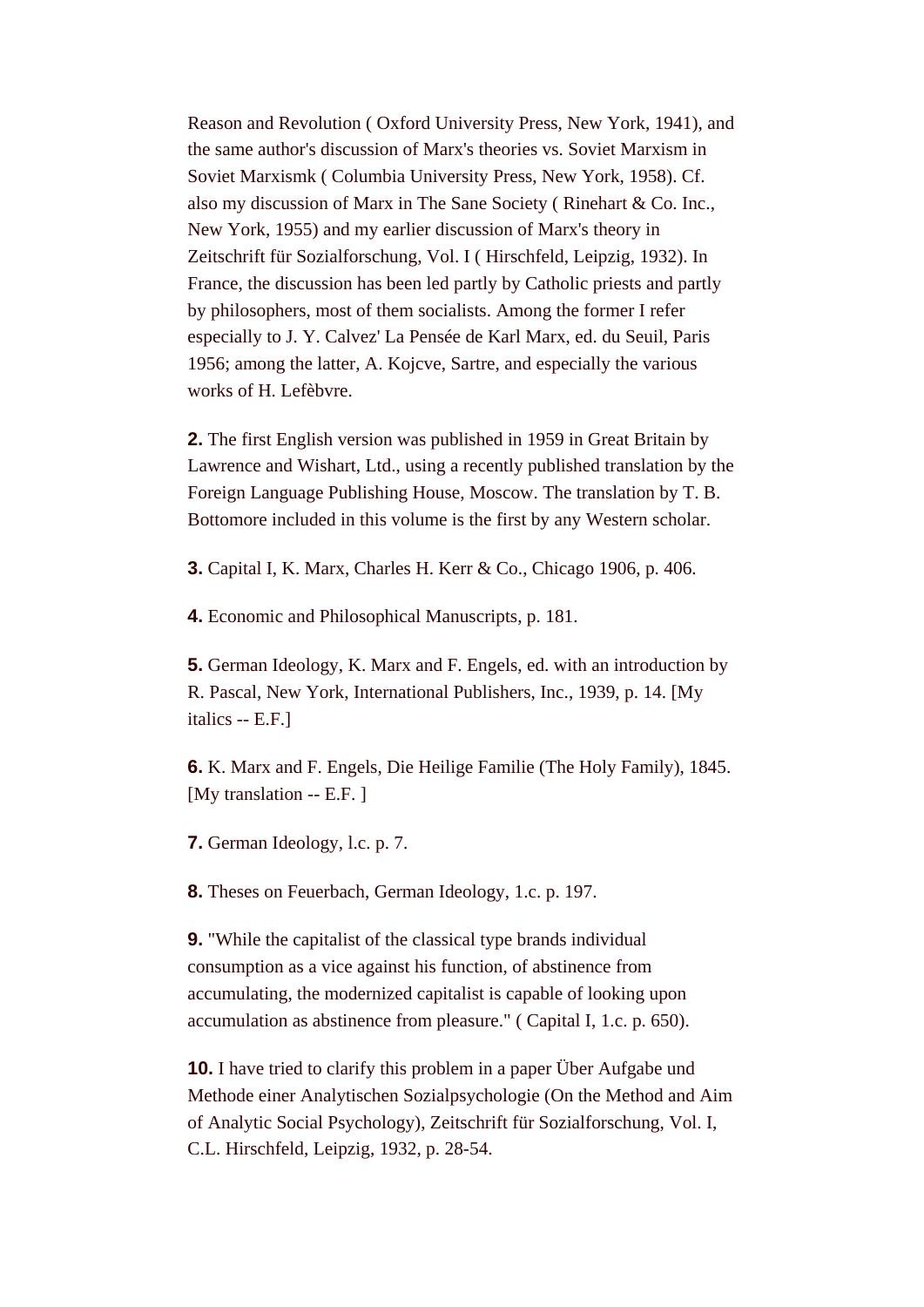Reason and Revolution ( Oxford University Press, New York, 1941), and the same author's discussion of Marx's theories vs. Soviet Marxism in Soviet Marxismk ( Columbia University Press, New York, 1958). Cf. also my discussion of Marx in The Sane Society ( Rinehart & Co. Inc., New York, 1955) and my earlier discussion of Marx's theory in Zeitschrift für Sozialforschung, Vol. I ( Hirschfeld, Leipzig, 1932). In France, the discussion has been led partly by Catholic priests and partly by philosophers, most of them socialists. Among the former I refer especially to J. Y. Calvez' La Pensée de Karl Marx, ed. du Seuil, Paris 1956; among the latter, A. Kojcve, Sartre, and especially the various works of H. Lefèbvre.

**2.** The first English version was published in 1959 in Great Britain by Lawrence and Wishart, Ltd., using a recently published translation by the Foreign Language Publishing House, Moscow. The translation by T. B. Bottomore included in this volume is the first by any Western scholar.

**3.** Capital I, K. Marx, Charles H. Kerr & Co., Chicago 1906, p. 406.

**4.** Economic and Philosophical Manuscripts, p. 181.

**5.** German Ideology, K. Marx and F. Engels, ed. with an introduction by R. Pascal, New York, International Publishers, Inc., 1939, p. 14. [My italics -- E.F.]

**6.** K. Marx and F. Engels, Die Heilige Familie (The Holy Family), 1845. [My translation -- E.F. ]

**7.** German Ideology, l.c. p. 7.

**8.** Theses on Feuerbach, German Ideology, 1.c. p. 197.

**9.** "While the capitalist of the classical type brands individual consumption as a vice against his function, of abstinence from accumulating, the modernized capitalist is capable of looking upon accumulation as abstinence from pleasure." ( Capital I, 1.c. p. 650).

**10.** I have tried to clarify this problem in a paper Über Aufgabe und Methode einer Analytischen Sozialpsychologie (On the Method and Aim of Analytic Social Psychology), Zeitschrift für Sozialforschung, Vol. I, C.L. Hirschfeld, Leipzig, 1932, p. 28-54.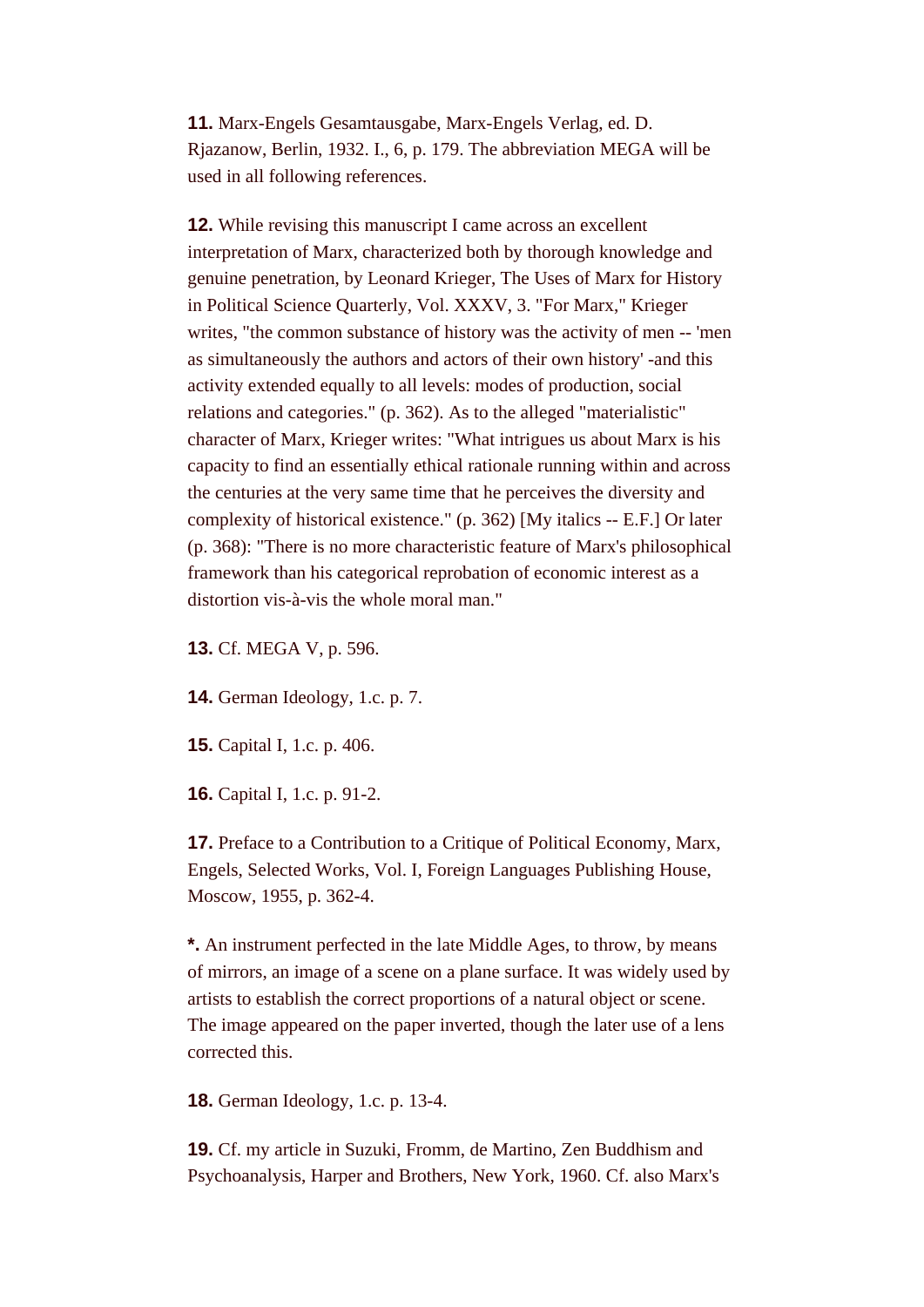**11.** Marx-Engels Gesamtausgabe, Marx-Engels Verlag, ed. D. Rjazanow, Berlin, 1932. I., 6, p. 179. The abbreviation MEGA will be used in all following references.

**12.** While revising this manuscript I came across an excellent interpretation of Marx, characterized both by thorough knowledge and genuine penetration, by Leonard Krieger, The Uses of Marx for History in Political Science Quarterly, Vol. XXXV, 3. "For Marx," Krieger writes, "the common substance of history was the activity of men -- 'men as simultaneously the authors and actors of their own history' -and this activity extended equally to all levels: modes of production, social relations and categories." (p. 362). As to the alleged "materialistic" character of Marx, Krieger writes: "What intrigues us about Marx is his capacity to find an essentially ethical rationale running within and across the centuries at the very same time that he perceives the diversity and complexity of historical existence." (p. 362) [My italics -- E.F.] Or later (p. 368): "There is no more characteristic feature of Marx's philosophical framework than his categorical reprobation of economic interest as a distortion vis-à-vis the whole moral man."

**13.** Cf. MEGA V, p. 596.

**14.** German Ideology, 1.c. p. 7.

**15.** Capital I, 1.c. p. 406.

**16.** Capital I, 1.c. p. 91-2.

**17.** Preface to a Contribution to a Critique of Political Economy, Marx, Engels, Selected Works, Vol. I, Foreign Languages Publishing House, Moscow, 1955, p. 362-4.

**\*.** An instrument perfected in the late Middle Ages, to throw, by means of mirrors, an image of a scene on a plane surface. It was widely used by artists to establish the correct proportions of a natural object or scene. The image appeared on the paper inverted, though the later use of a lens corrected this.

**18.** German Ideology, 1.c. p. 13-4.

**19.** Cf. my article in Suzuki, Fromm, de Martino, Zen Buddhism and Psychoanalysis, Harper and Brothers, New York, 1960. Cf. also Marx's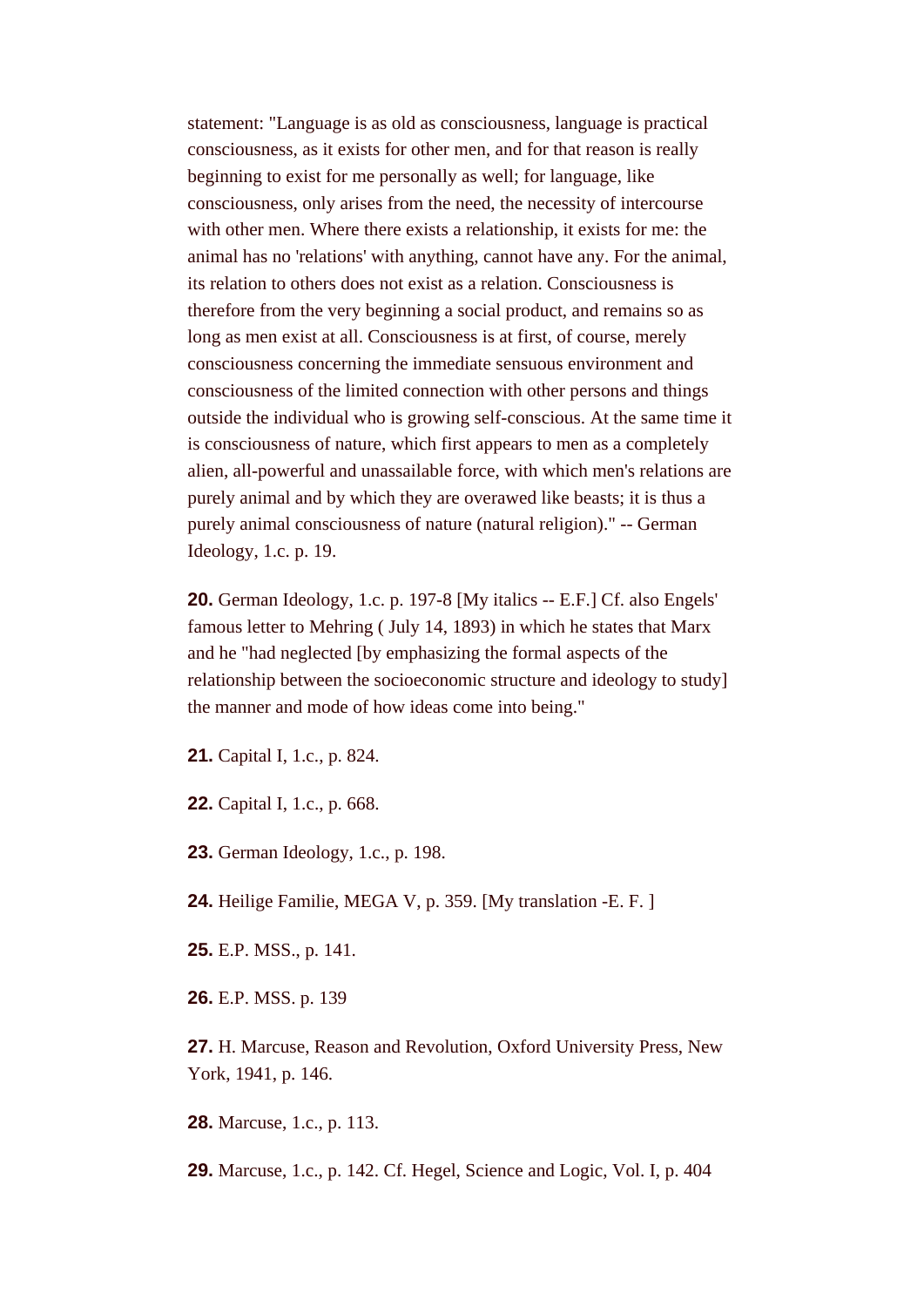statement: "Language is as old as consciousness, language is practical consciousness, as it exists for other men, and for that reason is really beginning to exist for me personally as well; for language, like consciousness, only arises from the need, the necessity of intercourse with other men. Where there exists a relationship, it exists for me: the animal has no 'relations' with anything, cannot have any. For the animal, its relation to others does not exist as a relation. Consciousness is therefore from the very beginning a social product, and remains so as long as men exist at all. Consciousness is at first, of course, merely consciousness concerning the immediate sensuous environment and consciousness of the limited connection with other persons and things outside the individual who is growing self-conscious. At the same time it is consciousness of nature, which first appears to men as a completely alien, all-powerful and unassailable force, with which men's relations are purely animal and by which they are overawed like beasts; it is thus a purely animal consciousness of nature (natural religion)." -- German Ideology, 1.c. p. 19.

**20.** German Ideology, 1.c. p. 197-8 [My italics -- E.F.] Cf. also Engels' famous letter to Mehring ( July 14, 1893) in which he states that Marx and he "had neglected [by emphasizing the formal aspects of the relationship between the socioeconomic structure and ideology to study] the manner and mode of how ideas come into being."

**21.** Capital I, 1.c., p. 824.

**22.** Capital I, 1.c., p. 668.

**23.** German Ideology, 1.c., p. 198.

**24.** Heilige Familie, MEGA V, p. 359. [My translation -E. F. ]

**25.** E.P. MSS., p. 141.

**26.** E.P. MSS. p. 139

**27.** H. Marcuse, Reason and Revolution, Oxford University Press, New York, 1941, p. 146.

**28.** Marcuse, 1.c., p. 113.

**29.** Marcuse, 1.c., p. 142. Cf. Hegel, Science and Logic, Vol. I, p. 404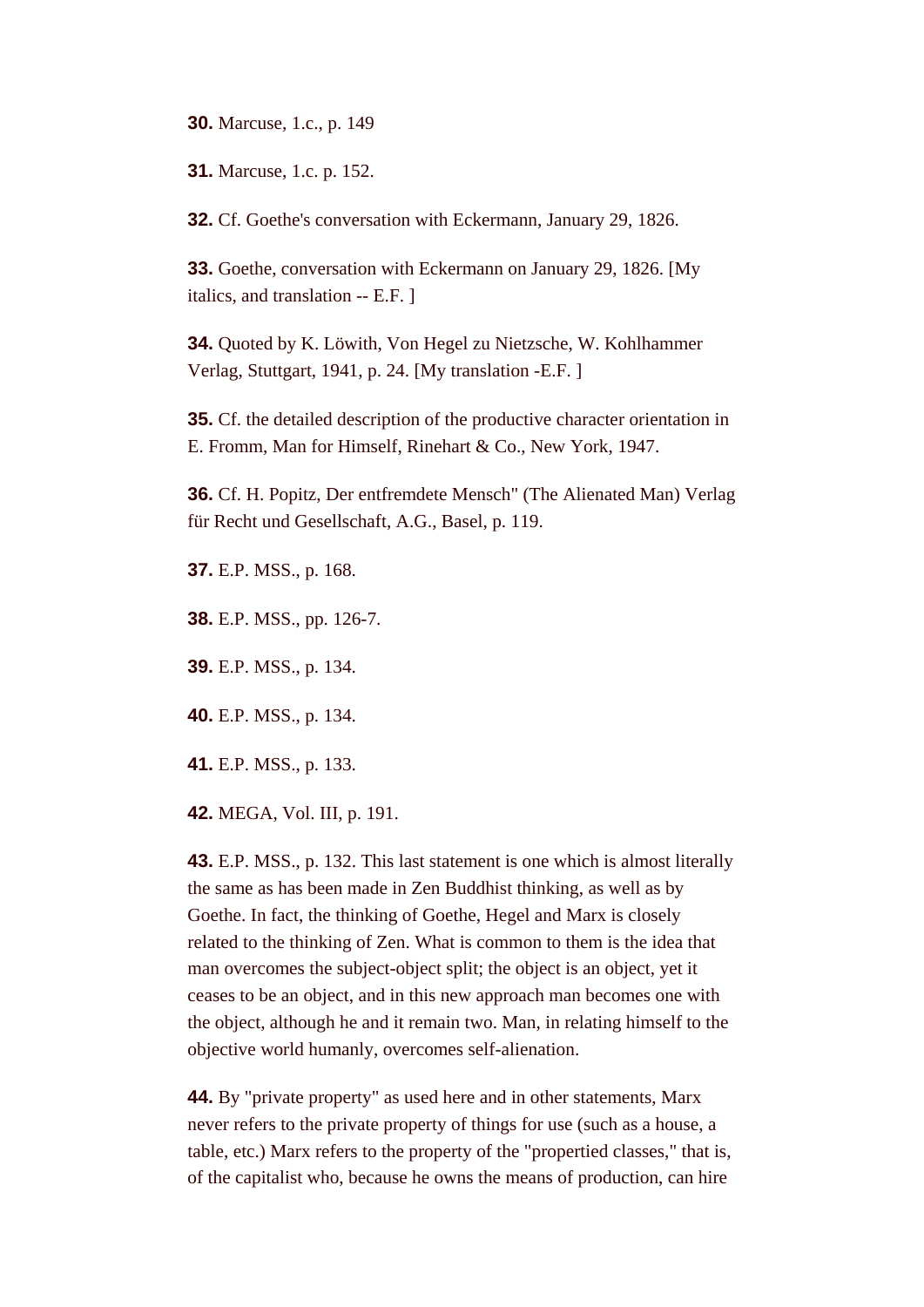**30.** Marcuse, 1.c., p. 149

**31.** Marcuse, 1.c. p. 152.

**32.** Cf. Goethe's conversation with Eckermann, January 29, 1826.

**33.** Goethe, conversation with Eckermann on January 29, 1826. [My italics, and translation -- E.F. ]

**34.** Quoted by K. Löwith, Von Hegel zu Nietzsche, W. Kohlhammer Verlag, Stuttgart, 1941, p. 24. [My translation -E.F. ]

**35.** Cf. the detailed description of the productive character orientation in E. Fromm, Man for Himself, Rinehart & Co., New York, 1947.

**36.** Cf. H. Popitz, Der entfremdete Mensch" (The Alienated Man) Verlag für Recht und Gesellschaft, A.G., Basel, p. 119.

**37.** E.P. MSS., p. 168.

**38.** E.P. MSS., pp. 126-7.

**39.** E.P. MSS., p. 134.

**40.** E.P. MSS., p. 134.

**41.** E.P. MSS., p. 133.

**42.** MEGA, Vol. III, p. 191.

**43.** E.P. MSS., p. 132. This last statement is one which is almost literally the same as has been made in Zen Buddhist thinking, as well as by Goethe. In fact, the thinking of Goethe, Hegel and Marx is closely related to the thinking of Zen. What is common to them is the idea that man overcomes the subject-object split; the object is an object, yet it ceases to be an object, and in this new approach man becomes one with the object, although he and it remain two. Man, in relating himself to the objective world humanly, overcomes self-alienation.

**44.** By "private property" as used here and in other statements, Marx never refers to the private property of things for use (such as a house, a table, etc.) Marx refers to the property of the "propertied classes," that is, of the capitalist who, because he owns the means of production, can hire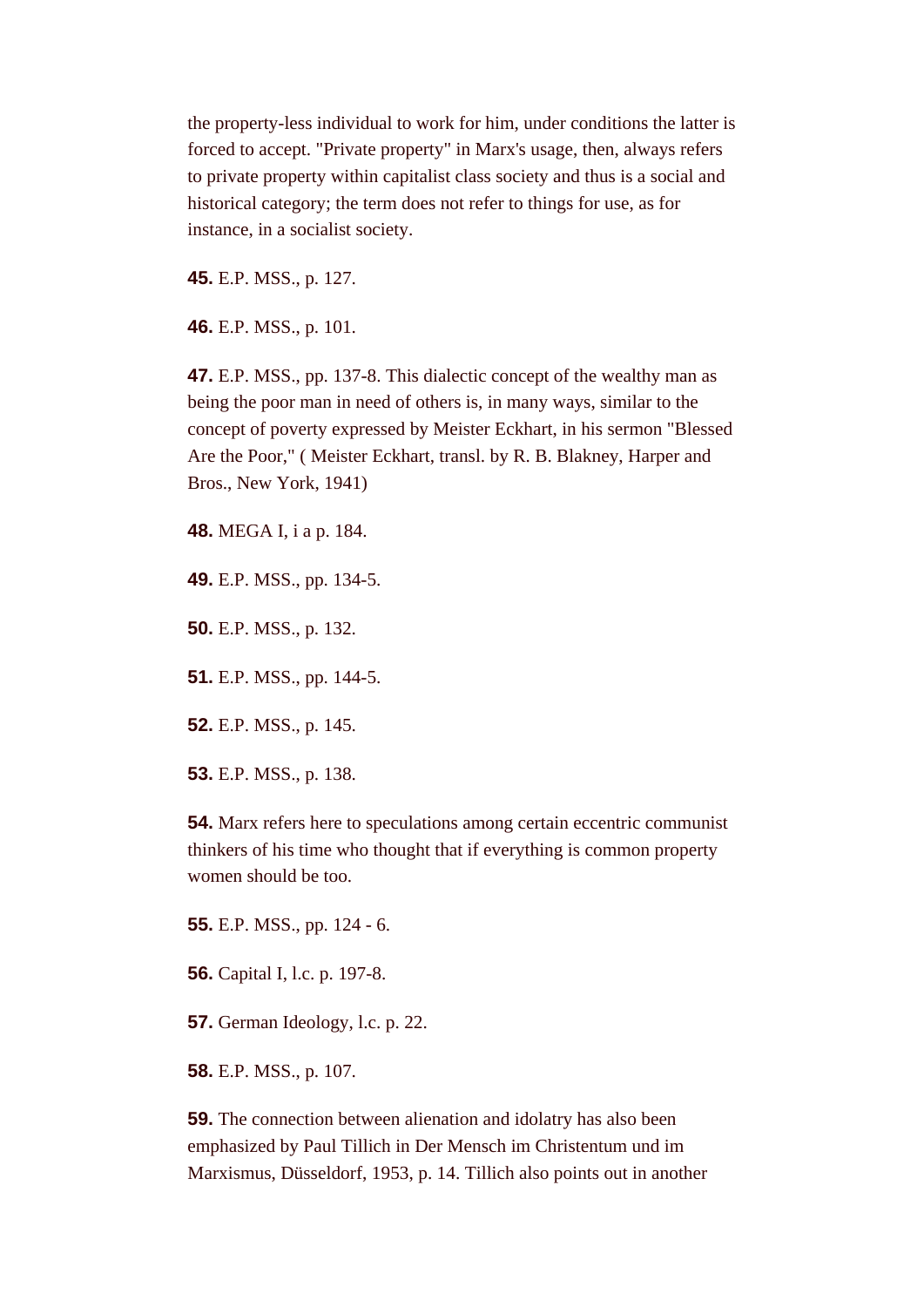the property-less individual to work for him, under conditions the latter is forced to accept. "Private property" in Marx's usage, then, always refers to private property within capitalist class society and thus is a social and historical category; the term does not refer to things for use, as for instance, in a socialist society.

**45.** E.P. MSS., p. 127.

**46.** E.P. MSS., p. 101.

**47.** E.P. MSS., pp. 137-8. This dialectic concept of the wealthy man as being the poor man in need of others is, in many ways, similar to the concept of poverty expressed by Meister Eckhart, in his sermon "Blessed Are the Poor," ( Meister Eckhart, transl. by R. B. Blakney, Harper and Bros., New York, 1941)

**48.** MEGA I, i a p. 184.

**49.** E.P. MSS., pp. 134-5.

**50.** E.P. MSS., p. 132.

**51.** E.P. MSS., pp. 144-5.

**52.** E.P. MSS., p. 145.

**53.** E.P. MSS., p. 138.

**54.** Marx refers here to speculations among certain eccentric communist thinkers of his time who thought that if everything is common property women should be too.

**55.** E.P. MSS., pp. 124 - 6.

**56.** Capital I, l.c. p. 197-8.

**57.** German Ideology, l.c. p. 22.

**58.** E.P. MSS., p. 107.

**59.** The connection between alienation and idolatry has also been emphasized by Paul Tillich in Der Mensch im Christentum und im Marxismus, Düsseldorf, 1953, p. 14. Tillich also points out in another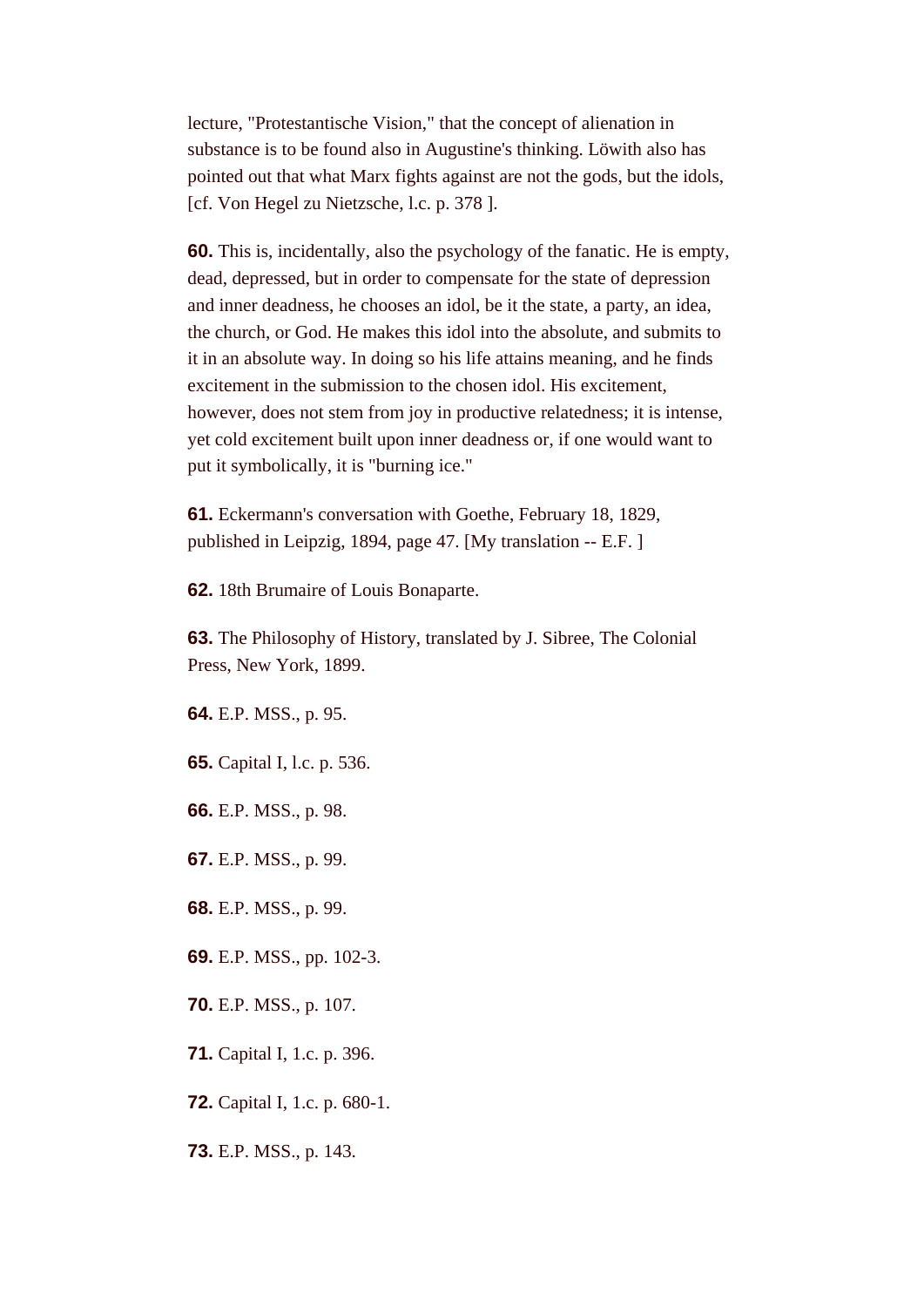lecture, "Protestantische Vision," that the concept of alienation in substance is to be found also in Augustine's thinking. Löwith also has pointed out that what Marx fights against are not the gods, but the idols, [cf. Von Hegel zu Nietzsche, l.c. p. 378 ].

**60.** This is, incidentally, also the psychology of the fanatic. He is empty, dead, depressed, but in order to compensate for the state of depression and inner deadness, he chooses an idol, be it the state, a party, an idea, the church, or God. He makes this idol into the absolute, and submits to it in an absolute way. In doing so his life attains meaning, and he finds excitement in the submission to the chosen idol. His excitement, however, does not stem from joy in productive relatedness; it is intense, yet cold excitement built upon inner deadness or, if one would want to put it symbolically, it is "burning ice."

**61.** Eckermann's conversation with Goethe, February 18, 1829, published in Leipzig, 1894, page 47. [My translation -- E.F. ]

**62.** 18th Brumaire of Louis Bonaparte.

**63.** The Philosophy of History, translated by J. Sibree, The Colonial Press, New York, 1899.

**64.** E.P. MSS., p. 95.

- **65.** Capital I, l.c. p. 536.
- **66.** E.P. MSS., p. 98.
- **67.** E.P. MSS., p. 99.
- **68.** E.P. MSS., p. 99.
- **69.** E.P. MSS., pp. 102-3.
- **70.** E.P. MSS., p. 107.
- **71.** Capital I, 1.c. p. 396.
- **72.** Capital I, 1.c. p. 680-1.
- **73.** E.P. MSS., p. 143.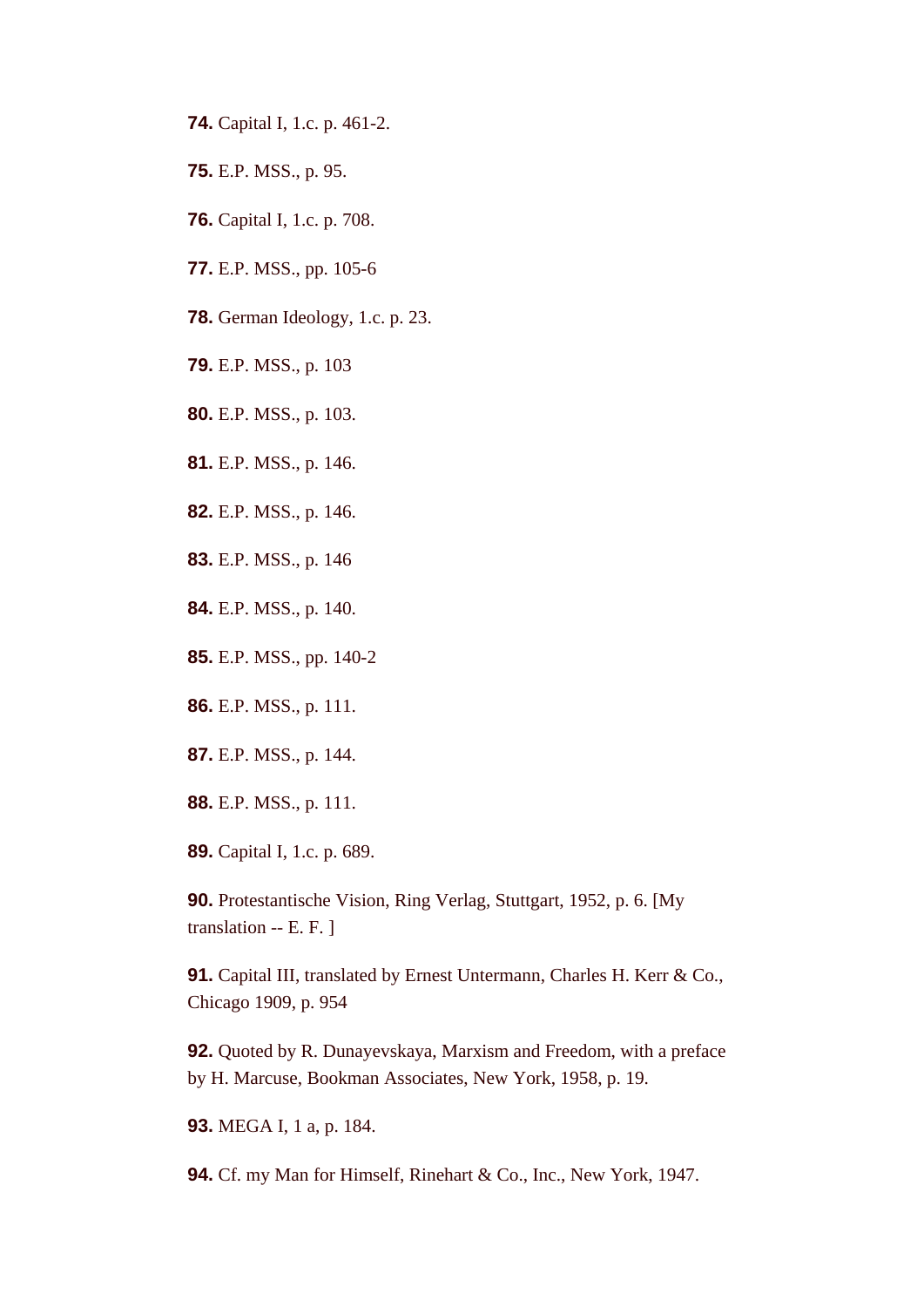- **74.** Capital I, 1.c. p. 461-2.
- **75.** E.P. MSS., p. 95.
- **76.** Capital I, 1.c. p. 708.
- **77.** E.P. MSS., pp. 105-6
- **78.** German Ideology, 1.c. p. 23.
- **79.** E.P. MSS., p. 103
- **80.** E.P. MSS., p. 103.
- **81.** E.P. MSS., p. 146.
- **82.** E.P. MSS., p. 146.
- **83.** E.P. MSS., p. 146
- **84.** E.P. MSS., p. 140.
- **85.** E.P. MSS., pp. 140-2
- **86.** E.P. MSS., p. 111.
- **87.** E.P. MSS., p. 144.
- **88.** E.P. MSS., p. 111.
- **89.** Capital I, 1.c. p. 689.

**90.** Protestantische Vision, Ring Verlag, Stuttgart, 1952, p. 6. [My translation -- E. F. ]

**91.** Capital III, translated by Ernest Untermann, Charles H. Kerr & Co., Chicago 1909, p. 954

**92.** Quoted by R. Dunayevskaya, Marxism and Freedom, with a preface by H. Marcuse, Bookman Associates, New York, 1958, p. 19.

**93.** MEGA I, 1 a, p. 184.

**94.** Cf. my Man for Himself, Rinehart & Co., Inc., New York, 1947.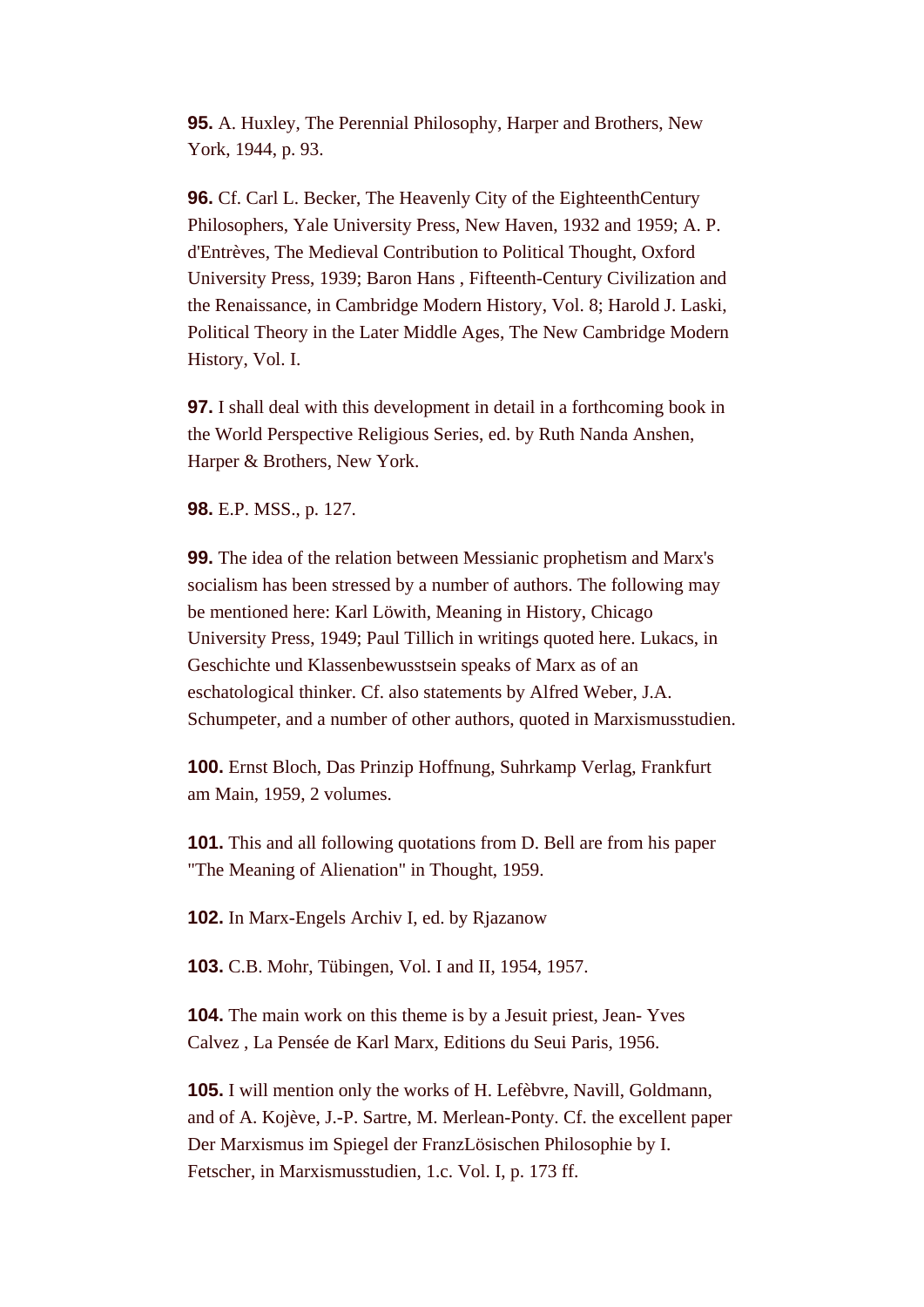**95.** A. Huxley, The Perennial Philosophy, Harper and Brothers, New York, 1944, p. 93.

**96.** Cf. Carl L. Becker, The Heavenly City of the EighteenthCentury Philosophers, Yale University Press, New Haven, 1932 and 1959; A. P. d'Entrèves, The Medieval Contribution to Political Thought, Oxford University Press, 1939; Baron Hans , Fifteenth-Century Civilization and the Renaissance, in Cambridge Modern History, Vol. 8; Harold J. Laski, Political Theory in the Later Middle Ages, The New Cambridge Modern History, Vol. I.

**97.** I shall deal with this development in detail in a forthcoming book in the World Perspective Religious Series, ed. by Ruth Nanda Anshen, Harper & Brothers, New York.

**98.** E.P. MSS., p. 127.

**99.** The idea of the relation between Messianic prophetism and Marx's socialism has been stressed by a number of authors. The following may be mentioned here: Karl Löwith, Meaning in History, Chicago University Press, 1949; Paul Tillich in writings quoted here. Lukacs, in Geschichte und Klassenbewusstsein speaks of Marx as of an eschatological thinker. Cf. also statements by Alfred Weber, J.A. Schumpeter, and a number of other authors, quoted in Marxismusstudien.

**100.** Ernst Bloch, Das Prinzip Hoffnung, Suhrkamp Verlag, Frankfurt am Main, 1959, 2 volumes.

**101.** This and all following quotations from D. Bell are from his paper "The Meaning of Alienation" in Thought, 1959.

**102.** In Marx-Engels Archiv I, ed. by Rjazanow

**103.** C.B. Mohr, Tübingen, Vol. I and II, 1954, 1957.

**104.** The main work on this theme is by a Jesuit priest, Jean- Yves Calvez , La Pensée de Karl Marx, Editions du Seui Paris, 1956.

**105.** I will mention only the works of H. Lefèbvre, Navill, Goldmann, and of A. Kojève, J.-P. Sartre, M. Merlean-Ponty. Cf. the excellent paper Der Marxismus im Spiegel der FranzLösischen Philosophie by I. Fetscher, in Marxismusstudien, 1.c. Vol. I, p. 173 ff.